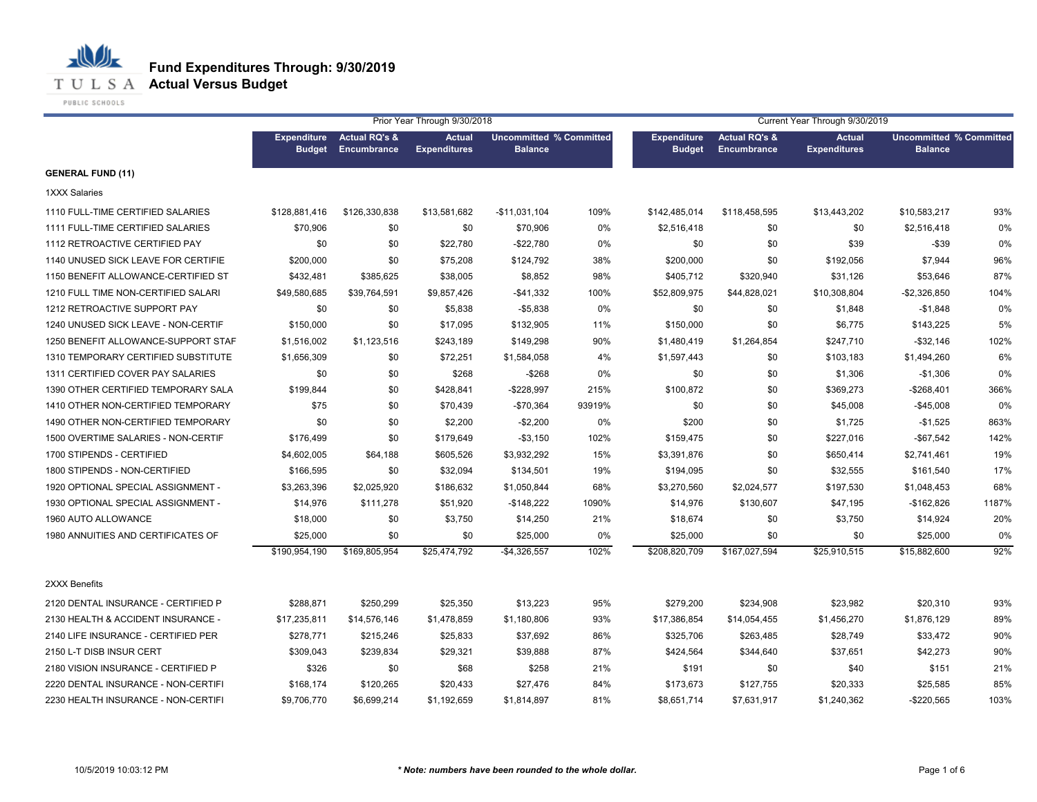

**T U L S A Actual Versus Budget** 

PUBLIC SCHOOLS

|                                     | Prior Year Through 9/30/2018        |                                                |                                      |                                                  |        | Current Year Through 9/30/2019      |                                                |                                      |                                                  |       |  |
|-------------------------------------|-------------------------------------|------------------------------------------------|--------------------------------------|--------------------------------------------------|--------|-------------------------------------|------------------------------------------------|--------------------------------------|--------------------------------------------------|-------|--|
|                                     | <b>Expenditure</b><br><b>Budget</b> | <b>Actual RQ's &amp;</b><br><b>Encumbrance</b> | <b>Actual</b><br><b>Expenditures</b> | <b>Uncommitted % Committed</b><br><b>Balance</b> |        | <b>Expenditure</b><br><b>Budget</b> | <b>Actual RQ's &amp;</b><br><b>Encumbrance</b> | <b>Actual</b><br><b>Expenditures</b> | <b>Uncommitted % Committed</b><br><b>Balance</b> |       |  |
| <b>GENERAL FUND (11)</b>            |                                     |                                                |                                      |                                                  |        |                                     |                                                |                                      |                                                  |       |  |
| <b>1XXX Salaries</b>                |                                     |                                                |                                      |                                                  |        |                                     |                                                |                                      |                                                  |       |  |
| 1110 FULL-TIME CERTIFIED SALARIES   | \$128,881,416                       | \$126,330,838                                  | \$13,581,682                         | -\$11,031,104                                    | 109%   | \$142,485,014                       | \$118,458,595                                  | \$13,443,202                         | \$10,583,217                                     | 93%   |  |
| 1111 FULL-TIME CERTIFIED SALARIES   | \$70,906                            | \$0                                            | \$0                                  | \$70,906                                         | 0%     | \$2,516,418                         | \$0                                            | \$0                                  | \$2,516,418                                      | 0%    |  |
| 1112 RETROACTIVE CERTIFIED PAY      | \$0                                 | \$0                                            | \$22,780                             | $-$22,780$                                       | 0%     | \$0                                 | \$0                                            | \$39                                 | $-$ \$39                                         | 0%    |  |
| 1140 UNUSED SICK LEAVE FOR CERTIFIE | \$200,000                           | \$0                                            | \$75,208                             | \$124,792                                        | 38%    | \$200,000                           | \$0                                            | \$192,056                            | \$7,944                                          | 96%   |  |
| 1150 BENEFIT ALLOWANCE-CERTIFIED ST | \$432,481                           | \$385,625                                      | \$38,005                             | \$8,852                                          | 98%    | \$405,712                           | \$320,940                                      | \$31,126                             | \$53,646                                         | 87%   |  |
| 1210 FULL TIME NON-CERTIFIED SALARI | \$49,580,685                        | \$39,764,591                                   | \$9,857,426                          | -\$41,332                                        | 100%   | \$52,809,975                        | \$44,828,021                                   | \$10,308,804                         | $-$2,326,850$                                    | 104%  |  |
| 1212 RETROACTIVE SUPPORT PAY        | \$0                                 | \$0                                            | \$5,838                              | $-$5,838$                                        | 0%     | \$0                                 | \$0                                            | \$1,848                              | $-$1,848$                                        | 0%    |  |
| 1240 UNUSED SICK LEAVE - NON-CERTIF | \$150,000                           | \$0                                            | \$17,095                             | \$132,905                                        | 11%    | \$150,000                           | \$0                                            | \$6,775                              | \$143,225                                        | 5%    |  |
| 1250 BENEFIT ALLOWANCE-SUPPORT STAF | \$1,516,002                         | \$1,123,516                                    | \$243,189                            | \$149,298                                        | 90%    | \$1,480,419                         | \$1,264,854                                    | \$247,710                            | $-$ \$32,146                                     | 102%  |  |
| 1310 TEMPORARY CERTIFIED SUBSTITUTE | \$1,656,309                         | \$0                                            | \$72,251                             | \$1,584,058                                      | 4%     | \$1,597,443                         | \$0                                            | \$103,183                            | \$1,494,260                                      | 6%    |  |
| 1311 CERTIFIED COVER PAY SALARIES   | \$0                                 | \$0                                            | \$268                                | $-$ \$268                                        | 0%     | \$0                                 | \$0                                            | \$1,306                              | -\$1,306                                         | 0%    |  |
| 1390 OTHER CERTIFIED TEMPORARY SALA | \$199,844                           | \$0                                            | \$428,841                            | $-$228,997$                                      | 215%   | \$100,872                           | \$0                                            | \$369,273                            | $-$268,401$                                      | 366%  |  |
| 1410 OTHER NON-CERTIFIED TEMPORARY  | \$75                                | \$0                                            | \$70,439                             | -\$70,364                                        | 93919% | \$0                                 | \$0                                            | \$45,008                             | -\$45,008                                        | 0%    |  |
| 1490 OTHER NON-CERTIFIED TEMPORARY  | \$0                                 | \$0                                            | \$2,200                              | $-$2,200$                                        | 0%     | \$200                               | \$0                                            | \$1,725                              | $-$1,525$                                        | 863%  |  |
| 1500 OVERTIME SALARIES - NON-CERTIF | \$176,499                           | \$0                                            | \$179,649                            | $-$ \$3,150                                      | 102%   | \$159,475                           | \$0                                            | \$227,016                            | $-$ \$67,542                                     | 142%  |  |
| 1700 STIPENDS - CERTIFIED           | \$4,602,005                         | \$64,188                                       | \$605,526                            | \$3,932,292                                      | 15%    | \$3,391,876                         | \$0                                            | \$650,414                            | \$2,741,461                                      | 19%   |  |
| 1800 STIPENDS - NON-CERTIFIED       | \$166,595                           | \$0                                            | \$32,094                             | \$134,501                                        | 19%    | \$194,095                           | \$0                                            | \$32,555                             | \$161,540                                        | 17%   |  |
| 1920 OPTIONAL SPECIAL ASSIGNMENT -  | \$3,263,396                         | \$2,025,920                                    | \$186,632                            | \$1,050,844                                      | 68%    | \$3,270,560                         | \$2,024,577                                    | \$197,530                            | \$1,048,453                                      | 68%   |  |
| 1930 OPTIONAL SPECIAL ASSIGNMENT -  | \$14,976                            | \$111,278                                      | \$51,920                             | $-$148,222$                                      | 1090%  | \$14,976                            | \$130,607                                      | \$47,195                             | $-$162,826$                                      | 1187% |  |
| 1960 AUTO ALLOWANCE                 | \$18,000                            | \$0                                            | \$3,750                              | \$14,250                                         | 21%    | \$18,674                            | \$0                                            | \$3,750                              | \$14,924                                         | 20%   |  |
| 1980 ANNUITIES AND CERTIFICATES OF  | \$25,000                            | \$0                                            | \$0                                  | \$25,000                                         | 0%     | \$25,000                            | \$0                                            | \$0                                  | \$25,000                                         | 0%    |  |
|                                     | \$190,954,190                       | \$169,805,954                                  | \$25,474,792                         | $-$4,326,557$                                    | 102%   | \$208,820,709                       | \$167,027,594                                  | \$25,910,515                         | \$15,882,600                                     | 92%   |  |
| 2XXX Benefits                       |                                     |                                                |                                      |                                                  |        |                                     |                                                |                                      |                                                  |       |  |
| 2120 DENTAL INSURANCE - CERTIFIED P | \$288,871                           | \$250,299                                      | \$25,350                             | \$13,223                                         | 95%    | \$279,200                           | \$234,908                                      | \$23,982                             | \$20,310                                         | 93%   |  |
| 2130 HEALTH & ACCIDENT INSURANCE -  | \$17,235,811                        | \$14,576,146                                   | \$1,478,859                          | \$1,180,806                                      | 93%    | \$17,386,854                        | \$14,054,455                                   | \$1,456,270                          | \$1,876,129                                      | 89%   |  |
| 2140 LIFE INSURANCE - CERTIFIED PER | \$278,771                           | \$215,246                                      | \$25,833                             | \$37,692                                         | 86%    | \$325,706                           | \$263,485                                      | \$28,749                             | \$33,472                                         | 90%   |  |
| 2150 L-T DISB INSUR CERT            | \$309,043                           | \$239,834                                      | \$29,321                             | \$39,888                                         | 87%    | \$424,564                           | \$344,640                                      | \$37,651                             | \$42,273                                         | 90%   |  |
| 2180 VISION INSURANCE - CERTIFIED P | \$326                               | \$0                                            | \$68                                 | \$258                                            | 21%    | \$191                               | \$0                                            | \$40                                 | \$151                                            | 21%   |  |
| 2220 DENTAL INSURANCE - NON-CERTIFI | \$168,174                           | \$120,265                                      | \$20,433                             | \$27,476                                         | 84%    | \$173,673                           | \$127,755                                      | \$20,333                             | \$25,585                                         | 85%   |  |
| 2230 HEALTH INSURANCE - NON-CERTIFI | \$9,706,770                         | \$6,699,214                                    | \$1,192,659                          | \$1,814,897                                      | 81%    | \$8,651,714                         | \$7,631,917                                    | \$1,240,362                          | $-$220,565$                                      | 103%  |  |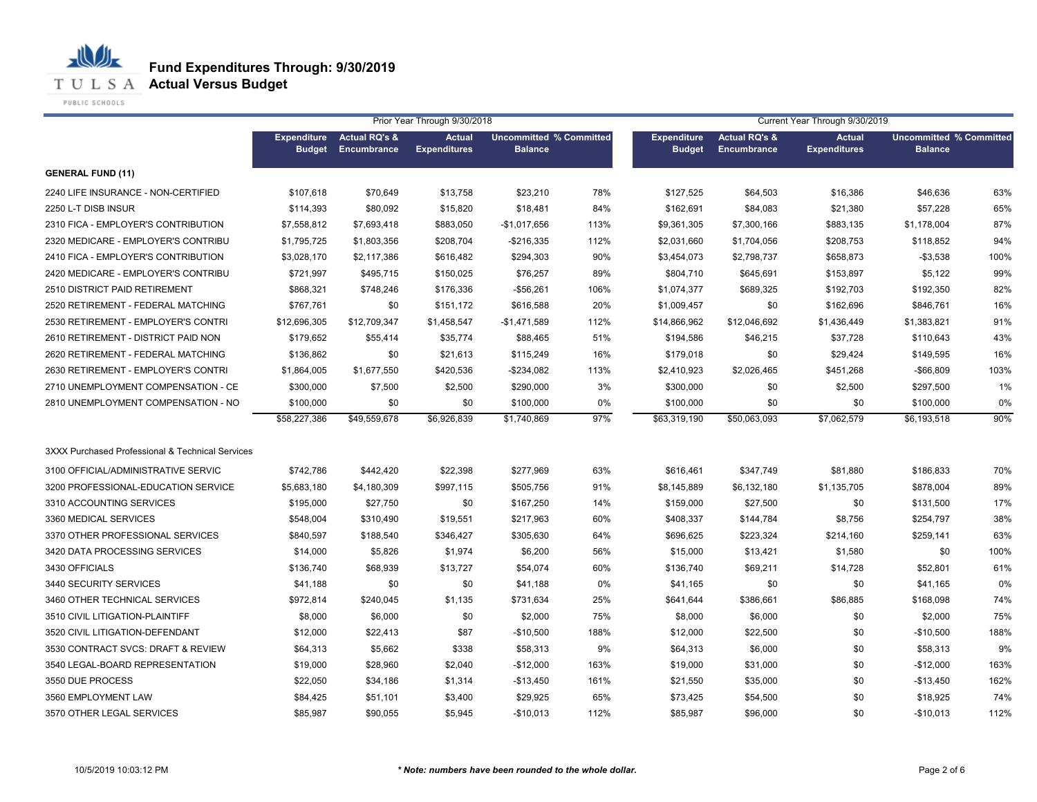**T U L S A Actual Versus Budget** 

PUBLIC SCHOOLS

|                                                  |                    |                          | Prior Year Through 9/30/2018 |                                |      |                    |                          | Current Year Through 9/30/2019 |                                                  |      |
|--------------------------------------------------|--------------------|--------------------------|------------------------------|--------------------------------|------|--------------------|--------------------------|--------------------------------|--------------------------------------------------|------|
|                                                  | <b>Expenditure</b> | <b>Actual RQ's &amp;</b> | <b>Actual</b>                | <b>Uncommitted % Committed</b> |      | <b>Expenditure</b> | <b>Actual RQ's &amp;</b> | <b>Actual</b>                  | <b>Uncommitted % Committed</b><br><b>Balance</b> |      |
|                                                  | <b>Budget</b>      | Encumbrance              | <b>Expenditures</b>          | <b>Balance</b>                 |      | <b>Budget</b>      | <b>Encumbrance</b>       | <b>Expenditures</b>            |                                                  |      |
| <b>GENERAL FUND (11)</b>                         |                    |                          |                              |                                |      |                    |                          |                                |                                                  |      |
| 2240 LIFE INSURANCE - NON-CERTIFIED              | \$107,618          | \$70,649                 | \$13,758                     | \$23,210                       | 78%  | \$127,525          | \$64,503                 | \$16,386                       | \$46,636                                         | 63%  |
| 2250 L-T DISB INSUR                              | \$114,393          | \$80,092                 | \$15,820                     | \$18,481                       | 84%  | \$162,691          | \$84,083                 | \$21,380                       | \$57,228                                         | 65%  |
| 2310 FICA - EMPLOYER'S CONTRIBUTION              | \$7,558,812        | \$7,693,418              | \$883,050                    | $-$1,017,656$                  | 113% | \$9,361,305        | \$7,300,166              | \$883,135                      | \$1,178,004                                      | 87%  |
| 2320 MEDICARE - EMPLOYER'S CONTRIBU              | \$1,795,725        | \$1,803,356              | \$208,704                    | $-$216,335$                    | 112% | \$2,031,660        | \$1,704,056              | \$208,753                      | \$118,852                                        | 94%  |
| 2410 FICA - EMPLOYER'S CONTRIBUTION              | \$3,028,170        | \$2,117,386              | \$616,482                    | \$294,303                      | 90%  | \$3,454,073        | \$2,798,737              | \$658,873                      | $-$3,538$                                        | 100% |
| 2420 MEDICARE - EMPLOYER'S CONTRIBU              | \$721,997          | \$495,715                | \$150,025                    | \$76,257                       | 89%  | \$804,710          | \$645,691                | \$153,897                      | \$5,122                                          | 99%  |
| 2510 DISTRICT PAID RETIREMENT                    | \$868,321          | \$748,246                | \$176,336                    | $-$56,261$                     | 106% | \$1,074,377        | \$689,325                | \$192,703                      | \$192,350                                        | 82%  |
| 2520 RETIREMENT - FEDERAL MATCHING               | \$767,761          | \$0                      | \$151,172                    | \$616,588                      | 20%  | \$1,009,457        | \$0                      | \$162,696                      | \$846,761                                        | 16%  |
| 2530 RETIREMENT - EMPLOYER'S CONTRI              | \$12,696,305       | \$12,709,347             | \$1,458,547                  | $-$1,471,589$                  | 112% | \$14,866,962       | \$12,046,692             | \$1,436,449                    | \$1,383,821                                      | 91%  |
| 2610 RETIREMENT - DISTRICT PAID NON              | \$179,652          | \$55,414                 | \$35,774                     | \$88,465                       | 51%  | \$194,586          | \$46,215                 | \$37,728                       | \$110,643                                        | 43%  |
| 2620 RETIREMENT - FEDERAL MATCHING               | \$136,862          | \$0                      | \$21,613                     | \$115,249                      | 16%  | \$179,018          | \$0                      | \$29,424                       | \$149,595                                        | 16%  |
| 2630 RETIREMENT - EMPLOYER'S CONTRI              | \$1,864,005        | \$1,677,550              | \$420,536                    | $-$234,082$                    | 113% | \$2,410,923        | \$2,026,465              | \$451,268                      | $-$66,809$                                       | 103% |
| 2710 UNEMPLOYMENT COMPENSATION - CE              | \$300,000          | \$7,500                  | \$2,500                      | \$290,000                      | 3%   | \$300,000          | \$0                      | \$2,500                        | \$297,500                                        | 1%   |
| 2810 UNEMPLOYMENT COMPENSATION - NO              | \$100,000          | \$0                      | \$0                          | \$100,000                      | 0%   | \$100,000          | \$0                      | \$0                            | \$100,000                                        | 0%   |
|                                                  | \$58,227,386       | \$49,559,678             | \$6,926,839                  | \$1,740,869                    | 97%  | \$63,319,190       | \$50,063,093             | \$7,062,579                    | \$6,193,518                                      | 90%  |
| 3XXX Purchased Professional & Technical Services |                    |                          |                              |                                |      |                    |                          |                                |                                                  |      |
| 3100 OFFICIAL/ADMINISTRATIVE SERVIC              | \$742,786          | \$442,420                | \$22,398                     | \$277,969                      | 63%  | \$616,461          | \$347,749                | \$81,880                       | \$186,833                                        | 70%  |
| 3200 PROFESSIONAL-EDUCATION SERVICE              | \$5,683,180        | \$4,180,309              | \$997,115                    | \$505,756                      | 91%  | \$8,145,889        | \$6,132,180              | \$1,135,705                    | \$878,004                                        | 89%  |
| 3310 ACCOUNTING SERVICES                         | \$195,000          | \$27,750                 | \$0                          | \$167,250                      | 14%  | \$159,000          | \$27,500                 | \$0                            | \$131,500                                        | 17%  |
| 3360 MEDICAL SERVICES                            | \$548.004          | \$310,490                | \$19,551                     | \$217,963                      | 60%  | \$408,337          | \$144,784                | \$8,756                        | \$254,797                                        | 38%  |
| 3370 OTHER PROFESSIONAL SERVICES                 | \$840.597          | \$188,540                | \$346,427                    | \$305,630                      | 64%  | \$696,625          | \$223,324                | \$214,160                      | \$259,141                                        | 63%  |
| 3420 DATA PROCESSING SERVICES                    | \$14,000           | \$5,826                  | \$1,974                      | \$6,200                        | 56%  | \$15,000           | \$13,421                 | \$1,580                        | \$0                                              | 100% |
| 3430 OFFICIALS                                   | \$136,740          | \$68,939                 | \$13,727                     | \$54,074                       | 60%  | \$136,740          | \$69,211                 | \$14,728                       | \$52,801                                         | 61%  |
| 3440 SECURITY SERVICES                           | \$41,188           | \$0                      | \$0                          | \$41,188                       | 0%   | \$41,165           | \$0                      | \$0                            | \$41,165                                         | 0%   |
| 3460 OTHER TECHNICAL SERVICES                    | \$972,814          | \$240,045                | \$1,135                      | \$731,634                      | 25%  | \$641,644          | \$386,661                | \$86,885                       | \$168,098                                        | 74%  |
| 3510 CIVIL LITIGATION-PLAINTIFF                  | \$8,000            | \$6,000                  | \$0                          | \$2,000                        | 75%  | \$8,000            | \$6,000                  | \$0                            | \$2,000                                          | 75%  |
| 3520 CIVIL LITIGATION-DEFENDANT                  | \$12,000           | \$22,413                 | \$87                         | $-$10,500$                     | 188% | \$12,000           | \$22,500                 | \$0                            | $-$10,500$                                       | 188% |
| 3530 CONTRACT SVCS: DRAFT & REVIEW               | \$64,313           | \$5,662                  | \$338                        | \$58,313                       | 9%   | \$64,313           | \$6,000                  | \$0                            | \$58,313                                         | 9%   |
| 3540 LEGAL-BOARD REPRESENTATION                  | \$19,000           | \$28,960                 | \$2,040                      | $-$12,000$                     | 163% | \$19,000           | \$31,000                 | \$0                            | $-$12,000$                                       | 163% |
| 3550 DUE PROCESS                                 | \$22,050           | \$34,186                 | \$1,314                      | $-$13,450$                     | 161% | \$21,550           | \$35,000                 | \$0                            | $-$13,450$                                       | 162% |
| 3560 EMPLOYMENT LAW                              | \$84,425           | \$51,101                 | \$3,400                      | \$29,925                       | 65%  | \$73,425           | \$54,500                 | \$0                            | \$18,925                                         | 74%  |
| 3570 OTHER LEGAL SERVICES                        | \$85,987           | \$90,055                 | \$5,945                      | $-$10,013$                     | 112% | \$85,987           | \$96,000                 | \$0                            | $-$10,013$                                       | 112% |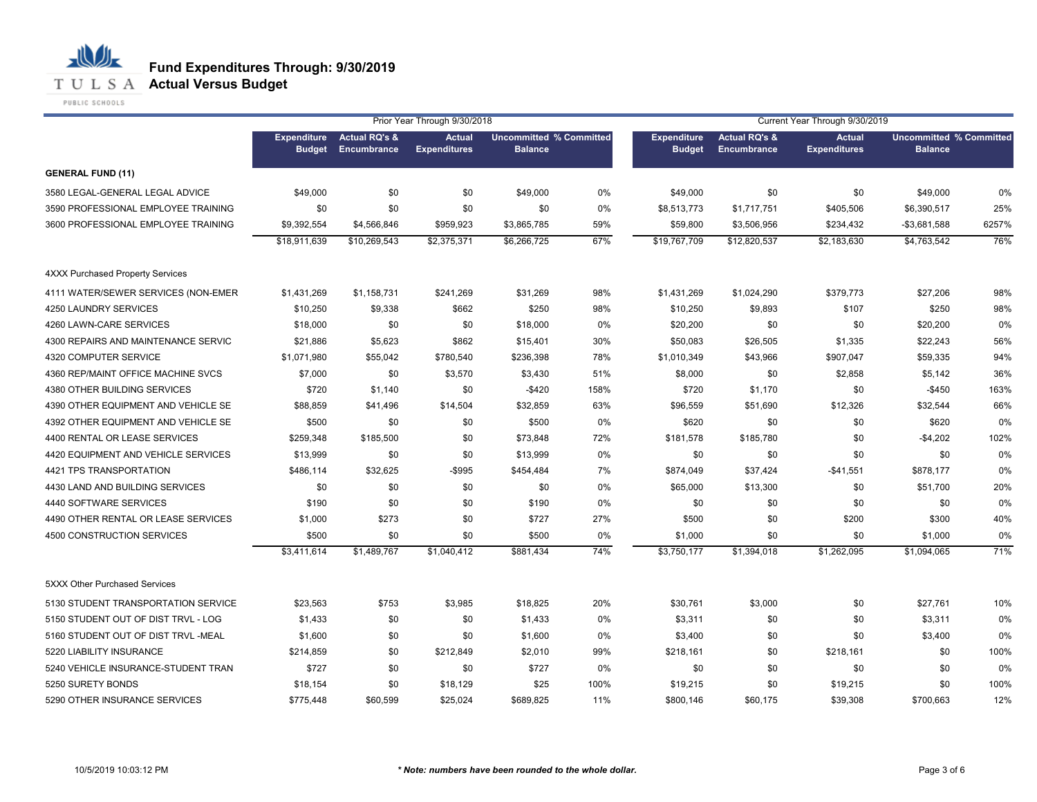**T U L S A Actual Versus Budget** 

PUBLIC SCHOOLS

|                                         | Prior Year Through 9/30/2018<br>Current Year Through 9/30/2019 |                                         |                                      |                                                  |      |                                     |                                                |                                      |                                                  |       |
|-----------------------------------------|----------------------------------------------------------------|-----------------------------------------|--------------------------------------|--------------------------------------------------|------|-------------------------------------|------------------------------------------------|--------------------------------------|--------------------------------------------------|-------|
|                                         | <b>Expenditure</b><br><b>Budget</b>                            | <b>Actual RQ's &amp;</b><br>Encumbrance | <b>Actual</b><br><b>Expenditures</b> | <b>Uncommitted % Committed</b><br><b>Balance</b> |      | <b>Expenditure</b><br><b>Budget</b> | <b>Actual RQ's &amp;</b><br><b>Encumbrance</b> | <b>Actual</b><br><b>Expenditures</b> | <b>Uncommitted % Committed</b><br><b>Balance</b> |       |
| <b>GENERAL FUND (11)</b>                |                                                                |                                         |                                      |                                                  |      |                                     |                                                |                                      |                                                  |       |
| 3580 LEGAL-GENERAL LEGAL ADVICE         | \$49,000                                                       | \$0                                     | \$0                                  | \$49,000                                         | 0%   | \$49,000                            | \$0                                            | \$0                                  | \$49,000                                         | 0%    |
| 3590 PROFESSIONAL EMPLOYEE TRAINING     | \$0                                                            | \$0                                     | \$0                                  | \$0                                              | 0%   | \$8,513,773                         | \$1,717,751                                    | \$405,506                            | \$6,390,517                                      | 25%   |
| 3600 PROFESSIONAL EMPLOYEE TRAINING     | \$9,392,554                                                    | \$4,566,846                             | \$959,923                            | \$3,865,785                                      | 59%  | \$59,800                            | \$3,506,956                                    | \$234,432                            | $-$3,681,588$                                    | 6257% |
|                                         | \$18,911,639                                                   | \$10,269,543                            | \$2,375,371                          | \$6,266,725                                      | 67%  | \$19,767,709                        | \$12,820,537                                   | \$2,183,630                          | \$4.763.542                                      | 76%   |
| <b>4XXX Purchased Property Services</b> |                                                                |                                         |                                      |                                                  |      |                                     |                                                |                                      |                                                  |       |
| 4111 WATER/SEWER SERVICES (NON-EMER     | \$1,431,269                                                    | \$1,158,731                             | \$241,269                            | \$31,269                                         | 98%  | \$1,431,269                         | \$1,024,290                                    | \$379,773                            | \$27,206                                         | 98%   |
| 4250 LAUNDRY SERVICES                   | \$10,250                                                       | \$9,338                                 | \$662                                | \$250                                            | 98%  | \$10,250                            | \$9,893                                        | \$107                                | \$250                                            | 98%   |
| 4260 LAWN-CARE SERVICES                 | \$18,000                                                       | \$0                                     | \$0                                  | \$18,000                                         | 0%   | \$20,200                            | \$0                                            | \$0                                  | \$20,200                                         | 0%    |
| 4300 REPAIRS AND MAINTENANCE SERVIC     | \$21,886                                                       | \$5,623                                 | \$862                                | \$15,401                                         | 30%  | \$50,083                            | \$26,505                                       | \$1,335                              | \$22,243                                         | 56%   |
| 4320 COMPUTER SERVICE                   | \$1,071,980                                                    | \$55,042                                | \$780,540                            | \$236,398                                        | 78%  | \$1,010,349                         | \$43,966                                       | \$907,047                            | \$59,335                                         | 94%   |
| 4360 REP/MAINT OFFICE MACHINE SVCS      | \$7,000                                                        | \$0                                     | \$3,570                              | \$3,430                                          | 51%  | \$8,000                             | \$0                                            | \$2,858                              | \$5,142                                          | 36%   |
| 4380 OTHER BUILDING SERVICES            | \$720                                                          | \$1,140                                 | \$0                                  | $-$ \$420                                        | 158% | \$720                               | \$1,170                                        | \$0                                  | $-$ \$450                                        | 163%  |
| 4390 OTHER EQUIPMENT AND VEHICLE SE     | \$88,859                                                       | \$41,496                                | \$14,504                             | \$32,859                                         | 63%  | \$96,559                            | \$51,690                                       | \$12,326                             | \$32,544                                         | 66%   |
| 4392 OTHER EQUIPMENT AND VEHICLE SE     | \$500                                                          | \$0                                     | \$0                                  | \$500                                            | 0%   | \$620                               | \$0                                            | \$0                                  | \$620                                            | 0%    |
| 4400 RENTAL OR LEASE SERVICES           | \$259,348                                                      | \$185,500                               | \$0                                  | \$73,848                                         | 72%  | \$181,578                           | \$185,780                                      | \$0                                  | $-$4,202$                                        | 102%  |
| 4420 EQUIPMENT AND VEHICLE SERVICES     | \$13,999                                                       | \$0                                     | \$0                                  | \$13,999                                         | 0%   | \$0                                 | \$0                                            | \$0                                  | \$0                                              | 0%    |
| 4421 TPS TRANSPORTATION                 | \$486,114                                                      | \$32,625                                | $-$ \$995                            | \$454,484                                        | 7%   | \$874,049                           | \$37,424                                       | $-$41,551$                           | \$878,177                                        | 0%    |
| 4430 LAND AND BUILDING SERVICES         | \$0                                                            | \$0                                     | \$0                                  | \$0                                              | 0%   | \$65,000                            | \$13,300                                       | \$0                                  | \$51,700                                         | 20%   |
| 4440 SOFTWARE SERVICES                  | \$190                                                          | \$0                                     | \$0                                  | \$190                                            | 0%   | \$0                                 | \$0                                            | \$0                                  | \$0                                              | 0%    |
| 4490 OTHER RENTAL OR LEASE SERVICES     | \$1,000                                                        | \$273                                   | \$0                                  | \$727                                            | 27%  | \$500                               | \$0                                            | \$200                                | \$300                                            | 40%   |
| 4500 CONSTRUCTION SERVICES              | \$500                                                          | \$0                                     | \$0                                  | \$500                                            | 0%   | \$1,000                             | \$0                                            | \$0                                  | \$1,000                                          | 0%    |
|                                         | \$3,411,614                                                    | \$1,489,767                             | \$1,040,412                          | \$881.434                                        | 74%  | \$3,750,177                         | \$1,394,018                                    | \$1,262,095                          | \$1,094,065                                      | 71%   |
| 5XXX Other Purchased Services           |                                                                |                                         |                                      |                                                  |      |                                     |                                                |                                      |                                                  |       |
| 5130 STUDENT TRANSPORTATION SERVICE     | \$23,563                                                       | \$753                                   | \$3,985                              | \$18,825                                         | 20%  | \$30,761                            | \$3,000                                        | \$0                                  | \$27,761                                         | 10%   |
| 5150 STUDENT OUT OF DIST TRVL - LOG     | \$1,433                                                        | \$0                                     | \$0                                  | \$1,433                                          | 0%   | \$3,311                             | \$0                                            | \$0                                  | \$3,311                                          | 0%    |
| 5160 STUDENT OUT OF DIST TRVL -MEAL     | \$1,600                                                        | \$0                                     | \$0                                  | \$1,600                                          | 0%   | \$3,400                             | \$0                                            | \$0                                  | \$3,400                                          | 0%    |
| 5220 LIABILITY INSURANCE                | \$214,859                                                      | \$0                                     | \$212,849                            | \$2,010                                          | 99%  | \$218,161                           | \$0                                            | \$218,161                            | \$0                                              | 100%  |
| 5240 VEHICLE INSURANCE-STUDENT TRAN     | \$727                                                          | \$0                                     | \$0                                  | \$727                                            | 0%   | \$0                                 | \$0                                            | \$0                                  | \$0                                              | 0%    |
| 5250 SURETY BONDS                       | \$18,154                                                       | \$0                                     | \$18,129                             | \$25                                             | 100% | \$19,215                            | \$0                                            | \$19,215                             | \$0                                              | 100%  |
| 5290 OTHER INSURANCE SERVICES           | \$775.448                                                      | \$60.599                                | \$25.024                             | \$689.825                                        | 11%  | \$800.146                           | \$60.175                                       | \$39.308                             | \$700.663                                        | 12%   |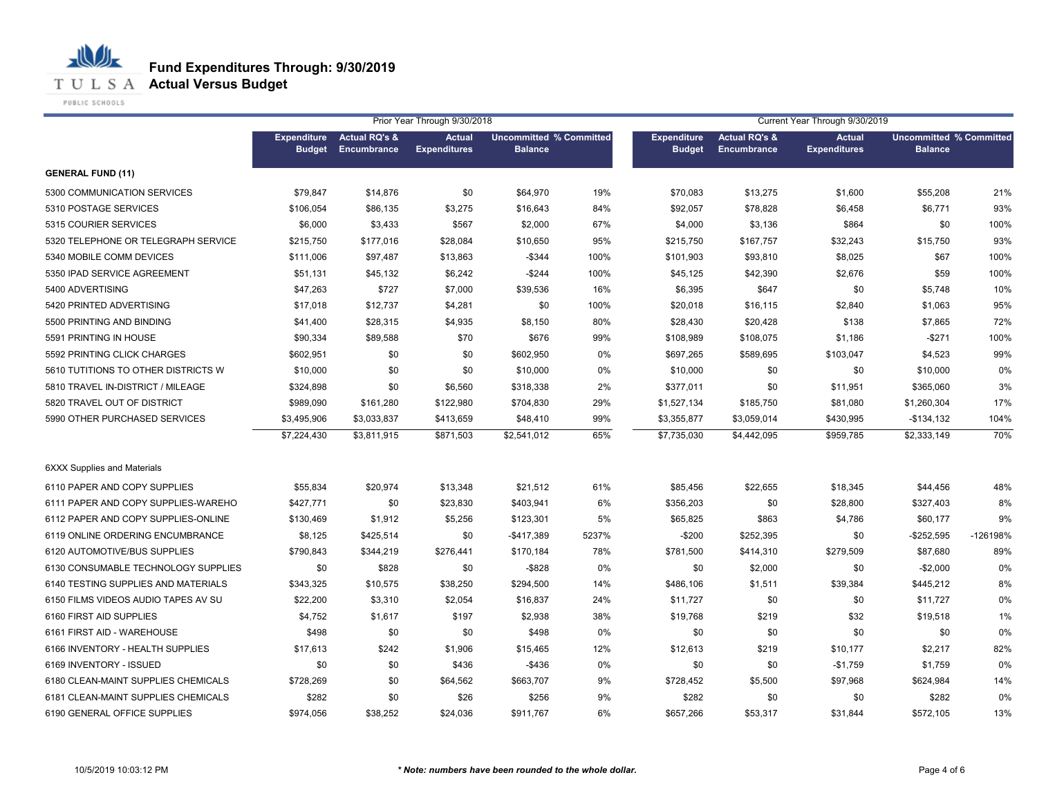**T U L S A Actual Versus Budget** 

PUBLIC SCHOOLS

|                                     |                                     |                                         | Prior Year Through 9/30/2018         |                                                  |       |                                     |                                         | Current Year Through 9/30/2019       |                                                  |          |
|-------------------------------------|-------------------------------------|-----------------------------------------|--------------------------------------|--------------------------------------------------|-------|-------------------------------------|-----------------------------------------|--------------------------------------|--------------------------------------------------|----------|
|                                     | <b>Expenditure</b><br><b>Budget</b> | <b>Actual RQ's &amp;</b><br>Encumbrance | <b>Actual</b><br><b>Expenditures</b> | <b>Uncommitted % Committed</b><br><b>Balance</b> |       | <b>Expenditure</b><br><b>Budget</b> | <b>Actual RQ's &amp;</b><br>Encumbrance | <b>Actual</b><br><b>Expenditures</b> | <b>Uncommitted % Committed</b><br><b>Balance</b> |          |
| <b>GENERAL FUND (11)</b>            |                                     |                                         |                                      |                                                  |       |                                     |                                         |                                      |                                                  |          |
| 5300 COMMUNICATION SERVICES         | \$79,847                            | \$14,876                                | \$0                                  | \$64,970                                         | 19%   | \$70,083                            | \$13,275                                | \$1,600                              | \$55,208                                         | 21%      |
| 5310 POSTAGE SERVICES               | \$106,054                           | \$86,135                                | \$3,275                              | \$16,643                                         | 84%   | \$92,057                            | \$78,828                                | \$6,458                              | \$6,771                                          | 93%      |
| 5315 COURIER SERVICES               | \$6,000                             | \$3,433                                 | \$567                                | \$2,000                                          | 67%   | \$4,000                             | \$3,136                                 | \$864                                | \$0                                              | 100%     |
| 5320 TELEPHONE OR TELEGRAPH SERVICE | \$215,750                           | \$177,016                               | \$28,084                             | \$10,650                                         | 95%   | \$215,750                           | \$167,757                               | \$32,243                             | \$15,750                                         | 93%      |
| 5340 MOBILE COMM DEVICES            | \$111,006                           | \$97,487                                | \$13,863                             | $-$ \$344                                        | 100%  | \$101,903                           | \$93,810                                | \$8,025                              | \$67                                             | 100%     |
| 5350 IPAD SERVICE AGREEMENT         | \$51,131                            | \$45,132                                | \$6,242                              | $-$244$                                          | 100%  | \$45,125                            | \$42,390                                | \$2,676                              | \$59                                             | 100%     |
| 5400 ADVERTISING                    | \$47,263                            | \$727                                   | \$7,000                              | \$39,536                                         | 16%   | \$6,395                             | \$647                                   | \$0                                  | \$5,748                                          | 10%      |
| 5420 PRINTED ADVERTISING            | \$17,018                            | \$12,737                                | \$4,281                              | \$0                                              | 100%  | \$20,018                            | \$16,115                                | \$2,840                              | \$1,063                                          | 95%      |
| 5500 PRINTING AND BINDING           | \$41,400                            | \$28,315                                | \$4,935                              | \$8,150                                          | 80%   | \$28,430                            | \$20,428                                | \$138                                | \$7,865                                          | 72%      |
| 5591 PRINTING IN HOUSE              | \$90,334                            | \$89,588                                | \$70                                 | \$676                                            | 99%   | \$108,989                           | \$108,075                               | \$1,186                              | $-$271$                                          | 100%     |
| 5592 PRINTING CLICK CHARGES         | \$602,951                           | \$0                                     | \$0                                  | \$602,950                                        | 0%    | \$697,265                           | \$589,695                               | \$103,047                            | \$4,523                                          | 99%      |
| 5610 TUTITIONS TO OTHER DISTRICTS W | \$10,000                            | \$0                                     | \$0                                  | \$10,000                                         | 0%    | \$10,000                            | \$0                                     | \$0                                  | \$10,000                                         | 0%       |
| 5810 TRAVEL IN-DISTRICT / MILEAGE   | \$324,898                           | \$0                                     | \$6,560                              | \$318,338                                        | 2%    | \$377,011                           | \$0                                     | \$11,951                             | \$365,060                                        | 3%       |
| 5820 TRAVEL OUT OF DISTRICT         | \$989,090                           | \$161,280                               | \$122,980                            | \$704,830                                        | 29%   | \$1,527,134                         | \$185,750                               | \$81,080                             | \$1,260,304                                      | 17%      |
| 5990 OTHER PURCHASED SERVICES       | \$3,495,906                         | \$3,033,837                             | \$413,659                            | \$48,410                                         | 99%   | \$3,355,877                         | \$3,059,014                             | \$430,995                            | $-$134,132$                                      | 104%     |
|                                     | \$7,224,430                         | \$3,811,915                             | \$871,503                            | \$2,541,012                                      | 65%   | \$7,735,030                         | \$4,442,095                             | \$959,785                            | \$2,333,149                                      | 70%      |
| <b>6XXX Supplies and Materials</b>  |                                     |                                         |                                      |                                                  |       |                                     |                                         |                                      |                                                  |          |
| 6110 PAPER AND COPY SUPPLIES        | \$55,834                            | \$20,974                                | \$13,348                             | \$21,512                                         | 61%   | \$85,456                            | \$22,655                                | \$18,345                             | \$44,456                                         | 48%      |
| 6111 PAPER AND COPY SUPPLIES-WAREHO | \$427,771                           | \$0                                     | \$23,830                             | \$403,941                                        | 6%    | \$356,203                           | \$0                                     | \$28,800                             | \$327,403                                        | 8%       |
| 6112 PAPER AND COPY SUPPLIES-ONLINE | \$130,469                           | \$1,912                                 | \$5,256                              | \$123,301                                        | 5%    | \$65,825                            | \$863                                   | \$4,786                              | \$60,177                                         | 9%       |
| 6119 ONLINE ORDERING ENCUMBRANCE    | \$8,125                             | \$425,514                               | \$0                                  | $-$417,389$                                      | 5237% | $-$200$                             | \$252,395                               | \$0                                  | $-$252,595$                                      | -126198% |
| 6120 AUTOMOTIVE/BUS SUPPLIES        | \$790,843                           | \$344,219                               | \$276,441                            | \$170,184                                        | 78%   | \$781,500                           | \$414,310                               | \$279,509                            | \$87,680                                         | 89%      |
| 6130 CONSUMABLE TECHNOLOGY SUPPLIES | \$0                                 | \$828                                   | \$0                                  | $-$ \$828                                        | 0%    | \$0                                 | \$2,000                                 | \$0                                  | $-$2,000$                                        | 0%       |
| 6140 TESTING SUPPLIES AND MATERIALS | \$343,325                           | \$10,575                                | \$38,250                             | \$294,500                                        | 14%   | \$486,106                           | \$1,511                                 | \$39,384                             | \$445,212                                        | 8%       |
| 6150 FILMS VIDEOS AUDIO TAPES AV SU | \$22,200                            | \$3,310                                 | \$2,054                              | \$16,837                                         | 24%   | \$11,727                            | \$0                                     | \$0                                  | \$11,727                                         | 0%       |
| 6160 FIRST AID SUPPLIES             | \$4,752                             | \$1,617                                 | \$197                                | \$2,938                                          | 38%   | \$19,768                            | \$219                                   | \$32                                 | \$19,518                                         | 1%       |
| 6161 FIRST AID - WAREHOUSE          | \$498                               | \$0                                     | \$0                                  | \$498                                            | 0%    | \$0                                 | \$0                                     | \$0                                  | \$0                                              | 0%       |
| 6166 INVENTORY - HEALTH SUPPLIES    | \$17,613                            | \$242                                   | \$1,906                              | \$15,465                                         | 12%   | \$12,613                            | \$219                                   | \$10,177                             | \$2,217                                          | 82%      |
| 6169 INVENTORY - ISSUED             | \$0                                 | \$0                                     | \$436                                | -\$436                                           | 0%    | \$0                                 | \$0                                     | $-$1,759$                            | \$1,759                                          | 0%       |
| 6180 CLEAN-MAINT SUPPLIES CHEMICALS | \$728,269                           | \$0                                     | \$64,562                             | \$663,707                                        | 9%    | \$728,452                           | \$5,500                                 | \$97,968                             | \$624,984                                        | 14%      |
| 6181 CLEAN-MAINT SUPPLIES CHEMICALS | \$282                               | \$0                                     | \$26                                 | \$256                                            | 9%    | \$282                               | \$0                                     | \$0                                  | \$282                                            | 0%       |
| 6190 GENERAL OFFICE SUPPLIES        | \$974,056                           | \$38,252                                | \$24,036                             | \$911,767                                        | 6%    | \$657,266                           | \$53,317                                | \$31,844                             | \$572,105                                        | 13%      |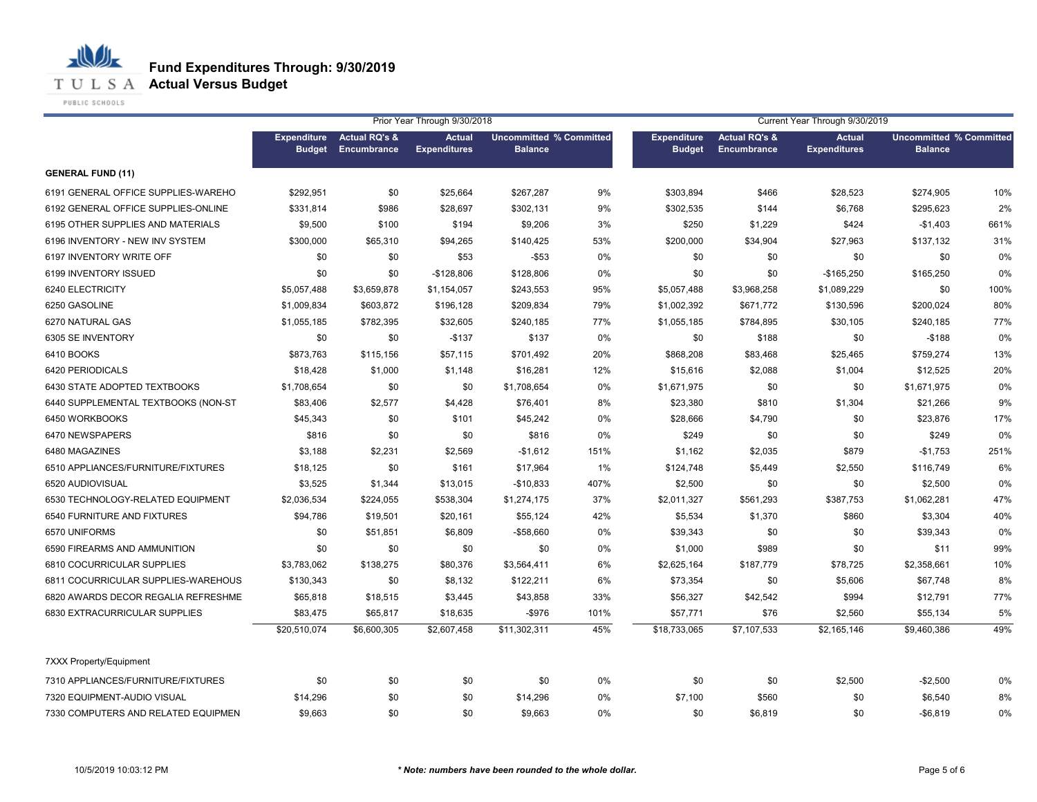**T U L S A Actual Versus Budget** 

PUBLIC SCHOOLS

|                                     |                                     |                                         | Prior Year Through 9/30/2018         |                                                  |       | Current Year Through 9/30/2019      |                                         |                                      |                                                  |      |
|-------------------------------------|-------------------------------------|-----------------------------------------|--------------------------------------|--------------------------------------------------|-------|-------------------------------------|-----------------------------------------|--------------------------------------|--------------------------------------------------|------|
|                                     | <b>Expenditure</b><br><b>Budget</b> | <b>Actual RQ's &amp;</b><br>Encumbrance | <b>Actual</b><br><b>Expenditures</b> | <b>Uncommitted % Committed</b><br><b>Balance</b> |       | <b>Expenditure</b><br><b>Budget</b> | <b>Actual RQ's &amp;</b><br>Encumbrance | <b>Actual</b><br><b>Expenditures</b> | <b>Uncommitted % Committed</b><br><b>Balance</b> |      |
| <b>GENERAL FUND (11)</b>            |                                     |                                         |                                      |                                                  |       |                                     |                                         |                                      |                                                  |      |
| 6191 GENERAL OFFICE SUPPLIES-WAREHO | \$292,951                           | \$0                                     | \$25,664                             | \$267,287                                        | 9%    | \$303,894                           | \$466                                   | \$28,523                             | \$274,905                                        | 10%  |
| 6192 GENERAL OFFICE SUPPLIES-ONLINE | \$331,814                           | \$986                                   | \$28,697                             | \$302,131                                        | 9%    | \$302,535                           | \$144                                   | \$6,768                              | \$295,623                                        | 2%   |
| 6195 OTHER SUPPLIES AND MATERIALS   | \$9,500                             | \$100                                   | \$194                                | \$9,206                                          | 3%    | \$250                               | \$1,229                                 | \$424                                | $-$1,403$                                        | 661% |
| 6196 INVENTORY - NEW INV SYSTEM     | \$300,000                           | \$65,310                                | \$94,265                             | \$140,425                                        | 53%   | \$200,000                           | \$34,904                                | \$27,963                             | \$137,132                                        | 31%  |
| 6197 INVENTORY WRITE OFF            | \$0                                 | \$0                                     | \$53                                 | $-$ \$53                                         | 0%    | \$0                                 | \$0                                     | \$0                                  | \$0                                              | 0%   |
| 6199 INVENTORY ISSUED               | \$0                                 | \$0                                     | $-$128,806$                          | \$128,806                                        | 0%    | \$0                                 | \$0                                     | $-$165,250$                          | \$165,250                                        | 0%   |
| 6240 ELECTRICITY                    | \$5,057,488                         | \$3,659,878                             | \$1,154,057                          | \$243,553                                        | 95%   | \$5,057,488                         | \$3,968,258                             | \$1,089,229                          | \$0                                              | 100% |
| 6250 GASOLINE                       | \$1,009,834                         | \$603,872                               | \$196,128                            | \$209,834                                        | 79%   | \$1,002,392                         | \$671,772                               | \$130,596                            | \$200,024                                        | 80%  |
| 6270 NATURAL GAS                    | \$1,055,185                         | \$782,395                               | \$32,605                             | \$240,185                                        | 77%   | \$1,055,185                         | \$784,895                               | \$30,105                             | \$240,185                                        | 77%  |
| 6305 SE INVENTORY                   | \$0                                 | \$0                                     | $-$137$                              | \$137                                            | 0%    | \$0                                 | \$188                                   | \$0                                  | $-$188$                                          | 0%   |
| 6410 BOOKS                          | \$873,763                           | \$115,156                               | \$57,115                             | \$701,492                                        | 20%   | \$868,208                           | \$83,468                                | \$25,465                             | \$759,274                                        | 13%  |
| 6420 PERIODICALS                    | \$18,428                            | \$1,000                                 | \$1,148                              | \$16,281                                         | 12%   | \$15,616                            | \$2,088                                 | \$1,004                              | \$12,525                                         | 20%  |
| 6430 STATE ADOPTED TEXTBOOKS        | \$1,708,654                         | \$0                                     | \$0                                  | \$1,708,654                                      | $0\%$ | \$1,671,975                         | \$0                                     | \$0                                  | \$1,671,975                                      | 0%   |
| 6440 SUPPLEMENTAL TEXTBOOKS (NON-ST | \$83,406                            | \$2,577                                 | \$4,428                              | \$76,401                                         | 8%    | \$23,380                            | \$810                                   | \$1,304                              | \$21,266                                         | 9%   |
| 6450 WORKBOOKS                      | \$45,343                            | \$0                                     | \$101                                | \$45,242                                         | 0%    | \$28,666                            | \$4,790                                 | \$0                                  | \$23,876                                         | 17%  |
| 6470 NEWSPAPERS                     | \$816                               | \$0                                     | \$0                                  | \$816                                            | 0%    | \$249                               | \$0                                     | \$0                                  | \$249                                            | 0%   |
| 6480 MAGAZINES                      | \$3,188                             | \$2,231                                 | \$2,569                              | $-$1,612$                                        | 151%  | \$1,162                             | \$2,035                                 | \$879                                | $-$1,753$                                        | 251% |
| 6510 APPLIANCES/FURNITURE/FIXTURES  | \$18,125                            | \$0                                     | \$161                                | \$17,964                                         | 1%    | \$124,748                           | \$5,449                                 | \$2,550                              | \$116,749                                        | 6%   |
| 6520 AUDIOVISUAL                    | \$3,525                             | \$1,344                                 | \$13,015                             | -\$10,833                                        | 407%  | \$2,500                             | \$0                                     | \$0                                  | \$2,500                                          | 0%   |
| 6530 TECHNOLOGY-RELATED EQUIPMENT   | \$2,036,534                         | \$224,055                               | \$538,304                            | \$1,274,175                                      | 37%   | \$2,011,327                         | \$561,293                               | \$387,753                            | \$1,062,281                                      | 47%  |
| 6540 FURNITURE AND FIXTURES         | \$94,786                            | \$19,501                                | \$20,161                             | \$55,124                                         | 42%   | \$5,534                             | \$1,370                                 | \$860                                | \$3,304                                          | 40%  |
| 6570 UNIFORMS                       | \$0                                 | \$51,851                                | \$6,809                              | -\$58,660                                        | 0%    | \$39,343                            | \$0                                     | \$0                                  | \$39,343                                         | 0%   |
| 6590 FIREARMS AND AMMUNITION        | \$0                                 | \$0                                     | \$0                                  | \$0                                              | 0%    | \$1,000                             | \$989                                   | \$0                                  | \$11                                             | 99%  |
| 6810 COCURRICULAR SUPPLIES          | \$3,783,062                         | \$138,275                               | \$80,376                             | \$3,564,411                                      | 6%    | \$2,625,164                         | \$187,779                               | \$78,725                             | \$2,358,661                                      | 10%  |
| 6811 COCURRICULAR SUPPLIES-WAREHOUS | \$130,343                           | \$0                                     | \$8,132                              | \$122,211                                        | 6%    | \$73,354                            | \$0                                     | \$5,606                              | \$67,748                                         | 8%   |
| 6820 AWARDS DECOR REGALIA REFRESHME | \$65,818                            | \$18,515                                | \$3,445                              | \$43,858                                         | 33%   | \$56,327                            | \$42,542                                | \$994                                | \$12,791                                         | 77%  |
| 6830 EXTRACURRICULAR SUPPLIES       | \$83,475                            | \$65,817                                | \$18,635                             | $-$ \$976                                        | 101%  | \$57,771                            | \$76                                    | \$2,560                              | \$55,134                                         | 5%   |
|                                     | \$20,510,074                        | \$6,600,305                             | \$2,607,458                          | \$11,302,311                                     | 45%   | \$18,733,065                        | \$7,107,533                             | \$2,165,146                          | \$9,460,386                                      | 49%  |
| 7XXX Property/Equipment             |                                     |                                         |                                      |                                                  |       |                                     |                                         |                                      |                                                  |      |
| 7310 APPLIANCES/FURNITURE/FIXTURES  | \$0                                 | \$0                                     | \$0                                  | \$0                                              | 0%    | \$0                                 | \$0                                     | \$2,500                              | $-$2,500$                                        | 0%   |
| 7320 EQUIPMENT-AUDIO VISUAL         | \$14,296                            | \$0                                     | \$0                                  | \$14,296                                         | 0%    | \$7,100                             | \$560                                   | \$0                                  | \$6,540                                          | 8%   |
| 7330 COMPUTERS AND RELATED EQUIPMEN | \$9,663                             | \$0                                     | \$0                                  | \$9,663                                          | 0%    | \$0                                 | \$6,819                                 | \$0                                  | $-$6,819$                                        | 0%   |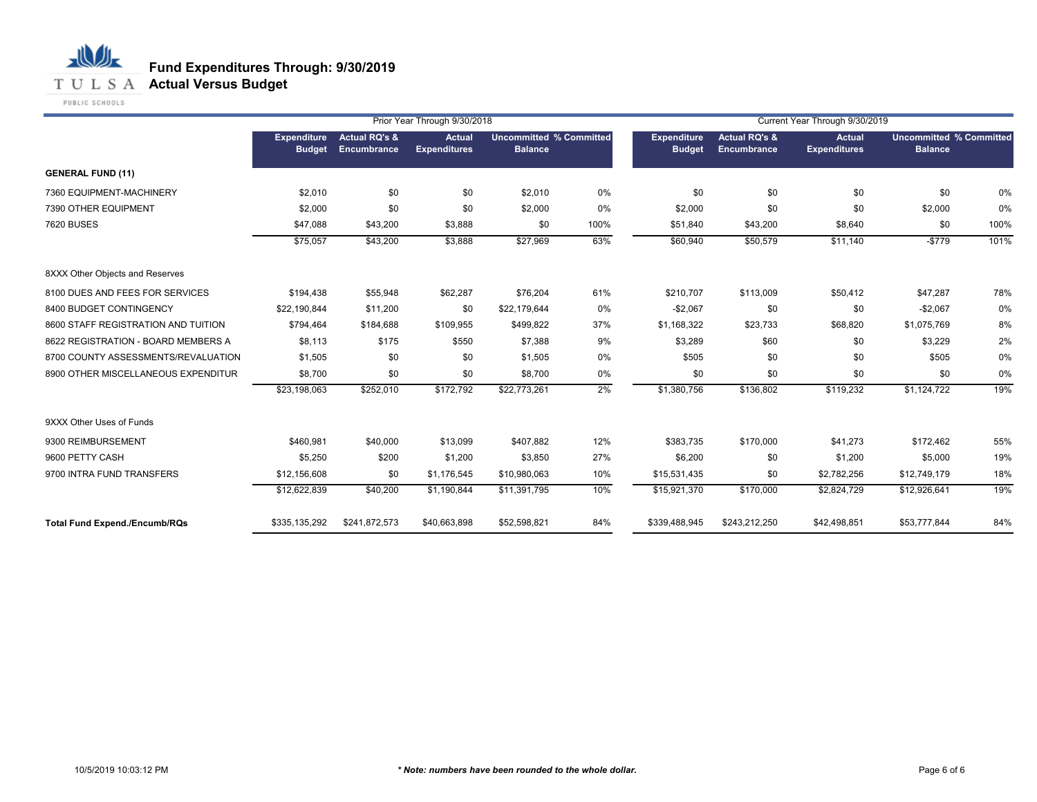**T U L S A Actual Versus Budget** 

PUBLIC SCHOOLS

|                                      |                                     |                                         | Prior Year Through 9/30/2018         |                                                  |      |                                     |                                         | Current Year Through 9/30/2019       |                                                  |      |
|--------------------------------------|-------------------------------------|-----------------------------------------|--------------------------------------|--------------------------------------------------|------|-------------------------------------|-----------------------------------------|--------------------------------------|--------------------------------------------------|------|
|                                      | <b>Expenditure</b><br><b>Budget</b> | <b>Actual RQ's &amp;</b><br>Encumbrance | <b>Actual</b><br><b>Expenditures</b> | <b>Uncommitted % Committed</b><br><b>Balance</b> |      | <b>Expenditure</b><br><b>Budget</b> | <b>Actual RQ's &amp;</b><br>Encumbrance | <b>Actual</b><br><b>Expenditures</b> | <b>Uncommitted % Committed</b><br><b>Balance</b> |      |
| <b>GENERAL FUND (11)</b>             |                                     |                                         |                                      |                                                  |      |                                     |                                         |                                      |                                                  |      |
| 7360 EQUIPMENT-MACHINERY             | \$2,010                             | \$0                                     | \$0                                  | \$2,010                                          | 0%   | \$0                                 | \$0                                     | \$0                                  | \$0                                              | 0%   |
| 7390 OTHER EQUIPMENT                 | \$2,000                             | \$0                                     | \$0                                  | \$2,000                                          | 0%   | \$2,000                             | \$0                                     | \$0                                  | \$2,000                                          | 0%   |
| <b>7620 BUSES</b>                    | \$47,088                            | \$43,200                                | \$3,888                              | \$0                                              | 100% | \$51,840                            | \$43,200                                | \$8,640                              | \$0                                              | 100% |
|                                      | \$75,057                            | \$43,200                                | \$3,888                              | \$27,969                                         | 63%  | \$60,940                            | \$50,579                                | \$11,140                             | $-$779$                                          | 101% |
| 8XXX Other Objects and Reserves      |                                     |                                         |                                      |                                                  |      |                                     |                                         |                                      |                                                  |      |
| 8100 DUES AND FEES FOR SERVICES      | \$194,438                           | \$55,948                                | \$62,287                             | \$76,204                                         | 61%  | \$210,707                           | \$113,009                               | \$50,412                             | \$47,287                                         | 78%  |
| 8400 BUDGET CONTINGENCY              | \$22,190,844                        | \$11,200                                | \$0                                  | \$22,179,644                                     | 0%   | $-$2,067$                           | \$0                                     | \$0                                  | $-$2,067$                                        | 0%   |
| 8600 STAFF REGISTRATION AND TUITION  | \$794,464                           | \$184,688                               | \$109,955                            | \$499,822                                        | 37%  | \$1,168,322                         | \$23,733                                | \$68,820                             | \$1,075,769                                      | 8%   |
| 8622 REGISTRATION - BOARD MEMBERS A  | \$8,113                             | \$175                                   | \$550                                | \$7,388                                          | 9%   | \$3,289                             | \$60                                    | \$0                                  | \$3,229                                          | 2%   |
| 8700 COUNTY ASSESSMENTS/REVALUATION  | \$1,505                             | \$0                                     | \$0                                  | \$1.505                                          | 0%   | \$505                               | \$0                                     | \$0                                  | \$505                                            | 0%   |
| 8900 OTHER MISCELLANEOUS EXPENDITUR  | \$8,700                             | \$0                                     | \$0                                  | \$8,700                                          | 0%   | \$0                                 | \$0                                     | \$0                                  | \$0                                              | 0%   |
|                                      | \$23,198,063                        | \$252,010                               | \$172,792                            | \$22,773,261                                     | 2%   | \$1,380,756                         | \$136,802                               | \$119,232                            | \$1,124,722                                      | 19%  |
| 9XXX Other Uses of Funds             |                                     |                                         |                                      |                                                  |      |                                     |                                         |                                      |                                                  |      |
| 9300 REIMBURSEMENT                   | \$460.981                           | \$40,000                                | \$13,099                             | \$407,882                                        | 12%  | \$383,735                           | \$170,000                               | \$41,273                             | \$172,462                                        | 55%  |
| 9600 PETTY CASH                      | \$5,250                             | \$200                                   | \$1,200                              | \$3,850                                          | 27%  | \$6,200                             | \$0                                     | \$1,200                              | \$5,000                                          | 19%  |
| 9700 INTRA FUND TRANSFERS            | \$12,156,608                        | \$0                                     | \$1,176,545                          | \$10,980,063                                     | 10%  | \$15,531,435                        | \$0                                     | \$2,782,256                          | \$12,749,179                                     | 18%  |
|                                      | \$12,622,839                        | \$40,200                                | \$1,190,844                          | \$11,391,795                                     | 10%  | \$15,921,370                        | \$170,000                               | \$2,824,729                          | \$12,926,641                                     | 19%  |
| <b>Total Fund Expend./Encumb/RQs</b> | \$335,135,292                       | \$241,872,573                           | \$40,663,898                         | \$52,598,821                                     | 84%  | \$339,488,945                       | \$243,212,250                           | \$42,498,851                         | \$53,777,844                                     | 84%  |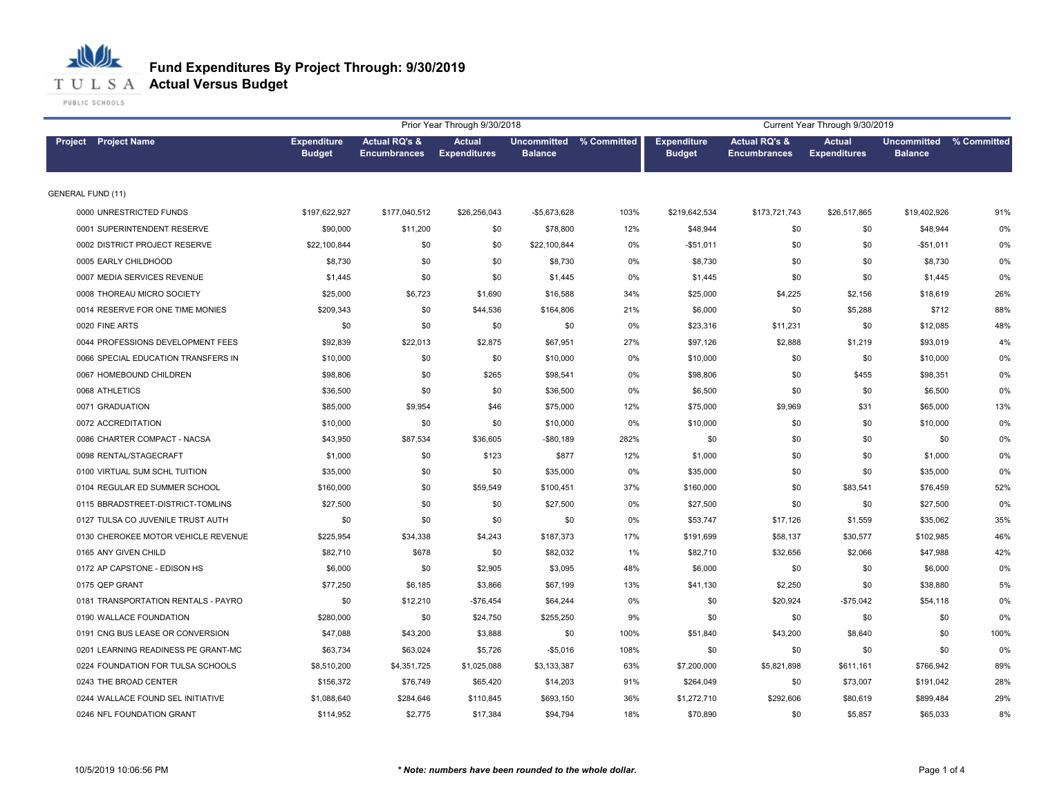

|                                     |                                     |                                                 | Prior Year Through 9/30/2018         |                                           |      |                                     |                                                 | Current Year Through 9/30/2019       |                                      |             |
|-------------------------------------|-------------------------------------|-------------------------------------------------|--------------------------------------|-------------------------------------------|------|-------------------------------------|-------------------------------------------------|--------------------------------------|--------------------------------------|-------------|
| Project Project Name                | <b>Expenditure</b><br><b>Budget</b> | <b>Actual RQ's &amp;</b><br><b>Encumbrances</b> | <b>Actual</b><br><b>Expenditures</b> | Uncommitted % Committed<br><b>Balance</b> |      | <b>Expenditure</b><br><b>Budget</b> | <b>Actual RQ's &amp;</b><br><b>Encumbrances</b> | <b>Actual</b><br><b>Expenditures</b> | <b>Uncommitted</b><br><b>Balance</b> | % Committed |
| <b>GENERAL FUND (11)</b>            |                                     |                                                 |                                      |                                           |      |                                     |                                                 |                                      |                                      |             |
| 0000 UNRESTRICTED FUNDS             | \$197,622,927                       | \$177,040,512                                   | \$26,256,043                         | -\$5,673,628                              | 103% | \$219,642,534                       | \$173,721,743                                   | \$26,517,865                         | \$19,402,926                         | 91%         |
| 0001 SUPERINTENDENT RESERVE         | \$90,000                            | \$11,200                                        | \$0                                  | \$78,800                                  | 12%  | \$48,944                            | \$0                                             | \$0                                  | \$48,944                             | 0%          |
| 0002 DISTRICT PROJECT RESERVE       | \$22,100,844                        | \$0                                             | \$0                                  | \$22,100,844                              | 0%   | $-$51,011$                          | \$0                                             | \$0                                  | $-$51,011$                           | 0%          |
| 0005 EARLY CHILDHOOD                | \$8,730                             | \$0                                             | \$0                                  | \$8,730                                   | 0%   | \$8,730                             | \$0                                             | \$0                                  | \$8,730                              | 0%          |
| 0007 MEDIA SERVICES REVENUE         | \$1,445                             | \$0                                             | \$0                                  | \$1,445                                   | 0%   | \$1,445                             | \$0                                             | \$0                                  | \$1,445                              | 0%          |
| 0008 THOREAU MICRO SOCIETY          | \$25,000                            | \$6,723                                         | \$1,690                              | \$16,588                                  | 34%  | \$25,000                            | \$4,225                                         | \$2,156                              | \$18,619                             | 26%         |
| 0014 RESERVE FOR ONE TIME MONIES    | \$209,343                           | \$0                                             | \$44,536                             | \$164,806                                 | 21%  | \$6,000                             | \$0                                             | \$5,288                              | \$712                                | 88%         |
| 0020 FINE ARTS                      | \$0                                 | \$0                                             | \$0                                  | \$0                                       | 0%   | \$23,316                            | \$11,231                                        | \$0                                  | \$12,085                             | 48%         |
| 0044 PROFESSIONS DEVELOPMENT FEES   | \$92,839                            | \$22,013                                        | \$2,875                              | \$67,951                                  | 27%  | \$97,126                            | \$2,888                                         | \$1,219                              | \$93,019                             | 4%          |
| 0066 SPECIAL EDUCATION TRANSFERS IN | \$10,000                            | \$0                                             | \$0                                  | \$10,000                                  | 0%   | \$10,000                            | \$0                                             | \$0                                  | \$10,000                             | 0%          |
| 0067 HOMEBOUND CHILDREN             | \$98,806                            | \$0                                             | \$265                                | \$98,541                                  | 0%   | \$98,806                            | \$0                                             | \$455                                | \$98,351                             | 0%          |
| 0068 ATHLETICS                      | \$36,500                            | \$0                                             | \$0                                  | \$36,500                                  | 0%   | \$6,500                             | \$0                                             | \$0                                  | \$6,500                              | 0%          |
| 0071 GRADUATION                     | \$85,000                            | \$9,954                                         | \$46                                 | \$75,000                                  | 12%  | \$75,000                            | \$9,969                                         | \$31                                 | \$65,000                             | 13%         |
| 0072 ACCREDITATION                  | \$10,000                            | \$0                                             | \$0                                  | \$10,000                                  | 0%   | \$10,000                            | \$0                                             | \$0                                  | \$10,000                             | 0%          |
| 0086 CHARTER COMPACT - NACSA        | \$43,950                            | \$87,534                                        | \$36,605                             | $-$80,189$                                | 282% | \$0                                 | \$0                                             | \$0                                  | \$0                                  | 0%          |
| 0098 RENTAL/STAGECRAFT              | \$1,000                             | \$0                                             | \$123                                | \$877                                     | 12%  | \$1,000                             | \$0                                             | \$0                                  | \$1,000                              | 0%          |
| 0100 VIRTUAL SUM SCHL TUITION       | \$35,000                            | \$0                                             | \$0                                  | \$35,000                                  | 0%   | \$35,000                            | \$0                                             | \$0                                  | \$35,000                             | 0%          |
| 0104 REGULAR ED SUMMER SCHOOL       | \$160,000                           | \$0                                             | \$59,549                             | \$100,451                                 | 37%  | \$160,000                           | \$0                                             | \$83,541                             | \$76,459                             | 52%         |
| 0115 BBRADSTREET-DISTRICT-TOMLINS   | \$27,500                            | \$0                                             | \$0                                  | \$27,500                                  | 0%   | \$27,500                            | \$0                                             | \$0                                  | \$27,500                             | 0%          |
| 0127 TULSA CO JUVENILE TRUST AUTH   | \$0                                 | \$0                                             | \$0                                  | \$0                                       | 0%   | \$53,747                            | \$17,126                                        | \$1,559                              | \$35,062                             | 35%         |
| 0130 CHEROKEE MOTOR VEHICLE REVENUE | \$225,954                           | \$34,338                                        | \$4,243                              | \$187,373                                 | 17%  | \$191,699                           | \$58,137                                        | \$30,577                             | \$102,985                            | 46%         |
| 0165 ANY GIVEN CHILD                | \$82,710                            | \$678                                           | \$0                                  | \$82,032                                  | 1%   | \$82,710                            | \$32,656                                        | \$2,066                              | \$47,988                             | 42%         |
| 0172 AP CAPSTONE - EDISON HS        | \$6,000                             | \$0                                             | \$2,905                              | \$3,095                                   | 48%  | \$6,000                             | \$0                                             | \$0                                  | \$6,000                              | 0%          |
| 0175 QEP GRANT                      | \$77,250                            | \$6,185                                         | \$3,866                              | \$67,199                                  | 13%  | \$41,130                            | \$2,250                                         | \$0                                  | \$38,880                             | 5%          |
| 0181 TRANSPORTATION RENTALS - PAYRO | \$0                                 | \$12,210                                        | $-$76,454$                           | \$64,244                                  | 0%   | \$0                                 | \$20,924                                        | $-$75,042$                           | \$54,118                             | 0%          |
| 0190 WALLACE FOUNDATION             | \$280,000                           | \$0                                             | \$24,750                             | \$255,250                                 | 9%   | \$0                                 | \$0                                             | \$0                                  | \$0                                  | 0%          |
| 0191 CNG BUS LEASE OR CONVERSION    | \$47,088                            | \$43,200                                        | \$3,888                              | \$0                                       | 100% | \$51,840                            | \$43,200                                        | \$8,640                              | \$0                                  | 100%        |
| 0201 LEARNING READINESS PE GRANT-MC | \$63,734                            | \$63,024                                        | \$5,726                              | $-$5,016$                                 | 108% | \$0                                 | \$0                                             | \$0                                  | \$0                                  | 0%          |
| 0224 FOUNDATION FOR TULSA SCHOOLS   | \$8,510,200                         | \$4,351,725                                     | \$1,025,088                          | \$3,133,387                               | 63%  | \$7,200,000                         | \$5,821,898                                     | \$611,161                            | \$766,942                            | 89%         |
| 0243 THE BROAD CENTER               | \$156,372                           | \$76,749                                        | \$65,420                             | \$14,203                                  | 91%  | \$264,049                           | \$0                                             | \$73,007                             | \$191,042                            | 28%         |
| 0244 WALLACE FOUND SEL INITIATIVE   | \$1,088,640                         | \$284,646                                       | \$110,845                            | \$693,150                                 | 36%  | \$1,272,710                         | \$292,606                                       | \$80,619                             | \$899,484                            | 29%         |
| 0246 NFL FOUNDATION GRANT           | \$114.952                           | \$2,775                                         | \$17,384                             | \$94.794                                  | 18%  | \$70,890                            | \$0                                             | \$5,857                              | \$65,033                             | 8%          |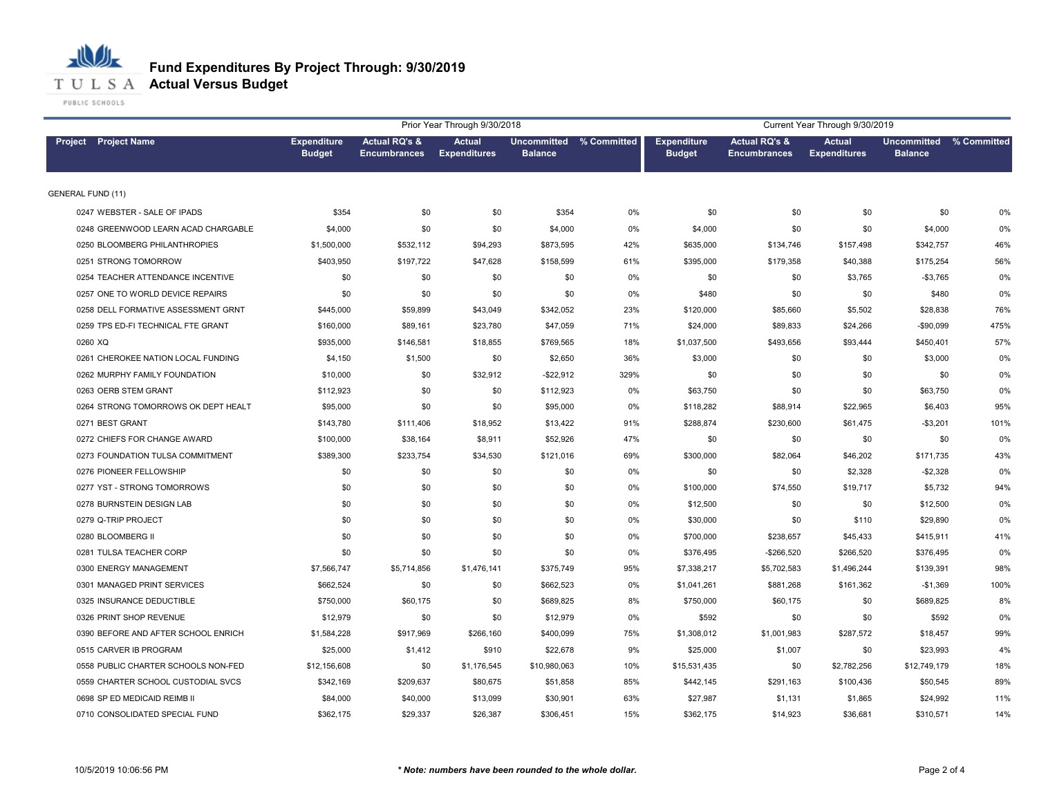

|                                     | Current Year Through 9/30/2019      |                                      |                                      |                |                         |                                     |                                                 |                                      |                                      |             |
|-------------------------------------|-------------------------------------|--------------------------------------|--------------------------------------|----------------|-------------------------|-------------------------------------|-------------------------------------------------|--------------------------------------|--------------------------------------|-------------|
| Project Project Name                | <b>Expenditure</b><br><b>Budget</b> | Actual RQ's &<br><b>Encumbrances</b> | <b>Actual</b><br><b>Expenditures</b> | <b>Balance</b> | Uncommitted % Committed | <b>Expenditure</b><br><b>Budget</b> | <b>Actual RQ's &amp;</b><br><b>Encumbrances</b> | <b>Actual</b><br><b>Expenditures</b> | <b>Uncommitted</b><br><b>Balance</b> | % Committed |
| <b>GENERAL FUND (11)</b>            |                                     |                                      |                                      |                |                         |                                     |                                                 |                                      |                                      |             |
| 0247 WEBSTER - SALE OF IPADS        | \$354                               | \$0                                  | \$0                                  | \$354          | 0%                      | \$0                                 | \$0                                             | \$0                                  | \$0                                  | 0%          |
| 0248 GREENWOOD LEARN ACAD CHARGABLE | \$4,000                             | \$0                                  | \$0                                  | \$4,000        | 0%                      | \$4,000                             | \$0                                             | \$0                                  | \$4,000                              | 0%          |
| 0250 BLOOMBERG PHILANTHROPIES       | \$1,500,000                         | \$532,112                            | \$94,293                             | \$873,595      | 42%                     | \$635,000                           | \$134,746                                       | \$157,498                            | \$342,757                            | 46%         |
| 0251 STRONG TOMORROW                | \$403,950                           | \$197,722                            | \$47,628                             | \$158,599      | 61%                     | \$395,000                           | \$179,358                                       | \$40,388                             | \$175,254                            | 56%         |
| 0254 TEACHER ATTENDANCE INCENTIVE   | \$0                                 | \$0                                  | \$0                                  | \$0            | 0%                      | \$0                                 | \$0                                             | \$3,765                              | $-$3,765$                            | 0%          |
| 0257 ONE TO WORLD DEVICE REPAIRS    | \$0                                 | \$0                                  | \$0                                  | \$0            | 0%                      | \$480                               | \$0                                             | \$0                                  | \$480                                | 0%          |
| 0258 DELL FORMATIVE ASSESSMENT GRNT | \$445,000                           | \$59,899                             | \$43,049                             | \$342,052      | 23%                     | \$120,000                           | \$85,660                                        | \$5,502                              | \$28,838                             | 76%         |
| 0259 TPS ED-FI TECHNICAL FTE GRANT  | \$160,000                           | \$89,161                             | \$23,780                             | \$47,059       | 71%                     | \$24,000                            | \$89,833                                        | \$24,266                             | $-$90,099$                           | 475%        |
| 0260 XQ                             | \$935,000                           | \$146,581                            | \$18,855                             | \$769,565      | 18%                     | \$1,037,500                         | \$493,656                                       | \$93,444                             | \$450,401                            | 57%         |
| 0261 CHEROKEE NATION LOCAL FUNDING  | \$4,150                             | \$1,500                              | \$0                                  | \$2,650        | 36%                     | \$3,000                             | \$0                                             | \$0                                  | \$3,000                              | 0%          |
| 0262 MURPHY FAMILY FOUNDATION       | \$10,000                            | \$0                                  | \$32,912                             | $-$ \$22,912   | 329%                    | \$0                                 | \$0                                             | \$0                                  | \$0                                  | 0%          |
| 0263 OERB STEM GRANT                | \$112,923                           | \$0                                  | \$0                                  | \$112,923      | 0%                      | \$63,750                            | \$0                                             | \$0                                  | \$63,750                             | 0%          |
| 0264 STRONG TOMORROWS OK DEPT HEALT | \$95,000                            | \$0                                  | \$0                                  | \$95,000       | 0%                      | \$118,282                           | \$88,914                                        | \$22,965                             | \$6,403                              | 95%         |
| 0271 BEST GRANT                     | \$143,780                           | \$111,406                            | \$18,952                             | \$13,422       | 91%                     | \$288,874                           | \$230,600                                       | \$61,475                             | $-$3,201$                            | 101%        |
| 0272 CHIEFS FOR CHANGE AWARD        | \$100,000                           | \$38,164                             | \$8,911                              | \$52,926       | 47%                     | \$0                                 | \$0                                             | \$0                                  | \$0                                  | 0%          |
| 0273 FOUNDATION TULSA COMMITMENT    | \$389,300                           | \$233,754                            | \$34,530                             | \$121,016      | 69%                     | \$300,000                           | \$82,064                                        | \$46,202                             | \$171,735                            | 43%         |
| 0276 PIONEER FELLOWSHIP             | \$0                                 | \$0                                  | \$0                                  | \$0            | 0%                      | \$0                                 | \$0                                             | \$2,328                              | $-$2,328$                            | 0%          |
| 0277 YST - STRONG TOMORROWS         | \$0                                 | \$0                                  | \$0                                  | \$0            | 0%                      | \$100,000                           | \$74,550                                        | \$19,717                             | \$5,732                              | 94%         |
| 0278 BURNSTEIN DESIGN LAB           | \$0                                 | \$0                                  | \$0                                  | \$0            | 0%                      | \$12,500                            | \$0                                             | \$0                                  | \$12,500                             | 0%          |
| 0279 Q-TRIP PROJECT                 | \$0                                 | \$0                                  | \$0                                  | \$0            | 0%                      | \$30,000                            | \$0                                             | \$110                                | \$29,890                             | 0%          |
| 0280 BLOOMBERG II                   | \$0                                 | \$0                                  | \$0                                  | \$0            | 0%                      | \$700,000                           | \$238,657                                       | \$45,433                             | \$415,911                            | 41%         |
| 0281 TULSA TEACHER CORP             | \$0                                 | \$0                                  | \$0                                  | \$0            | 0%                      | \$376,495                           | $-$266,520$                                     | \$266,520                            | \$376,495                            | 0%          |
| 0300 ENERGY MANAGEMENT              | \$7,566,747                         | \$5,714,856                          | \$1,476,141                          | \$375,749      | 95%                     | \$7,338,217                         | \$5,702,583                                     | \$1,496,244                          | \$139,391                            | 98%         |
| 0301 MANAGED PRINT SERVICES         | \$662,524                           | \$0                                  | \$0                                  | \$662,523      | 0%                      | \$1,041,261                         | \$881,268                                       | \$161,362                            | $-$1,369$                            | 100%        |
| 0325 INSURANCE DEDUCTIBLE           | \$750,000                           | \$60,175                             | \$0                                  | \$689,825      | 8%                      | \$750,000                           | \$60,175                                        | \$0                                  | \$689,825                            | 8%          |
| 0326 PRINT SHOP REVENUE             | \$12,979                            | \$0                                  | \$0                                  | \$12,979       | 0%                      | \$592                               | \$0                                             | \$0                                  | \$592                                | 0%          |
| 0390 BEFORE AND AFTER SCHOOL ENRICH | \$1,584,228                         | \$917,969                            | \$266,160                            | \$400,099      | 75%                     | \$1,308,012                         | \$1,001,983                                     | \$287,572                            | \$18,457                             | 99%         |
| 0515 CARVER IB PROGRAM              | \$25,000                            | \$1,412                              | \$910                                | \$22,678       | 9%                      | \$25,000                            | \$1,007                                         | \$0                                  | \$23,993                             | 4%          |
| 0558 PUBLIC CHARTER SCHOOLS NON-FED | \$12,156,608                        | \$0                                  | \$1,176,545                          | \$10,980,063   | 10%                     | \$15,531,435                        | \$0                                             | \$2,782,256                          | \$12,749,179                         | 18%         |
| 0559 CHARTER SCHOOL CUSTODIAL SVCS  | \$342,169                           | \$209,637                            | \$80,675                             | \$51,858       | 85%                     | \$442,145                           | \$291,163                                       | \$100,436                            | \$50,545                             | 89%         |
| 0698 SP ED MEDICAID REIMB II        | \$84,000                            | \$40,000                             | \$13,099                             | \$30,901       | 63%                     | \$27,987                            | \$1,131                                         | \$1,865                              | \$24,992                             | 11%         |
| 0710 CONSOLIDATED SPECIAL FUND      | \$362,175                           | \$29,337                             | \$26,387                             | \$306,451      | 15%                     | \$362,175                           | \$14,923                                        | \$36,681                             | \$310,571                            | 14%         |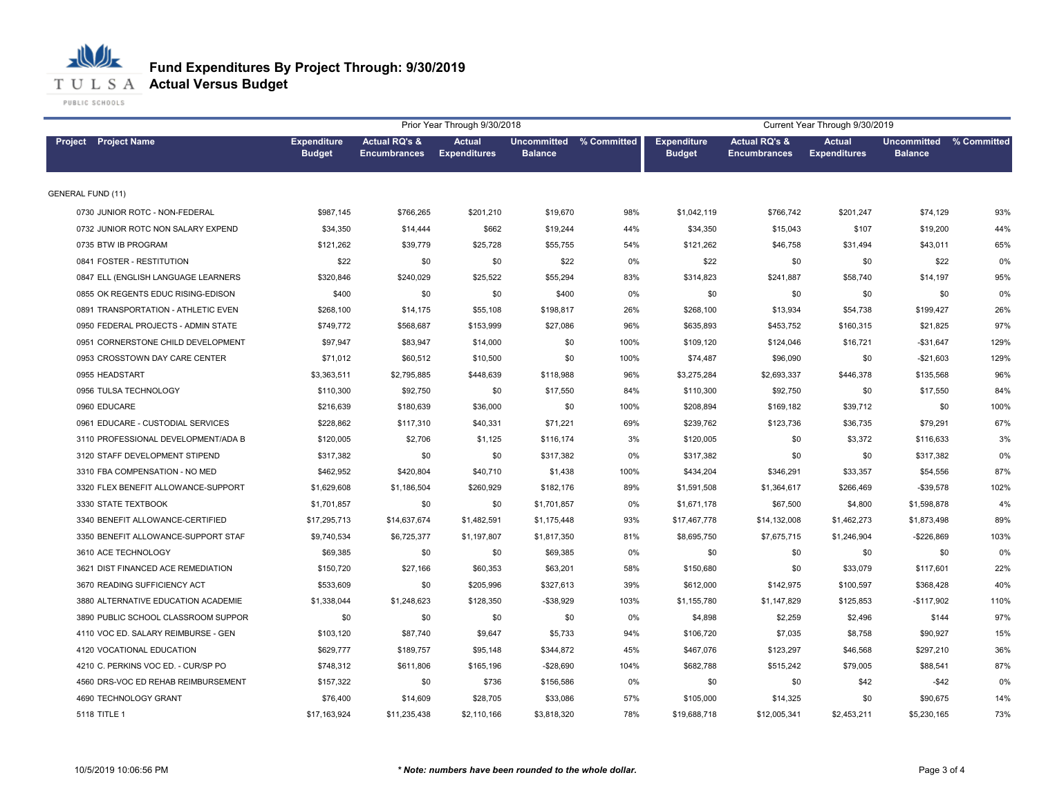

**T U L S A Actual Versus Budget** 

|                                     |                                     | Current Year Through 9/30/2019                  |                                      |                |                         |                                     |                                                 |                                      |                                           |      |
|-------------------------------------|-------------------------------------|-------------------------------------------------|--------------------------------------|----------------|-------------------------|-------------------------------------|-------------------------------------------------|--------------------------------------|-------------------------------------------|------|
| Project Project Name                | <b>Expenditure</b><br><b>Budget</b> | <b>Actual RQ's &amp;</b><br><b>Encumbrances</b> | <b>Actual</b><br><b>Expenditures</b> | <b>Balance</b> | Uncommitted % Committed | <b>Expenditure</b><br><b>Budget</b> | <b>Actual RQ's &amp;</b><br><b>Encumbrances</b> | <b>Actual</b><br><b>Expenditures</b> | Uncommitted % Committed<br><b>Balance</b> |      |
| <b>GENERAL FUND (11)</b>            |                                     |                                                 |                                      |                |                         |                                     |                                                 |                                      |                                           |      |
| 0730 JUNIOR ROTC - NON-FEDERAL      | \$987,145                           | \$766,265                                       | \$201,210                            | \$19,670       | 98%                     | \$1,042,119                         | \$766,742                                       | \$201,247                            | \$74,129                                  | 93%  |
| 0732 JUNIOR ROTC NON SALARY EXPEND  | \$34,350                            | \$14,444                                        | \$662                                | \$19,244       | 44%                     | \$34,350                            | \$15,043                                        | \$107                                | \$19,200                                  | 44%  |
| 0735 BTW IB PROGRAM                 | \$121,262                           | \$39,779                                        | \$25,728                             | \$55,755       | 54%                     | \$121,262                           | \$46,758                                        | \$31,494                             | \$43,011                                  | 65%  |
| 0841 FOSTER - RESTITUTION           | \$22                                | \$0                                             | \$0                                  | \$22           | 0%                      | \$22                                | \$0                                             | \$0                                  | \$22                                      | 0%   |
| 0847 ELL (ENGLISH LANGUAGE LEARNERS | \$320,846                           | \$240,029                                       | \$25,522                             | \$55,294       | 83%                     | \$314,823                           | \$241,887                                       | \$58,740                             | \$14,197                                  | 95%  |
| 0855 OK REGENTS EDUC RISING-EDISON  | \$400                               | \$0                                             | \$0                                  | \$400          | 0%                      | \$0                                 | \$0                                             | \$0                                  | \$0                                       | 0%   |
| 0891 TRANSPORTATION - ATHLETIC EVEN | \$268,100                           | \$14,175                                        | \$55,108                             | \$198,817      | 26%                     | \$268,100                           | \$13,934                                        | \$54,738                             | \$199,427                                 | 26%  |
| 0950 FEDERAL PROJECTS - ADMIN STATE | \$749,772                           | \$568,687                                       | \$153,999                            | \$27,086       | 96%                     | \$635,893                           | \$453,752                                       | \$160,315                            | \$21,825                                  | 97%  |
| 0951 CORNERSTONE CHILD DEVELOPMENT  | \$97,947                            | \$83,947                                        | \$14,000                             | \$0            | 100%                    | \$109,120                           | \$124,046                                       | \$16,721                             | $-$31,647$                                | 129% |
| 0953 CROSSTOWN DAY CARE CENTER      | \$71,012                            | \$60,512                                        | \$10,500                             | \$0            | 100%                    | \$74,487                            | \$96,090                                        | \$0                                  | $-$21,603$                                | 129% |
| 0955 HEADSTART                      | \$3,363,511                         | \$2,795,885                                     | \$448,639                            | \$118,988      | 96%                     | \$3,275,284                         | \$2,693,337                                     | \$446,378                            | \$135,568                                 | 96%  |
| 0956 TULSA TECHNOLOGY               | \$110,300                           | \$92,750                                        | \$0                                  | \$17,550       | 84%                     | \$110,300                           | \$92,750                                        | \$0                                  | \$17,550                                  | 84%  |
| 0960 EDUCARE                        | \$216,639                           | \$180,639                                       | \$36,000                             | \$0            | 100%                    | \$208,894                           | \$169,182                                       | \$39,712                             | \$0                                       | 100% |
| 0961 EDUCARE - CUSTODIAL SERVICES   | \$228,862                           | \$117,310                                       | \$40,331                             | \$71,221       | 69%                     | \$239,762                           | \$123,736                                       | \$36,735                             | \$79,291                                  | 67%  |
| 3110 PROFESSIONAL DEVELOPMENT/ADA B | \$120,005                           | \$2,706                                         | \$1,125                              | \$116,174      | 3%                      | \$120,005                           | \$0                                             | \$3,372                              | \$116,633                                 | 3%   |
| 3120 STAFF DEVELOPMENT STIPEND      | \$317,382                           | \$0                                             | \$0                                  | \$317,382      | 0%                      | \$317,382                           | \$0                                             | \$0                                  | \$317,382                                 | 0%   |
| 3310 FBA COMPENSATION - NO MED      | \$462,952                           | \$420,804                                       | \$40,710                             | \$1,438        | 100%                    | \$434,204                           | \$346,291                                       | \$33,357                             | \$54,556                                  | 87%  |
| 3320 FLEX BENEFIT ALLOWANCE-SUPPORT | \$1,629,608                         | \$1,186,504                                     | \$260,929                            | \$182,176      | 89%                     | \$1,591,508                         | \$1,364,617                                     | \$266,469                            | $-$39,578$                                | 102% |
| 3330 STATE TEXTBOOK                 | \$1,701,857                         | \$0                                             | \$0                                  | \$1,701,857    | 0%                      | \$1,671,178                         | \$67,500                                        | \$4,800                              | \$1,598,878                               | 4%   |
| 3340 BENEFIT ALLOWANCE-CERTIFIED    | \$17,295,713                        | \$14,637,674                                    | \$1,482,591                          | \$1,175,448    | 93%                     | \$17,467,778                        | \$14,132,008                                    | \$1,462,273                          | \$1,873,498                               | 89%  |
| 3350 BENEFIT ALLOWANCE-SUPPORT STAF | \$9,740,534                         | \$6,725,377                                     | \$1,197,807                          | \$1,817,350    | 81%                     | \$8,695,750                         | \$7,675,715                                     | \$1,246,904                          | $-$226,869$                               | 103% |
| 3610 ACE TECHNOLOGY                 | \$69,385                            | \$0                                             | \$0                                  | \$69,385       | 0%                      | \$0                                 | \$0                                             | \$0                                  | \$0                                       | 0%   |
| 3621 DIST FINANCED ACE REMEDIATION  | \$150,720                           | \$27,166                                        | \$60,353                             | \$63,201       | 58%                     | \$150,680                           | \$0                                             | \$33,079                             | \$117,601                                 | 22%  |
| 3670 READING SUFFICIENCY ACT        | \$533,609                           | \$0                                             | \$205,996                            | \$327,613      | 39%                     | \$612,000                           | \$142,975                                       | \$100,597                            | \$368,428                                 | 40%  |
| 3880 ALTERNATIVE EDUCATION ACADEMIE | \$1,338,044                         | \$1,248,623                                     | \$128,350                            | $-$38,929$     | 103%                    | \$1,155,780                         | \$1,147,829                                     | \$125,853                            | $-$117,902$                               | 110% |
| 3890 PUBLIC SCHOOL CLASSROOM SUPPOR | \$0                                 | \$0                                             | \$0                                  | \$0            | 0%                      | \$4,898                             | \$2,259                                         | \$2,496                              | \$144                                     | 97%  |
| 4110 VOC ED. SALARY REIMBURSE - GEN | \$103,120                           | \$87,740                                        | \$9,647                              | \$5,733        | 94%                     | \$106,720                           | \$7,035                                         | \$8,758                              | \$90,927                                  | 15%  |
| 4120 VOCATIONAL EDUCATION           | \$629,777                           | \$189,757                                       | \$95,148                             | \$344,872      | 45%                     | \$467.076                           | \$123,297                                       | \$46,568                             | \$297.210                                 | 36%  |
| 4210 C. PERKINS VOC ED. - CUR/SP PO | \$748,312                           | \$611,806                                       | \$165,196                            | $-$28,690$     | 104%                    | \$682,788                           | \$515,242                                       | \$79,005                             | \$88,541                                  | 87%  |
| 4560 DRS-VOC ED REHAB REIMBURSEMENT | \$157,322                           | \$0                                             | \$736                                | \$156,586      | 0%                      | \$0                                 | \$0                                             | \$42                                 | $-$42$                                    | 0%   |
| 4690 TECHNOLOGY GRANT               | \$76,400                            | \$14,609                                        | \$28,705                             | \$33,086       | 57%                     | \$105,000                           | \$14,325                                        | \$0                                  | \$90,675                                  | 14%  |
| 5118 TITLE 1                        | \$17,163,924                        | \$11,235,438                                    | \$2,110,166                          | \$3,818,320    | 78%                     | \$19,688,718                        | \$12,005,341                                    | \$2,453,211                          | \$5,230,165                               | 73%  |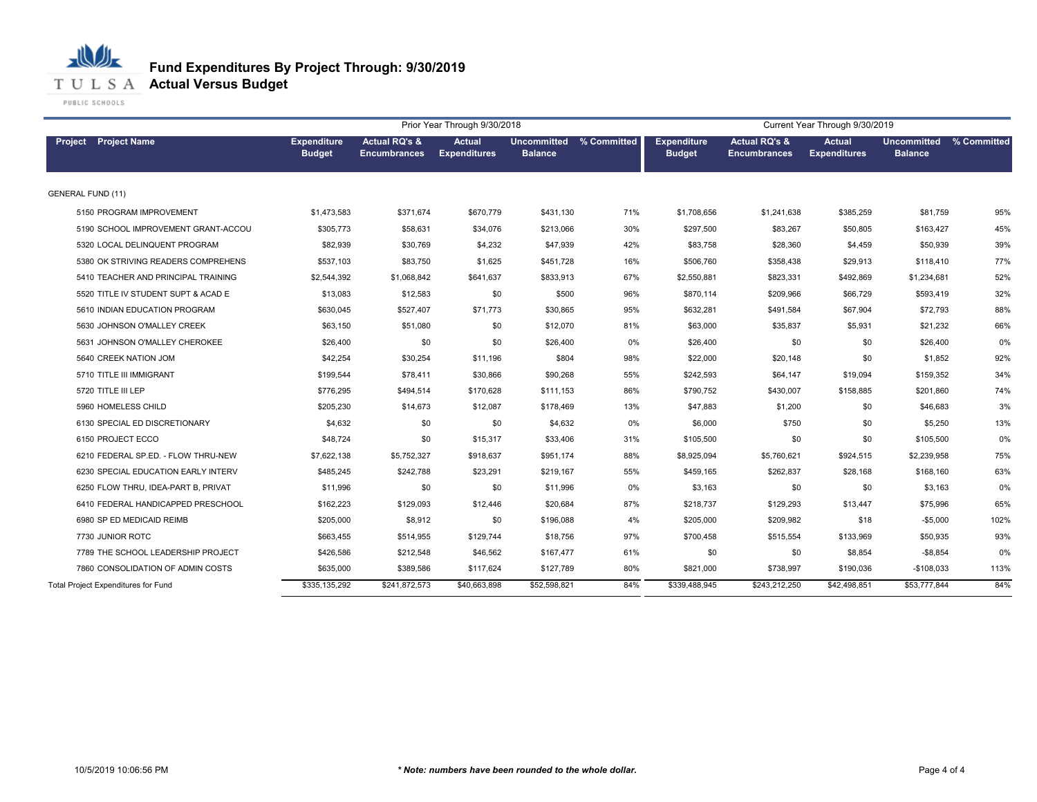

|                                            |                                     |                                                 | Prior Year Through 9/30/2018         |                                           |       | Current Year Through 9/30/2019      |                                                 |                               |                               |             |  |
|--------------------------------------------|-------------------------------------|-------------------------------------------------|--------------------------------------|-------------------------------------------|-------|-------------------------------------|-------------------------------------------------|-------------------------------|-------------------------------|-------------|--|
| <b>Project</b> Project Name                | <b>Expenditure</b><br><b>Budget</b> | <b>Actual RQ's &amp;</b><br><b>Encumbrances</b> | <b>Actual</b><br><b>Expenditures</b> | Uncommitted % Committed<br><b>Balance</b> |       | <b>Expenditure</b><br><b>Budget</b> | <b>Actual RQ's &amp;</b><br><b>Encumbrances</b> | Actual<br><b>Expenditures</b> | Uncommitted<br><b>Balance</b> | % Committed |  |
| GENERAL FUND (11)                          |                                     |                                                 |                                      |                                           |       |                                     |                                                 |                               |                               |             |  |
| 5150 PROGRAM IMPROVEMENT                   | \$1,473,583                         | \$371,674                                       | \$670,779                            | \$431,130                                 | 71%   | \$1,708,656                         | \$1,241,638                                     | \$385,259                     | \$81,759                      | 95%         |  |
| 5190 SCHOOL IMPROVEMENT GRANT-ACCOU        | \$305,773                           | \$58,631                                        | \$34,076                             | \$213,066                                 | 30%   | \$297,500                           | \$83,267                                        | \$50,805                      | \$163,427                     | 45%         |  |
| 5320 LOCAL DELINQUENT PROGRAM              | \$82,939                            | \$30,769                                        | \$4,232                              | \$47,939                                  | 42%   | \$83,758                            | \$28,360                                        | \$4,459                       | \$50,939                      | 39%         |  |
| 5380 OK STRIVING READERS COMPREHENS        | \$537,103                           | \$83,750                                        | \$1,625                              | \$451,728                                 | 16%   | \$506,760                           | \$358,438                                       | \$29,913                      | \$118,410                     | 77%         |  |
| 5410 TEACHER AND PRINCIPAL TRAINING        | \$2,544,392                         | \$1,068,842                                     | \$641,637                            | \$833,913                                 | 67%   | \$2,550,881                         | \$823,331                                       | \$492,869                     | \$1,234,681                   | 52%         |  |
| 5520 TITLE IV STUDENT SUPT & ACAD E        | \$13,083                            | \$12,583                                        | \$0                                  | \$500                                     | 96%   | \$870,114                           | \$209,966                                       | \$66,729                      | \$593,419                     | 32%         |  |
| 5610 INDIAN EDUCATION PROGRAM              | \$630,045                           | \$527,407                                       | \$71,773                             | \$30,865                                  | 95%   | \$632,281                           | \$491,584                                       | \$67,904                      | \$72,793                      | 88%         |  |
| 5630 JOHNSON O'MALLEY CREEK                | \$63,150                            | \$51,080                                        | \$0                                  | \$12,070                                  | 81%   | \$63,000                            | \$35,837                                        | \$5,931                       | \$21,232                      | 66%         |  |
| 5631 JOHNSON O'MALLEY CHEROKEE             | \$26,400                            | \$0                                             | \$0                                  | \$26,400                                  | 0%    | \$26,400                            | \$0                                             | \$0                           | \$26,400                      | 0%          |  |
| 5640 CREEK NATION JOM                      | \$42,254                            | \$30,254                                        | \$11,196                             | \$804                                     | 98%   | \$22,000                            | \$20,148                                        | \$0                           | \$1,852                       | 92%         |  |
| 5710 TITLE III IMMIGRANT                   | \$199,544                           | \$78,411                                        | \$30,866                             | \$90,268                                  | 55%   | \$242,593                           | \$64,147                                        | \$19,094                      | \$159,352                     | 34%         |  |
| 5720 TITLE III LEP                         | \$776,295                           | \$494,514                                       | \$170,628                            | \$111,153                                 | 86%   | \$790,752                           | \$430,007                                       | \$158,885                     | \$201,860                     | 74%         |  |
| 5960 HOMELESS CHILD                        | \$205,230                           | \$14,673                                        | \$12,087                             | \$178,469                                 | 13%   | \$47,883                            | \$1,200                                         | \$0                           | \$46,683                      | 3%          |  |
| 6130 SPECIAL ED DISCRETIONARY              | \$4,632                             | \$0                                             | \$0                                  | \$4,632                                   | $0\%$ | \$6,000                             | \$750                                           | \$0                           | \$5,250                       | 13%         |  |
| 6150 PROJECT ECCO                          | \$48,724                            | \$0                                             | \$15,317                             | \$33,406                                  | 31%   | \$105,500                           | \$0                                             | \$0                           | \$105,500                     | 0%          |  |
| 6210 FEDERAL SP.ED. - FLOW THRU-NEW        | \$7,622,138                         | \$5,752,327                                     | \$918,637                            | \$951,174                                 | 88%   | \$8,925,094                         | \$5,760,621                                     | \$924,515                     | \$2,239,958                   | 75%         |  |
| 6230 SPECIAL EDUCATION EARLY INTERV        | \$485,245                           | \$242,788                                       | \$23,291                             | \$219,167                                 | 55%   | \$459,165                           | \$262,837                                       | \$28,168                      | \$168,160                     | 63%         |  |
| 6250 FLOW THRU, IDEA-PART B, PRIVAT        | \$11,996                            | \$0                                             | \$0                                  | \$11,996                                  | 0%    | \$3,163                             | \$0                                             | \$0                           | \$3,163                       | 0%          |  |
| 6410 FEDERAL HANDICAPPED PRESCHOOL         | \$162,223                           | \$129,093                                       | \$12,446                             | \$20,684                                  | 87%   | \$218,737                           | \$129,293                                       | \$13,447                      | \$75,996                      | 65%         |  |
| 6980 SP ED MEDICAID REIMB                  | \$205,000                           | \$8,912                                         | \$0                                  | \$196,088                                 | 4%    | \$205,000                           | \$209,982                                       | \$18                          | $-$5,000$                     | 102%        |  |
| 7730 JUNIOR ROTC                           | \$663,455                           | \$514,955                                       | \$129,744                            | \$18,756                                  | 97%   | \$700,458                           | \$515,554                                       | \$133,969                     | \$50,935                      | 93%         |  |
| 7789 THE SCHOOL LEADERSHIP PROJECT         | \$426,586                           | \$212,548                                       | \$46,562                             | \$167,477                                 | 61%   | \$0                                 | \$0                                             | \$8,854                       | $-$ \$8,854                   | 0%          |  |
| 7860 CONSOLIDATION OF ADMIN COSTS          | \$635,000                           | \$389,586                                       | \$117,624                            | \$127,789                                 | 80%   | \$821,000                           | \$738,997                                       | \$190,036                     | $-$108,033$                   | 113%        |  |
| <b>Total Project Expenditures for Fund</b> | \$335,135,292                       | \$241,872,573                                   | \$40,663,898                         | \$52,598,821                              | 84%   | \$339,488,945                       | \$243,212,250                                   | \$42,498,851                  | \$53,777,844                  | 84%         |  |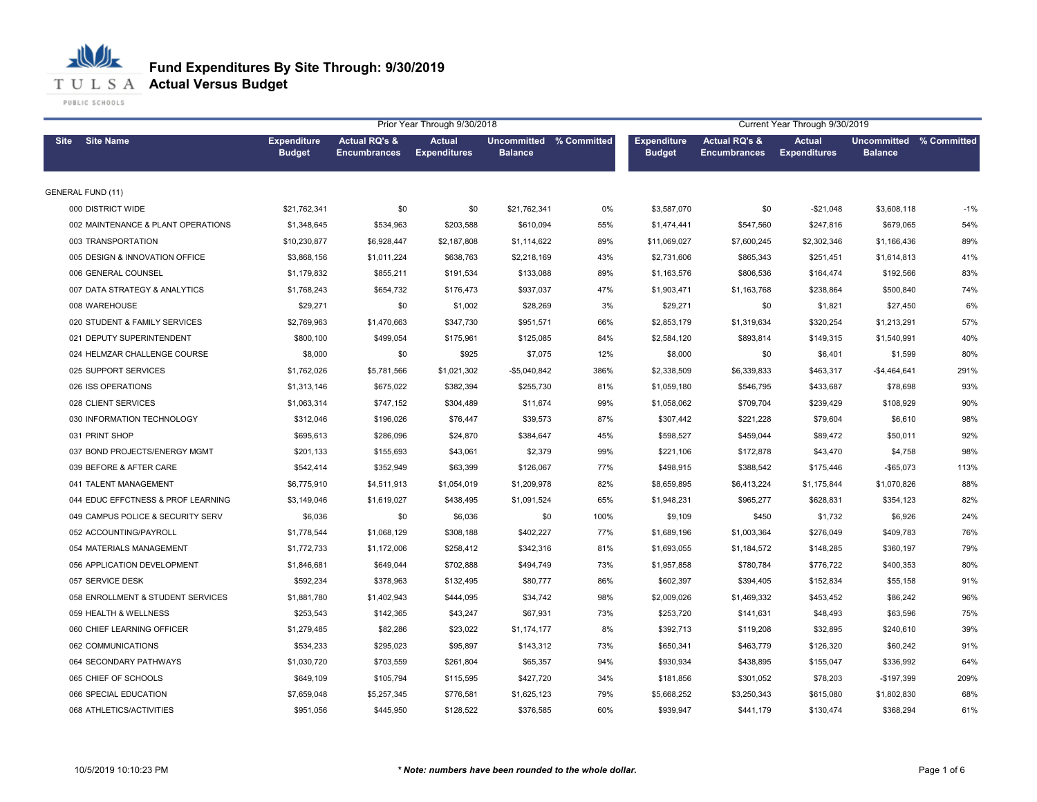

| Prior Year Through 9/30/2018<br>Current Year Through 9/30/2019 |                                     |                                                 |                                      |                                           |      |                                     |                                                 |                                      |                                                  |       |
|----------------------------------------------------------------|-------------------------------------|-------------------------------------------------|--------------------------------------|-------------------------------------------|------|-------------------------------------|-------------------------------------------------|--------------------------------------|--------------------------------------------------|-------|
| <b>Site Name</b><br>Site                                       | <b>Expenditure</b><br><b>Budget</b> | <b>Actual RQ's &amp;</b><br><b>Encumbrances</b> | <b>Actual</b><br><b>Expenditures</b> | Uncommitted % Committed<br><b>Balance</b> |      | <b>Expenditure</b><br><b>Budget</b> | <b>Actual RQ's &amp;</b><br><b>Encumbrances</b> | <b>Actual</b><br><b>Expenditures</b> | <b>Uncommitted % Committed</b><br><b>Balance</b> |       |
| <b>GENERAL FUND (11)</b>                                       |                                     |                                                 |                                      |                                           |      |                                     |                                                 |                                      |                                                  |       |
| 000 DISTRICT WIDE                                              | \$21,762,341                        | \$0                                             | \$0                                  | \$21,762,341                              | 0%   | \$3,587,070                         | \$0                                             | $-$21,048$                           | \$3,608,118                                      | $-1%$ |
| 002 MAINTENANCE & PLANT OPERATIONS                             | \$1,348,645                         | \$534,963                                       | \$203,588                            | \$610,094                                 | 55%  | \$1,474,441                         | \$547,560                                       | \$247,816                            | \$679,065                                        | 54%   |
| 003 TRANSPORTATION                                             | \$10,230,877                        | \$6,928,447                                     | \$2,187,808                          | \$1,114,622                               | 89%  | \$11,069,027                        | \$7,600,245                                     | \$2,302,346                          | \$1,166,436                                      | 89%   |
| 005 DESIGN & INNOVATION OFFICE                                 | \$3,868,156                         | \$1,011,224                                     | \$638,763                            | \$2,218,169                               | 43%  | \$2,731,606                         | \$865,343                                       | \$251,451                            | \$1,614,813                                      | 41%   |
| 006 GENERAL COUNSEL                                            | \$1,179,832                         | \$855,211                                       | \$191,534                            | \$133,088                                 | 89%  | \$1,163,576                         | \$806,536                                       | \$164,474                            | \$192,566                                        | 83%   |
| 007 DATA STRATEGY & ANALYTICS                                  | \$1,768,243                         | \$654,732                                       | \$176,473                            | \$937,037                                 | 47%  | \$1,903,471                         | \$1,163,768                                     | \$238,864                            | \$500,840                                        | 74%   |
| 008 WAREHOUSE                                                  | \$29,271                            | \$0                                             | \$1,002                              | \$28,269                                  | 3%   | \$29,271                            | \$0                                             | \$1,821                              | \$27,450                                         | 6%    |
| 020 STUDENT & FAMILY SERVICES                                  | \$2,769,963                         | \$1,470,663                                     | \$347,730                            | \$951,571                                 | 66%  | \$2,853,179                         | \$1,319,634                                     | \$320,254                            | \$1,213,291                                      | 57%   |
| 021 DEPUTY SUPERINTENDENT                                      | \$800,100                           | \$499,054                                       | \$175,961                            | \$125,085                                 | 84%  | \$2,584,120                         | \$893,814                                       | \$149,315                            | \$1,540,991                                      | 40%   |
| 024 HELMZAR CHALLENGE COURSE                                   | \$8,000                             | \$0                                             | \$925                                | \$7,075                                   | 12%  | \$8,000                             | \$0                                             | \$6,401                              | \$1,599                                          | 80%   |
| 025 SUPPORT SERVICES                                           | \$1,762,026                         | \$5,781,566                                     | \$1,021,302                          | $-$5,040,842$                             | 386% | \$2,338,509                         | \$6,339,833                                     | \$463,317                            | $-$4,464,641$                                    | 291%  |
| 026 ISS OPERATIONS                                             | \$1,313,146                         | \$675,022                                       | \$382,394                            | \$255,730                                 | 81%  | \$1,059,180                         | \$546,795                                       | \$433,687                            | \$78,698                                         | 93%   |
| 028 CLIENT SERVICES                                            | \$1,063,314                         | \$747,152                                       | \$304,489                            | \$11,674                                  | 99%  | \$1,058,062                         | \$709,704                                       | \$239,429                            | \$108,929                                        | 90%   |
| 030 INFORMATION TECHNOLOGY                                     | \$312,046                           | \$196,026                                       | \$76,447                             | \$39,573                                  | 87%  | \$307,442                           | \$221,228                                       | \$79,604                             | \$6,610                                          | 98%   |
| 031 PRINT SHOP                                                 | \$695,613                           | \$286,096                                       | \$24,870                             | \$384,647                                 | 45%  | \$598.527                           | \$459.044                                       | \$89.472                             | \$50,011                                         | 92%   |
| 037 BOND PROJECTS/ENERGY MGMT                                  | \$201,133                           | \$155,693                                       | \$43,061                             | \$2,379                                   | 99%  | \$221,106                           | \$172,878                                       | \$43,470                             | \$4,758                                          | 98%   |
| 039 BEFORE & AFTER CARE                                        | \$542,414                           | \$352,949                                       | \$63,399                             | \$126,067                                 | 77%  | \$498,915                           | \$388,542                                       | \$175,446                            | -\$65,073                                        | 113%  |
| 041 TALENT MANAGEMENT                                          | \$6,775,910                         | \$4,511,913                                     | \$1,054,019                          | \$1,209,978                               | 82%  | \$8,659,895                         | \$6,413,224                                     | \$1,175,844                          | \$1,070,826                                      | 88%   |
| 044 EDUC EFFCTNESS & PROF LEARNING                             | \$3,149,046                         | \$1,619,027                                     | \$438,495                            | \$1,091,524                               | 65%  | \$1,948,231                         | \$965,277                                       | \$628,831                            | \$354,123                                        | 82%   |
| 049 CAMPUS POLICE & SECURITY SERV                              | \$6,036                             | \$0                                             | \$6,036                              | \$0                                       | 100% | \$9,109                             | \$450                                           | \$1,732                              | \$6,926                                          | 24%   |
| 052 ACCOUNTING/PAYROLL                                         | \$1,778,544                         | \$1,068,129                                     | \$308,188                            | \$402,227                                 | 77%  | \$1,689,196                         | \$1,003,364                                     | \$276,049                            | \$409,783                                        | 76%   |
| 054 MATERIALS MANAGEMENT                                       | \$1,772,733                         | \$1,172,006                                     | \$258,412                            | \$342,316                                 | 81%  | \$1,693,055                         | \$1,184,572                                     | \$148,285                            | \$360,197                                        | 79%   |
| 056 APPLICATION DEVELOPMENT                                    | \$1,846,681                         | \$649,044                                       | \$702,888                            | \$494,749                                 | 73%  | \$1,957,858                         | \$780,784                                       | \$776,722                            | \$400,353                                        | 80%   |
| 057 SERVICE DESK                                               | \$592,234                           | \$378,963                                       | \$132,495                            | \$80,777                                  | 86%  | \$602,397                           | \$394,405                                       | \$152,834                            | \$55,158                                         | 91%   |
| 058 ENROLLMENT & STUDENT SERVICES                              | \$1,881,780                         | \$1,402,943                                     | \$444,095                            | \$34,742                                  | 98%  | \$2,009,026                         | \$1,469,332                                     | \$453,452                            | \$86,242                                         | 96%   |
| 059 HEALTH & WELLNESS                                          | \$253,543                           | \$142,365                                       | \$43,247                             | \$67,931                                  | 73%  | \$253,720                           | \$141,631                                       | \$48,493                             | \$63,596                                         | 75%   |
| 060 CHIEF LEARNING OFFICER                                     | \$1,279,485                         | \$82,286                                        | \$23,022                             | \$1,174,177                               | 8%   | \$392,713                           | \$119,208                                       | \$32,895                             | \$240,610                                        | 39%   |
| 062 COMMUNICATIONS                                             | \$534,233                           | \$295,023                                       | \$95,897                             | \$143,312                                 | 73%  | \$650,341                           | \$463,779                                       | \$126,320                            | \$60,242                                         | 91%   |
| 064 SECONDARY PATHWAYS                                         | \$1,030,720                         | \$703,559                                       | \$261,804                            | \$65,357                                  | 94%  | \$930,934                           | \$438,895                                       | \$155,047                            | \$336,992                                        | 64%   |
| 065 CHIEF OF SCHOOLS                                           | \$649,109                           | \$105,794                                       | \$115,595                            | \$427,720                                 | 34%  | \$181,856                           | \$301,052                                       | \$78,203                             | $-$197,399$                                      | 209%  |
| 066 SPECIAL EDUCATION                                          | \$7,659,048                         | \$5,257,345                                     | \$776,581                            | \$1,625,123                               | 79%  | \$5,668,252                         | \$3,250,343                                     | \$615,080                            | \$1,802,830                                      | 68%   |
| 068 ATHLETICS/ACTIVITIES                                       | \$951,056                           | \$445,950                                       | \$128,522                            | \$376,585                                 | 60%  | \$939,947                           | \$441,179                                       | \$130,474                            | \$368,294                                        | 61%   |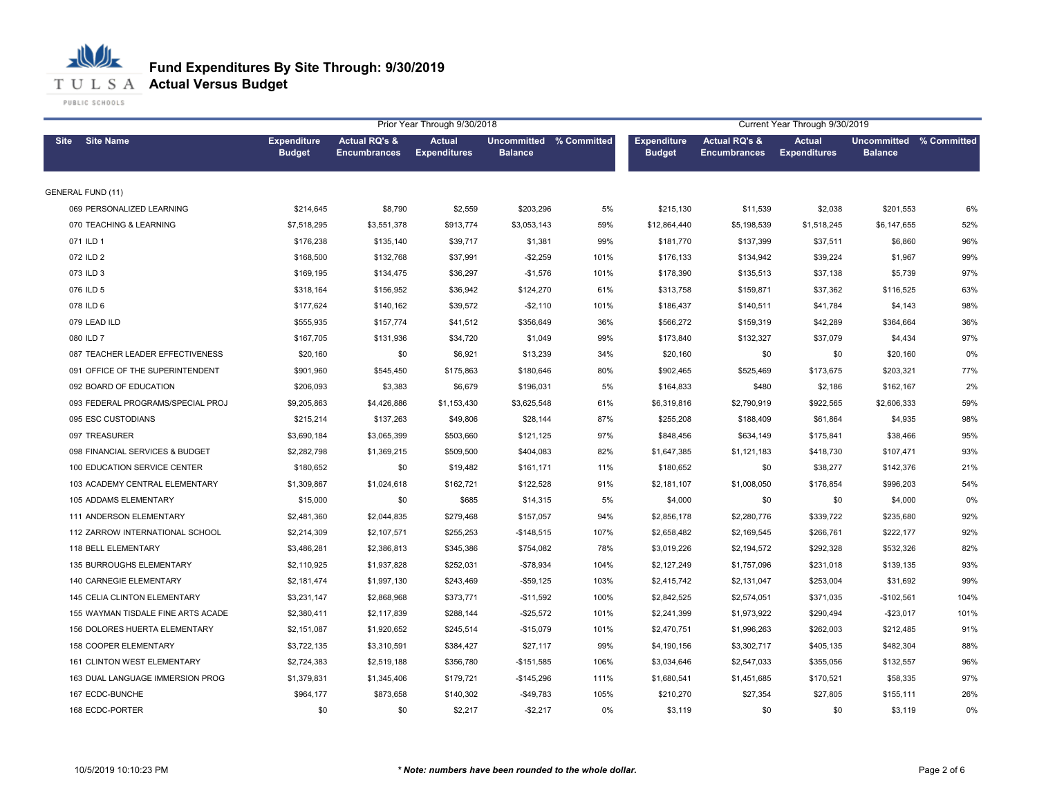

|                                    |                                     |                                                 | Prior Year Through 9/30/2018  |                                           |      |                                     |                                                 | Current Year Through 9/30/2019       |                                           |      |
|------------------------------------|-------------------------------------|-------------------------------------------------|-------------------------------|-------------------------------------------|------|-------------------------------------|-------------------------------------------------|--------------------------------------|-------------------------------------------|------|
| <b>Site Name</b><br><b>Site</b>    | <b>Expenditure</b><br><b>Budget</b> | <b>Actual RQ's &amp;</b><br><b>Encumbrances</b> | Actual<br><b>Expenditures</b> | Uncommitted % Committed<br><b>Balance</b> |      | <b>Expenditure</b><br><b>Budget</b> | <b>Actual RQ's &amp;</b><br><b>Encumbrances</b> | <b>Actual</b><br><b>Expenditures</b> | Uncommitted % Committed<br><b>Balance</b> |      |
| <b>GENERAL FUND (11)</b>           |                                     |                                                 |                               |                                           |      |                                     |                                                 |                                      |                                           |      |
| 069 PERSONALIZED LEARNING          | \$214,645                           | \$8,790                                         | \$2,559                       | \$203,296                                 | 5%   | \$215,130                           | \$11,539                                        | \$2,038                              | \$201,553                                 | 6%   |
| 070 TEACHING & LEARNING            | \$7,518,295                         | \$3,551,378                                     | \$913,774                     | \$3,053,143                               | 59%  | \$12,864,440                        | \$5,198,539                                     | \$1,518,245                          | \$6,147,655                               | 52%  |
| 071 ILD 1                          | \$176,238                           | \$135,140                                       | \$39,717                      | \$1,381                                   | 99%  | \$181,770                           | \$137,399                                       | \$37,511                             | \$6,860                                   | 96%  |
| 072 ILD 2                          | \$168,500                           | \$132,768                                       | \$37,991                      | $-$2,259$                                 | 101% | \$176,133                           | \$134,942                                       | \$39,224                             | \$1,967                                   | 99%  |
| 073 ILD 3                          | \$169,195                           | \$134,475                                       | \$36,297                      | $-$1,576$                                 | 101% | \$178,390                           | \$135,513                                       | \$37,138                             | \$5,739                                   | 97%  |
| 076 ILD 5                          | \$318,164                           | \$156,952                                       | \$36,942                      | \$124,270                                 | 61%  | \$313,758                           | \$159,871                                       | \$37,362                             | \$116,525                                 | 63%  |
| 078 ILD 6                          | \$177,624                           | \$140,162                                       | \$39,572                      | $-$2,110$                                 | 101% | \$186,437                           | \$140,511                                       | \$41,784                             | \$4,143                                   | 98%  |
| 079 LEAD ILD                       | \$555,935                           | \$157,774                                       | \$41,512                      | \$356,649                                 | 36%  | \$566,272                           | \$159,319                                       | \$42,289                             | \$364,664                                 | 36%  |
| 080 ILD 7                          | \$167,705                           | \$131,936                                       | \$34,720                      | \$1,049                                   | 99%  | \$173,840                           | \$132,327                                       | \$37,079                             | \$4,434                                   | 97%  |
| 087 TEACHER LEADER EFFECTIVENESS   | \$20,160                            | \$0                                             | \$6,921                       | \$13,239                                  | 34%  | \$20,160                            | \$0                                             | \$0                                  | \$20,160                                  | 0%   |
| 091 OFFICE OF THE SUPERINTENDENT   | \$901,960                           | \$545,450                                       | \$175,863                     | \$180,646                                 | 80%  | \$902,465                           | \$525,469                                       | \$173,675                            | \$203,321                                 | 77%  |
| 092 BOARD OF EDUCATION             | \$206,093                           | \$3,383                                         | \$6,679                       | \$196,031                                 | 5%   | \$164,833                           | \$480                                           | \$2,186                              | \$162,167                                 | 2%   |
| 093 FEDERAL PROGRAMS/SPECIAL PROJ  | \$9,205,863                         | \$4,426,886                                     | \$1,153,430                   | \$3,625,548                               | 61%  | \$6,319,816                         | \$2,790,919                                     | \$922,565                            | \$2,606,333                               | 59%  |
| 095 ESC CUSTODIANS                 | \$215,214                           | \$137,263                                       | \$49,806                      | \$28,144                                  | 87%  | \$255,208                           | \$188,409                                       | \$61,864                             | \$4,935                                   | 98%  |
| 097 TREASURER                      | \$3,690,184                         | \$3,065,399                                     | \$503,660                     | \$121,125                                 | 97%  | \$848,456                           | \$634,149                                       | \$175,841                            | \$38,466                                  | 95%  |
| 098 FINANCIAL SERVICES & BUDGET    | \$2,282,798                         | \$1,369,215                                     | \$509,500                     | \$404,083                                 | 82%  | \$1,647,385                         | \$1,121,183                                     | \$418,730                            | \$107,471                                 | 93%  |
| 100 EDUCATION SERVICE CENTER       | \$180,652                           | \$0                                             | \$19,482                      | \$161,171                                 | 11%  | \$180,652                           | \$0                                             | \$38,277                             | \$142,376                                 | 21%  |
| 103 ACADEMY CENTRAL ELEMENTARY     | \$1,309,867                         | \$1,024,618                                     | \$162,721                     | \$122,528                                 | 91%  | \$2,181,107                         | \$1,008,050                                     | \$176,854                            | \$996,203                                 | 54%  |
| 105 ADDAMS ELEMENTARY              | \$15,000                            | \$0                                             | \$685                         | \$14,315                                  | 5%   | \$4,000                             | \$0                                             | \$0                                  | \$4,000                                   | 0%   |
| 111 ANDERSON ELEMENTARY            | \$2,481,360                         | \$2,044,835                                     | \$279,468                     | \$157,057                                 | 94%  | \$2,856,178                         | \$2,280,776                                     | \$339,722                            | \$235,680                                 | 92%  |
| 112 ZARROW INTERNATIONAL SCHOOL    | \$2,214,309                         | \$2,107,571                                     | \$255,253                     | $-$148,515$                               | 107% | \$2,658,482                         | \$2,169,545                                     | \$266,761                            | \$222,177                                 | 92%  |
| 118 BELL ELEMENTARY                | \$3,486,281                         | \$2,386,813                                     | \$345,386                     | \$754,082                                 | 78%  | \$3,019,226                         | \$2,194,572                                     | \$292,328                            | \$532,326                                 | 82%  |
| 135 BURROUGHS ELEMENTARY           | \$2,110,925                         | \$1,937,828                                     | \$252,031                     | $-$78,934$                                | 104% | \$2,127,249                         | \$1,757,096                                     | \$231,018                            | \$139,135                                 | 93%  |
| 140 CARNEGIE ELEMENTARY            | \$2,181,474                         | \$1,997,130                                     | \$243,469                     | $-$59,125$                                | 103% | \$2,415,742                         | \$2,131,047                                     | \$253,004                            | \$31,692                                  | 99%  |
| 145 CELIA CLINTON ELEMENTARY       | \$3,231,147                         | \$2,868,968                                     | \$373,771                     | $-$11,592$                                | 100% | \$2,842,525                         | \$2,574,051                                     | \$371,035                            | $-$102,561$                               | 104% |
| 155 WAYMAN TISDALE FINE ARTS ACADE | \$2,380,411                         | \$2,117,839                                     | \$288,144                     | $-$ \$25,572                              | 101% | \$2,241,399                         | \$1,973,922                                     | \$290,494                            | $-$ \$23,017                              | 101% |
| 156 DOLORES HUERTA ELEMENTARY      | \$2,151,087                         | \$1,920,652                                     | \$245,514                     | $-$15,079$                                | 101% | \$2,470,751                         | \$1,996,263                                     | \$262,003                            | \$212,485                                 | 91%  |
| 158 COOPER ELEMENTARY              | \$3,722,135                         | \$3,310,591                                     | \$384,427                     | \$27,117                                  | 99%  | \$4,190,156                         | \$3,302,717                                     | \$405,135                            | \$482,304                                 | 88%  |
| 161 CLINTON WEST ELEMENTARY        | \$2,724,383                         | \$2,519,188                                     | \$356,780                     | $-$151,585$                               | 106% | \$3,034,646                         | \$2,547,033                                     | \$355,056                            | \$132,557                                 | 96%  |
| 163 DUAL LANGUAGE IMMERSION PROG   | \$1,379,831                         | \$1,345,406                                     | \$179,721                     | $-$145,296$                               | 111% | \$1,680,541                         | \$1,451,685                                     | \$170,521                            | \$58,335                                  | 97%  |
| 167 ECDC-BUNCHE                    | \$964,177                           | \$873,658                                       | \$140,302                     | $-$49,783$                                | 105% | \$210,270                           | \$27,354                                        | \$27,805                             | \$155,111                                 | 26%  |
| 168 ECDC-PORTER                    | \$0                                 | \$0                                             | \$2,217                       | $-$2,217$                                 | 0%   | \$3,119                             | \$0                                             | \$0                                  | \$3,119                                   | 0%   |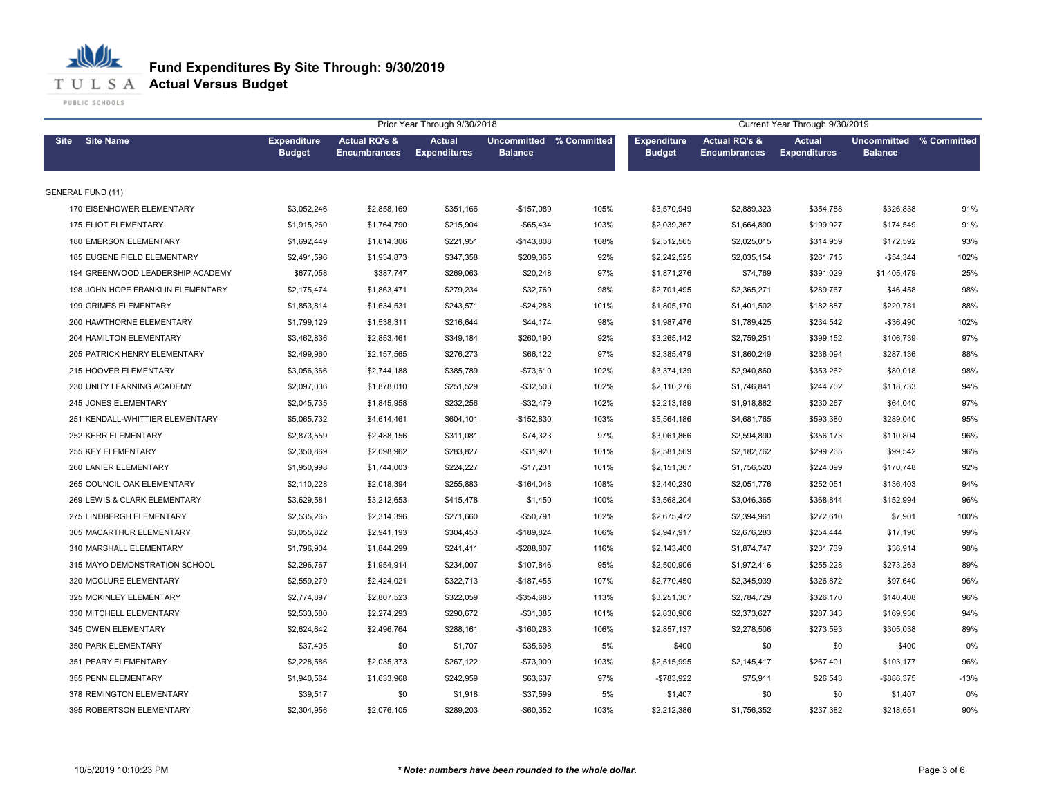#### 心儿 **Fund Expenditures By Site Through: 9/30/2019 T U L S A Actual Versus Budget**

|                                   |                                     |                                                 | Prior Year Through 9/30/2018         |                                           |      | Current Year Through 9/30/2019      |                                                 |                                      |                                           |        |
|-----------------------------------|-------------------------------------|-------------------------------------------------|--------------------------------------|-------------------------------------------|------|-------------------------------------|-------------------------------------------------|--------------------------------------|-------------------------------------------|--------|
| <b>Site Name</b><br><b>Site</b>   | <b>Expenditure</b><br><b>Budget</b> | <b>Actual RQ's &amp;</b><br><b>Encumbrances</b> | <b>Actual</b><br><b>Expenditures</b> | Uncommitted % Committed<br><b>Balance</b> |      | <b>Expenditure</b><br><b>Budget</b> | <b>Actual RQ's &amp;</b><br><b>Encumbrances</b> | <b>Actual</b><br><b>Expenditures</b> | Uncommitted % Committed<br><b>Balance</b> |        |
| <b>GENERAL FUND (11)</b>          |                                     |                                                 |                                      |                                           |      |                                     |                                                 |                                      |                                           |        |
| 170 EISENHOWER ELEMENTARY         | \$3,052,246                         | \$2,858,169                                     | \$351,166                            | $-$157,089$                               | 105% | \$3,570,949                         | \$2,889,323                                     | \$354,788                            | \$326,838                                 | 91%    |
| 175 ELIOT ELEMENTARY              | \$1,915,260                         | \$1,764,790                                     | \$215,904                            | $-$65,434$                                | 103% | \$2,039,367                         | \$1,664,890                                     | \$199,927                            | \$174,549                                 | 91%    |
| 180 EMERSON ELEMENTARY            | \$1,692,449                         | \$1,614,306                                     | \$221,951                            | $-$143,808$                               | 108% | \$2,512,565                         | \$2,025,015                                     | \$314,959                            | \$172,592                                 | 93%    |
| 185 EUGENE FIELD ELEMENTARY       | \$2,491,596                         | \$1,934,873                                     | \$347,358                            | \$209,365                                 | 92%  | \$2,242,525                         | \$2,035,154                                     | \$261,715                            | $-$54,344$                                | 102%   |
| 194 GREENWOOD LEADERSHIP ACADEMY  | \$677,058                           | \$387,747                                       | \$269,063                            | \$20,248                                  | 97%  | \$1,871,276                         | \$74,769                                        | \$391,029                            | \$1,405,479                               | 25%    |
| 198 JOHN HOPE FRANKLIN ELEMENTARY | \$2,175,474                         | \$1,863,471                                     | \$279,234                            | \$32,769                                  | 98%  | \$2,701,495                         | \$2,365,271                                     | \$289,767                            | \$46,458                                  | 98%    |
| 199 GRIMES ELEMENTARY             | \$1,853,814                         | \$1,634,531                                     | \$243,571                            | $-$24,288$                                | 101% | \$1,805,170                         | \$1,401,502                                     | \$182,887                            | \$220,781                                 | 88%    |
| 200 HAWTHORNE ELEMENTARY          | \$1,799,129                         | \$1,538,311                                     | \$216,644                            | \$44,174                                  | 98%  | \$1,987,476                         | \$1,789,425                                     | \$234,542                            | $-$36,490$                                | 102%   |
| 204 HAMILTON ELEMENTARY           | \$3,462,836                         | \$2,853,461                                     | \$349,184                            | \$260,190                                 | 92%  | \$3,265,142                         | \$2,759,251                                     | \$399,152                            | \$106,739                                 | 97%    |
| 205 PATRICK HENRY ELEMENTARY      | \$2,499,960                         | \$2,157,565                                     | \$276,273                            | \$66,122                                  | 97%  | \$2,385,479                         | \$1,860,249                                     | \$238,094                            | \$287,136                                 | 88%    |
| 215 HOOVER ELEMENTARY             | \$3,056,366                         | \$2,744,188                                     | \$385,789                            | $-$73,610$                                | 102% | \$3,374,139                         | \$2,940,860                                     | \$353,262                            | \$80,018                                  | 98%    |
| 230 UNITY LEARNING ACADEMY        | \$2,097,036                         | \$1,878,010                                     | \$251,529                            | $-$ \$32,503                              | 102% | \$2,110,276                         | \$1,746,841                                     | \$244,702                            | \$118,733                                 | 94%    |
| 245 JONES ELEMENTARY              | \$2,045,735                         | \$1,845,958                                     | \$232,256                            | $-$ \$32,479                              | 102% | \$2,213,189                         | \$1,918,882                                     | \$230,267                            | \$64,040                                  | 97%    |
| 251 KENDALL-WHITTIER ELEMENTARY   | \$5,065,732                         | \$4,614,461                                     | \$604,101                            | $-$152,830$                               | 103% | \$5,564,186                         | \$4,681,765                                     | \$593,380                            | \$289,040                                 | 95%    |
| 252 KERR ELEMENTARY               | \$2,873,559                         | \$2,488,156                                     | \$311,081                            | \$74,323                                  | 97%  | \$3,061,866                         | \$2,594,890                                     | \$356,173                            | \$110,804                                 | 96%    |
| 255 KEY ELEMENTARY                | \$2,350,869                         | \$2,098,962                                     | \$283,827                            | $-$31,920$                                | 101% | \$2,581,569                         | \$2,182,762                                     | \$299,265                            | \$99,542                                  | 96%    |
| 260 LANIER ELEMENTARY             | \$1,950,998                         | \$1,744,003                                     | \$224,227                            | $-$17,231$                                | 101% | \$2,151,367                         | \$1,756,520                                     | \$224,099                            | \$170,748                                 | 92%    |
| 265 COUNCIL OAK ELEMENTARY        | \$2,110,228                         | \$2,018,394                                     | \$255,883                            | $-$164,048$                               | 108% | \$2,440,230                         | \$2,051,776                                     | \$252,051                            | \$136,403                                 | 94%    |
| 269 LEWIS & CLARK ELEMENTARY      | \$3,629,581                         | \$3,212,653                                     | \$415,478                            | \$1,450                                   | 100% | \$3,568,204                         | \$3,046,365                                     | \$368,844                            | \$152,994                                 | 96%    |
| 275 LINDBERGH ELEMENTARY          | \$2,535,265                         | \$2,314,396                                     | \$271,660                            | $-$50,791$                                | 102% | \$2,675,472                         | \$2,394,961                                     | \$272,610                            | \$7,901                                   | 100%   |
| 305 MACARTHUR ELEMENTARY          | \$3,055,822                         | \$2,941,193                                     | \$304,453                            | $-$189,824$                               | 106% | \$2,947,917                         | \$2,676,283                                     | \$254,444                            | \$17,190                                  | 99%    |
| 310 MARSHALL ELEMENTARY           | \$1,796,904                         | \$1,844,299                                     | \$241,411                            | $-$288,807$                               | 116% | \$2,143,400                         | \$1,874,747                                     | \$231,739                            | \$36,914                                  | 98%    |
| 315 MAYO DEMONSTRATION SCHOOL     | \$2,296,767                         | \$1,954,914                                     | \$234,007                            | \$107,846                                 | 95%  | \$2,500,906                         | \$1,972,416                                     | \$255,228                            | \$273,263                                 | 89%    |
| 320 MCCLURE ELEMENTARY            | \$2,559,279                         | \$2,424,021                                     | \$322,713                            | $-$187,455$                               | 107% | \$2,770,450                         | \$2,345,939                                     | \$326,872                            | \$97,640                                  | 96%    |
| 325 MCKINLEY ELEMENTARY           | \$2,774,897                         | \$2,807,523                                     | \$322,059                            | $-$ \$354,685                             | 113% | \$3,251,307                         | \$2,784,729                                     | \$326,170                            | \$140,408                                 | 96%    |
| 330 MITCHELL ELEMENTARY           | \$2,533,580                         | \$2,274,293                                     | \$290,672                            | $-$31,385$                                | 101% | \$2,830,906                         | \$2,373,627                                     | \$287,343                            | \$169,936                                 | 94%    |
| 345 OWEN ELEMENTARY               | \$2,624,642                         | \$2,496,764                                     | \$288,161                            | $-$160,283$                               | 106% | \$2,857,137                         | \$2,278,506                                     | \$273,593                            | \$305,038                                 | 89%    |
| 350 PARK ELEMENTARY               | \$37,405                            | \$0                                             | \$1,707                              | \$35,698                                  | 5%   | \$400                               | \$0                                             | \$0                                  | \$400                                     | 0%     |
| 351 PEARY ELEMENTARY              | \$2,228,586                         | \$2,035,373                                     | \$267,122                            | -\$73,909                                 | 103% | \$2,515,995                         | \$2,145,417                                     | \$267,401                            | \$103,177                                 | 96%    |
| 355 PENN ELEMENTARY               | \$1,940,564                         | \$1,633,968                                     | \$242,959                            | \$63,637                                  | 97%  | -\$783,922                          | \$75,911                                        | \$26,543                             | -\$886,375                                | $-13%$ |
| 378 REMINGTON ELEMENTARY          | \$39,517                            | \$0                                             | \$1,918                              | \$37,599                                  | 5%   | \$1,407                             | \$0                                             | \$0                                  | \$1,407                                   | 0%     |
| 395 ROBERTSON ELEMENTARY          | \$2,304,956                         | \$2,076,105                                     | \$289,203                            | $-$ \$60,352                              | 103% | \$2,212,386                         | \$1,756,352                                     | \$237,382                            | \$218,651                                 | 90%    |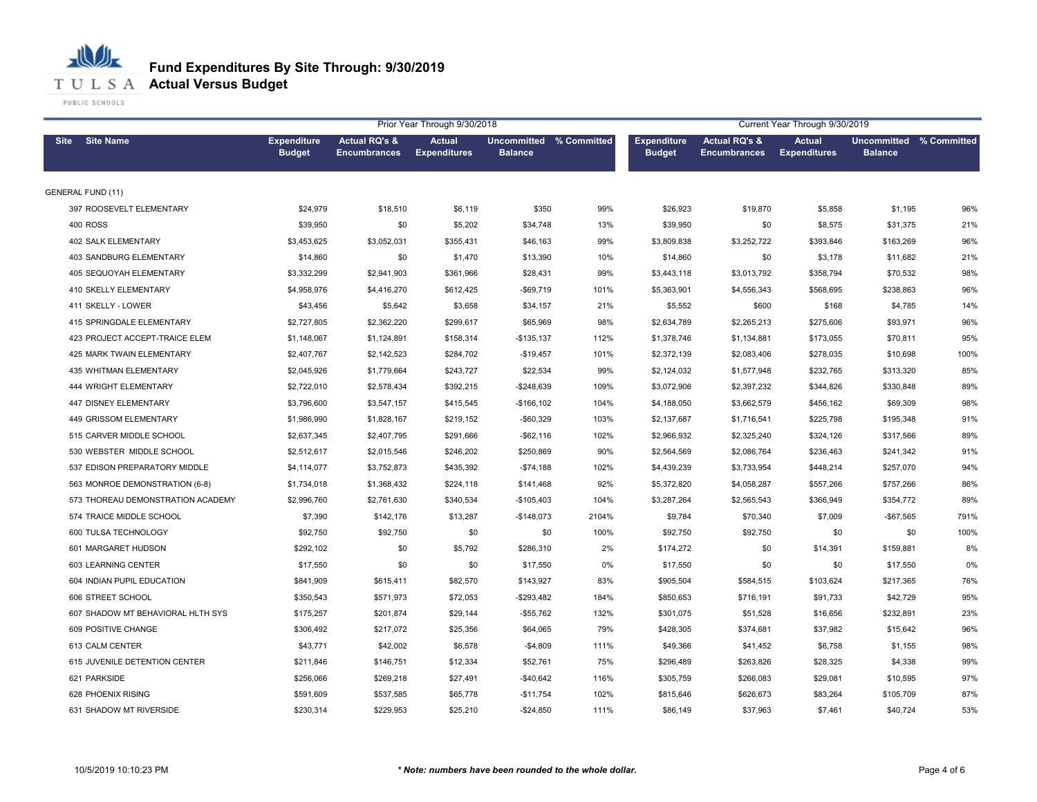

|                                   |                                     |                                                 | Prior Year Through 9/30/2018         |                                           |       | Current Year Through 9/30/2019      |                                                 |                                      |                                                  |      |
|-----------------------------------|-------------------------------------|-------------------------------------------------|--------------------------------------|-------------------------------------------|-------|-------------------------------------|-------------------------------------------------|--------------------------------------|--------------------------------------------------|------|
| <b>Site Name</b><br>Site          | <b>Expenditure</b><br><b>Budget</b> | <b>Actual RQ's &amp;</b><br><b>Encumbrances</b> | <b>Actual</b><br><b>Expenditures</b> | Uncommitted % Committed<br><b>Balance</b> |       | <b>Expenditure</b><br><b>Budget</b> | <b>Actual RQ's &amp;</b><br><b>Encumbrances</b> | <b>Actual</b><br><b>Expenditures</b> | <b>Uncommitted % Committed</b><br><b>Balance</b> |      |
| <b>GENERAL FUND (11)</b>          |                                     |                                                 |                                      |                                           |       |                                     |                                                 |                                      |                                                  |      |
| 397 ROOSEVELT ELEMENTARY          | \$24,979                            | \$18,510                                        | \$6,119                              | \$350                                     | 99%   | \$26,923                            | \$19,870                                        | \$5,858                              | \$1,195                                          | 96%  |
| <b>400 ROSS</b>                   | \$39,950                            | \$0                                             | \$5,202                              | \$34,748                                  | 13%   | \$39,950                            | \$0                                             | \$8,575                              | \$31,375                                         | 21%  |
| 402 SALK ELEMENTARY               | \$3,453,625                         | \$3,052,031                                     | \$355,431                            | \$46,163                                  | 99%   | \$3,809,838                         | \$3,252,722                                     | \$393,846                            | \$163,269                                        | 96%  |
| 403 SANDBURG ELEMENTARY           | \$14,860                            | \$0                                             | \$1,470                              | \$13,390                                  | 10%   | \$14,860                            | \$0                                             | \$3,178                              | \$11,682                                         | 21%  |
| 405 SEQUOYAH ELEMENTARY           | \$3,332,299                         | \$2,941,903                                     | \$361,966                            | \$28,431                                  | 99%   | \$3,443,118                         | \$3,013,792                                     | \$358,794                            | \$70,532                                         | 98%  |
| 410 SKELLY ELEMENTARY             | \$4,958,976                         | \$4,416,270                                     | \$612,425                            | $-$ \$69,719                              | 101%  | \$5,363,901                         | \$4,556,343                                     | \$568,695                            | \$238,863                                        | 96%  |
| 411 SKELLY - LOWER                | \$43,456                            | \$5,642                                         | \$3,658                              | \$34,157                                  | 21%   | \$5,552                             | \$600                                           | \$168                                | \$4,785                                          | 14%  |
| 415 SPRINGDALE ELEMENTARY         | \$2,727,805                         | \$2,362,220                                     | \$299,617                            | \$65,969                                  | 98%   | \$2,634,789                         | \$2,265,213                                     | \$275,606                            | \$93,971                                         | 96%  |
| 423 PROJECT ACCEPT-TRAICE ELEM    | \$1,148,067                         | \$1,124,891                                     | \$158,314                            | $-$135,137$                               | 112%  | \$1,378,746                         | \$1,134,881                                     | \$173,055                            | \$70,811                                         | 95%  |
| 425 MARK TWAIN ELEMENTARY         | \$2,407,767                         | \$2,142,523                                     | \$284,702                            | $-$19,457$                                | 101%  | \$2,372,139                         | \$2,083,406                                     | \$278,035                            | \$10,698                                         | 100% |
| 435 WHITMAN ELEMENTARY            | \$2,045,926                         | \$1,779,664                                     | \$243,727                            | \$22,534                                  | 99%   | \$2,124,032                         | \$1,577,948                                     | \$232,765                            | \$313,320                                        | 85%  |
| 444 WRIGHT ELEMENTARY             | \$2,722,010                         | \$2,578,434                                     | \$392,215                            | $-$248,639$                               | 109%  | \$3,072,906                         | \$2,397,232                                     | \$344,826                            | \$330,848                                        | 89%  |
| 447 DISNEY ELEMENTARY             | \$3,796,600                         | \$3,547,157                                     | \$415,545                            | $-$166,102$                               | 104%  | \$4,188,050                         | \$3,662,579                                     | \$456,162                            | \$69,309                                         | 98%  |
| 449 GRISSOM ELEMENTARY            | \$1,986,990                         | \$1,828,167                                     | \$219,152                            | $-$60,329$                                | 103%  | \$2,137,687                         | \$1,716,541                                     | \$225,798                            | \$195,348                                        | 91%  |
| 515 CARVER MIDDLE SCHOOL          | \$2,637,345                         | \$2,407,795                                     | \$291,666                            | $-$ \$62,116                              | 102%  | \$2,966,932                         | \$2,325,240                                     | \$324,126                            | \$317,566                                        | 89%  |
| 530 WEBSTER MIDDLE SCHOOL         | \$2,512,617                         | \$2,015,546                                     | \$246,202                            | \$250,869                                 | 90%   | \$2,564,569                         | \$2,086,764                                     | \$236,463                            | \$241,342                                        | 91%  |
| 537 EDISON PREPARATORY MIDDLE     | \$4,114,077                         | \$3,752,873                                     | \$435,392                            | $-$74,188$                                | 102%  | \$4,439,239                         | \$3,733,954                                     | \$448,214                            | \$257,070                                        | 94%  |
| 563 MONROE DEMONSTRATION (6-8)    | \$1,734,018                         | \$1,368,432                                     | \$224,118                            | \$141,468                                 | 92%   | \$5,372,820                         | \$4,058,287                                     | \$557,266                            | \$757,266                                        | 86%  |
| 573 THOREAU DEMONSTRATION ACADEMY | \$2,996,760                         | \$2,761,630                                     | \$340,534                            | $-$105,403$                               | 104%  | \$3,287,264                         | \$2,565,543                                     | \$366.949                            | \$354,772                                        | 89%  |
| 574 TRAICE MIDDLE SCHOOL          | \$7,390                             | \$142,176                                       | \$13,287                             | $-$148,073$                               | 2104% | \$9,784                             | \$70,340                                        | \$7,009                              | -\$67,565                                        | 791% |
| 600 TULSA TECHNOLOGY              | \$92,750                            | \$92,750                                        | \$0                                  | \$0                                       | 100%  | \$92,750                            | \$92,750                                        | \$0                                  | \$0                                              | 100% |
| 601 MARGARET HUDSON               | \$292,102                           | \$0                                             | \$5,792                              | \$286,310                                 | 2%    | \$174,272                           | \$0                                             | \$14,391                             | \$159,881                                        | 8%   |
| 603 LEARNING CENTER               | \$17,550                            | \$0                                             | \$0                                  | \$17,550                                  | 0%    | \$17,550                            | \$0                                             | \$0                                  | \$17,550                                         | 0%   |
| 604 INDIAN PUPIL EDUCATION        | \$841,909                           | \$615,411                                       | \$82,570                             | \$143,927                                 | 83%   | \$905,504                           | \$584,515                                       | \$103,624                            | \$217,365                                        | 76%  |
| 606 STREET SCHOOL                 | \$350,543                           | \$571,973                                       | \$72,053                             | $-$ \$293,482                             | 184%  | \$850,653                           | \$716,191                                       | \$91,733                             | \$42,729                                         | 95%  |
| 607 SHADOW MT BEHAVIORAL HLTH SYS | \$175,257                           | \$201,874                                       | \$29,144                             | $-$55,762$                                | 132%  | \$301,075                           | \$51,528                                        | \$16,656                             | \$232,891                                        | 23%  |
| 609 POSITIVE CHANGE               | \$306,492                           | \$217,072                                       | \$25,356                             | \$64,065                                  | 79%   | \$428,305                           | \$374,681                                       | \$37,982                             | \$15,642                                         | 96%  |
| 613 CALM CENTER                   | \$43,771                            | \$42,002                                        | \$6,578                              | $-$4,809$                                 | 111%  | \$49,366                            | \$41,452                                        | \$6,758                              | \$1,155                                          | 98%  |
| 615 JUVENILE DETENTION CENTER     | \$211,846                           | \$146,751                                       | \$12,334                             | \$52,761                                  | 75%   | \$296,489                           | \$263,826                                       | \$28,325                             | \$4,338                                          | 99%  |
| 621 PARKSIDE                      | \$256,066                           | \$269,218                                       | \$27,491                             | $-$40,642$                                | 116%  | \$305,759                           | \$266,083                                       | \$29,081                             | \$10,595                                         | 97%  |
| 628 PHOENIX RISING                | \$591,609                           | \$537,585                                       | \$65,778                             | $-$11,754$                                | 102%  | \$815,646                           | \$626,673                                       | \$83,264                             | \$105,709                                        | 87%  |
| 631 SHADOW MT RIVERSIDE           | \$230,314                           | \$229,953                                       | \$25,210                             | $-$24,850$                                | 111%  | \$86,149                            | \$37,963                                        | \$7,461                              | \$40,724                                         | 53%  |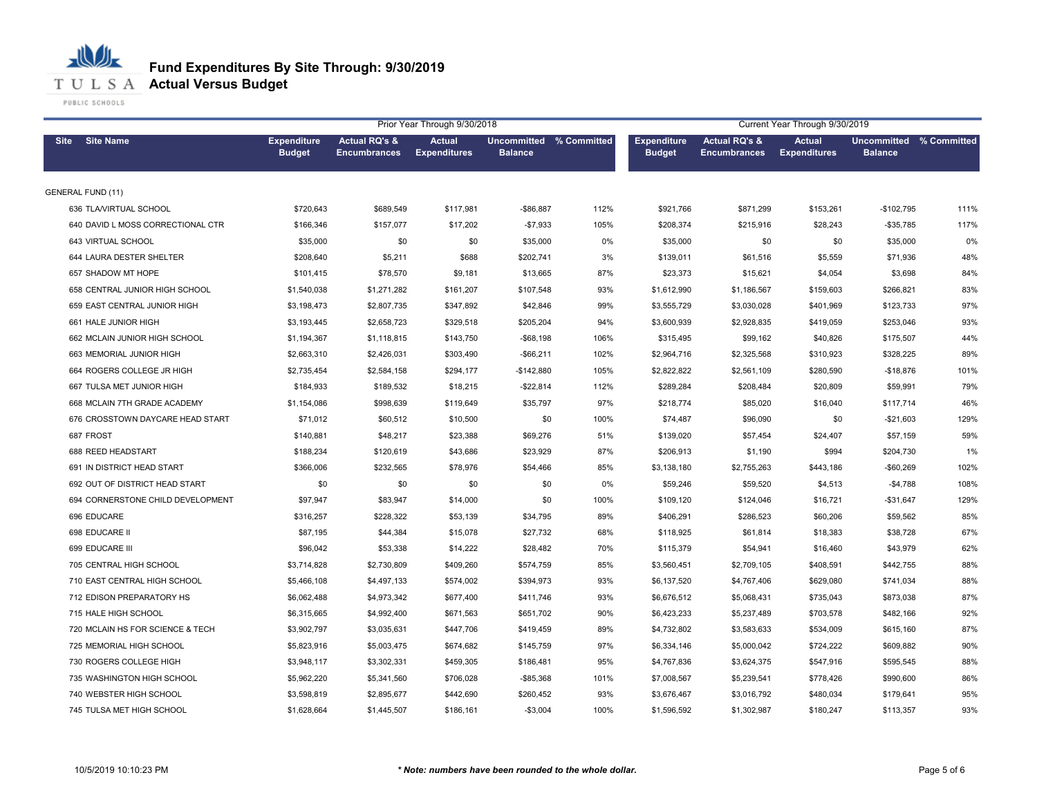

|                                   |                                     |                                                 | Prior Year Through 9/30/2018         |                                           |      | Current Year Through 9/30/2019      |                                                 |                                      |                                                  |      |
|-----------------------------------|-------------------------------------|-------------------------------------------------|--------------------------------------|-------------------------------------------|------|-------------------------------------|-------------------------------------------------|--------------------------------------|--------------------------------------------------|------|
| <b>Site Name</b><br>Site          | <b>Expenditure</b><br><b>Budget</b> | <b>Actual RQ's &amp;</b><br><b>Encumbrances</b> | <b>Actual</b><br><b>Expenditures</b> | Uncommitted % Committed<br><b>Balance</b> |      | <b>Expenditure</b><br><b>Budget</b> | <b>Actual RQ's &amp;</b><br><b>Encumbrances</b> | <b>Actual</b><br><b>Expenditures</b> | <b>Uncommitted % Committed</b><br><b>Balance</b> |      |
| <b>GENERAL FUND (11)</b>          |                                     |                                                 |                                      |                                           |      |                                     |                                                 |                                      |                                                  |      |
| 636 TLA/VIRTUAL SCHOOL            | \$720,643                           | \$689,549                                       | \$117,981                            | -\$86,887                                 | 112% | \$921,766                           | \$871,299                                       | \$153,261                            | $-$102,795$                                      | 111% |
| 640 DAVID L MOSS CORRECTIONAL CTR | \$166,346                           | \$157,077                                       | \$17,202                             | $-$7,933$                                 | 105% | \$208,374                           | \$215,916                                       | \$28,243                             | $-$ \$35,785                                     | 117% |
| 643 VIRTUAL SCHOOL                | \$35,000                            | \$0                                             | \$0                                  | \$35,000                                  | 0%   | \$35,000                            | \$0                                             | \$0                                  | \$35,000                                         | 0%   |
| 644 LAURA DESTER SHELTER          | \$208,640                           | \$5,211                                         | \$688                                | \$202,741                                 | 3%   | \$139,011                           | \$61,516                                        | \$5,559                              | \$71,936                                         | 48%  |
| 657 SHADOW MT HOPE                | \$101,415                           | \$78,570                                        | \$9,181                              | \$13,665                                  | 87%  | \$23,373                            | \$15,621                                        | \$4,054                              | \$3,698                                          | 84%  |
| 658 CENTRAL JUNIOR HIGH SCHOOL    | \$1,540,038                         | \$1,271,282                                     | \$161,207                            | \$107,548                                 | 93%  | \$1,612,990                         | \$1,186,567                                     | \$159,603                            | \$266,821                                        | 83%  |
| 659 EAST CENTRAL JUNIOR HIGH      | \$3,198,473                         | \$2,807,735                                     | \$347,892                            | \$42,846                                  | 99%  | \$3,555,729                         | \$3,030,028                                     | \$401,969                            | \$123,733                                        | 97%  |
| 661 HALE JUNIOR HIGH              | \$3,193,445                         | \$2,658,723                                     | \$329,518                            | \$205,204                                 | 94%  | \$3,600,939                         | \$2,928,835                                     | \$419,059                            | \$253,046                                        | 93%  |
| 662 MCLAIN JUNIOR HIGH SCHOOL     | \$1,194,367                         | \$1,118,815                                     | \$143,750                            | $-$ \$68,198                              | 106% | \$315,495                           | \$99,162                                        | \$40,826                             | \$175,507                                        | 44%  |
| 663 MEMORIAL JUNIOR HIGH          | \$2,663,310                         | \$2,426,031                                     | \$303,490                            | $-$ \$66,211                              | 102% | \$2,964,716                         | \$2,325,568                                     | \$310,923                            | \$328,225                                        | 89%  |
| 664 ROGERS COLLEGE JR HIGH        | \$2,735,454                         | \$2,584,158                                     | \$294,177                            | $-$142,880$                               | 105% | \$2,822,822                         | \$2,561,109                                     | \$280,590                            | $-$18,876$                                       | 101% |
| 667 TULSA MET JUNIOR HIGH         | \$184,933                           | \$189,532                                       | \$18,215                             | $-$ \$22,814                              | 112% | \$289,284                           | \$208,484                                       | \$20,809                             | \$59,991                                         | 79%  |
| 668 MCLAIN 7TH GRADE ACADEMY      | \$1,154,086                         | \$998,639                                       | \$119,649                            | \$35,797                                  | 97%  | \$218,774                           | \$85,020                                        | \$16,040                             | \$117,714                                        | 46%  |
| 676 CROSSTOWN DAYCARE HEAD START  | \$71,012                            | \$60,512                                        | \$10,500                             | \$0                                       | 100% | \$74,487                            | \$96,090                                        | \$0                                  | $-$21,603$                                       | 129% |
| 687 FROST                         | \$140,881                           | \$48,217                                        | \$23,388                             | \$69,276                                  | 51%  | \$139,020                           | \$57,454                                        | \$24,407                             | \$57,159                                         | 59%  |
| 688 REED HEADSTART                | \$188,234                           | \$120,619                                       | \$43,686                             | \$23,929                                  | 87%  | \$206,913                           | \$1,190                                         | \$994                                | \$204,730                                        | 1%   |
| 691 IN DISTRICT HEAD START        | \$366,006                           | \$232,565                                       | \$78,976                             | \$54,466                                  | 85%  | \$3,138,180                         | \$2,755,263                                     | \$443,186                            | $-$60,269$                                       | 102% |
| 692 OUT OF DISTRICT HEAD START    | \$0                                 | \$0                                             | \$0                                  | \$0                                       | 0%   | \$59,246                            | \$59,520                                        | \$4,513                              | $-$4,788$                                        | 108% |
| 694 CORNERSTONE CHILD DEVELOPMENT | \$97,947                            | \$83,947                                        | \$14,000                             | \$0                                       | 100% | \$109,120                           | \$124,046                                       | \$16,721                             | $-$31,647$                                       | 129% |
| 696 EDUCARE                       | \$316,257                           | \$228,322                                       | \$53,139                             | \$34,795                                  | 89%  | \$406,291                           | \$286,523                                       | \$60,206                             | \$59,562                                         | 85%  |
| 698 EDUCARE II                    | \$87,195                            | \$44,384                                        | \$15,078                             | \$27,732                                  | 68%  | \$118,925                           | \$61,814                                        | \$18,383                             | \$38,728                                         | 67%  |
| 699 EDUCARE III                   | \$96,042                            | \$53,338                                        | \$14,222                             | \$28,482                                  | 70%  | \$115,379                           | \$54,941                                        | \$16,460                             | \$43,979                                         | 62%  |
| 705 CENTRAL HIGH SCHOOL           | \$3,714,828                         | \$2,730,809                                     | \$409,260                            | \$574,759                                 | 85%  | \$3,560,451                         | \$2,709,105                                     | \$408,591                            | \$442,755                                        | 88%  |
| 710 EAST CENTRAL HIGH SCHOOL      | \$5,466,108                         | \$4,497,133                                     | \$574,002                            | \$394,973                                 | 93%  | \$6,137,520                         | \$4,767,406                                     | \$629,080                            | \$741,034                                        | 88%  |
| 712 EDISON PREPARATORY HS         | \$6,062,488                         | \$4,973,342                                     | \$677,400                            | \$411,746                                 | 93%  | \$6,676,512                         | \$5,068,431                                     | \$735,043                            | \$873,038                                        | 87%  |
| 715 HALE HIGH SCHOOL              | \$6,315,665                         | \$4,992,400                                     | \$671,563                            | \$651,702                                 | 90%  | \$6,423,233                         | \$5,237,489                                     | \$703,578                            | \$482,166                                        | 92%  |
| 720 MCLAIN HS FOR SCIENCE & TECH  | \$3,902,797                         | \$3,035,631                                     | \$447,706                            | \$419,459                                 | 89%  | \$4,732,802                         | \$3,583,633                                     | \$534,009                            | \$615,160                                        | 87%  |
| 725 MEMORIAL HIGH SCHOOL          | \$5,823,916                         | \$5,003,475                                     | \$674,682                            | \$145,759                                 | 97%  | \$6,334,146                         | \$5,000,042                                     | \$724,222                            | \$609,882                                        | 90%  |
| 730 ROGERS COLLEGE HIGH           | \$3,948,117                         | \$3,302,331                                     | \$459,305                            | \$186,481                                 | 95%  | \$4,767,836                         | \$3,624,375                                     | \$547,916                            | \$595,545                                        | 88%  |
| 735 WASHINGTON HIGH SCHOOL        | \$5,962,220                         | \$5,341,560                                     | \$706,028                            | $-$ \$85,368                              | 101% | \$7,008,567                         | \$5,239,541                                     | \$778,426                            | \$990,600                                        | 86%  |
| 740 WEBSTER HIGH SCHOOL           | \$3,598,819                         | \$2,895,677                                     | \$442,690                            | \$260,452                                 | 93%  | \$3,676,467                         | \$3,016,792                                     | \$480,034                            | \$179,641                                        | 95%  |
| 745 TULSA MET HIGH SCHOOL         | \$1,628,664                         | \$1,445,507                                     | \$186,161                            | $-$3,004$                                 | 100% | \$1,596,592                         | \$1,302,987                                     | \$180,247                            | \$113,357                                        | 93%  |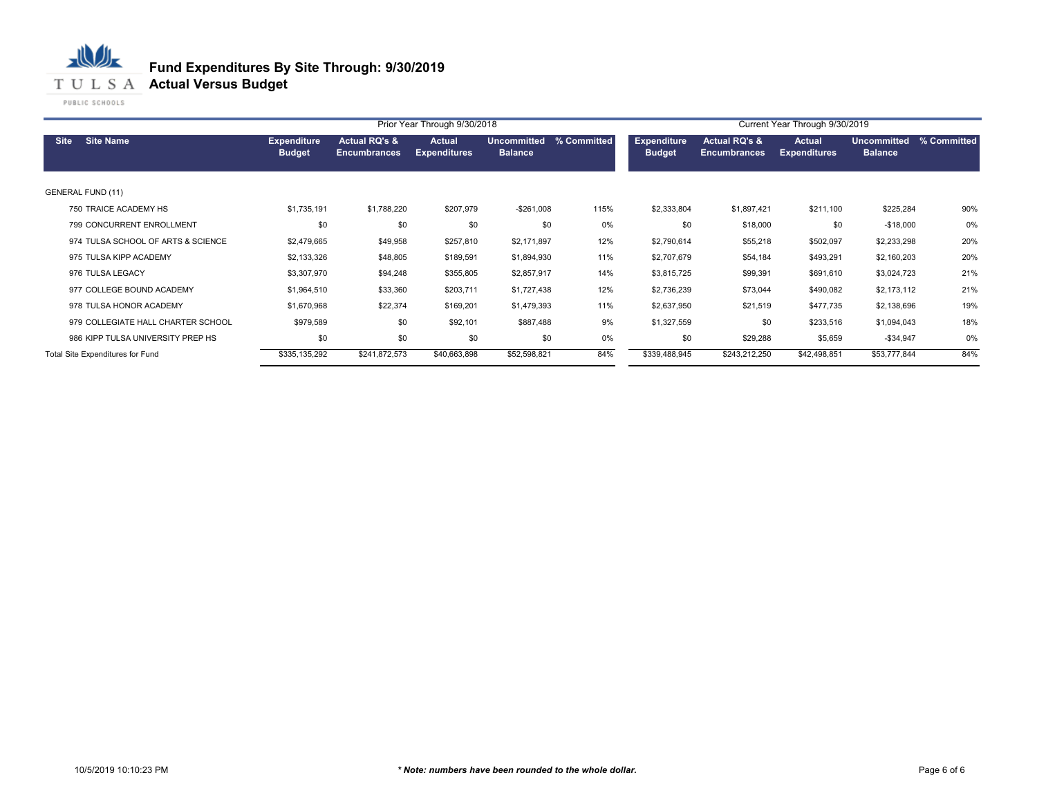#### 心儿 **Fund Expenditures By Site Through: 9/30/2019 T U L S A Actual Versus Budget**

|                          |                                    |                                     |                                                 | Prior Year Through 9/30/2018         |                                      | Current Year Through 9/30/2019 |                                     |                                                 |                               |                                      |             |
|--------------------------|------------------------------------|-------------------------------------|-------------------------------------------------|--------------------------------------|--------------------------------------|--------------------------------|-------------------------------------|-------------------------------------------------|-------------------------------|--------------------------------------|-------------|
| <b>Site</b>              | <b>Site Name</b>                   | <b>Expenditure</b><br><b>Budget</b> | <b>Actual RQ's &amp;</b><br><b>Encumbrances</b> | <b>Actual</b><br><b>Expenditures</b> | <b>Uncommitted</b><br><b>Balance</b> | % Committed                    | <b>Expenditure</b><br><b>Budget</b> | <b>Actual RQ's &amp;</b><br><b>Encumbrances</b> | Actual<br><b>Expenditures</b> | <b>Uncommitted</b><br><b>Balance</b> | % Committed |
| <b>GENERAL FUND (11)</b> |                                    |                                     |                                                 |                                      |                                      |                                |                                     |                                                 |                               |                                      |             |
|                          | 750 TRAICE ACADEMY HS              | \$1,735,191                         | \$1,788,220                                     | \$207,979                            | $-$ \$261,008                        | 115%                           | \$2,333,804                         | \$1,897,421                                     | \$211,100                     | \$225,284                            | 90%         |
|                          | 799 CONCURRENT ENROLLMENT          | \$0                                 | \$0                                             | \$0                                  | \$0                                  | 0%                             | \$0                                 | \$18,000                                        | \$0                           | $-$18,000$                           | 0%          |
|                          | 974 TULSA SCHOOL OF ARTS & SCIENCE | \$2,479,665                         | \$49,958                                        | \$257,810                            | \$2,171,897                          | 12%                            | \$2,790,614                         | \$55,218                                        | \$502,097                     | \$2,233,298                          | 20%         |
|                          | 975 TULSA KIPP ACADEMY             | \$2,133,326                         | \$48,805                                        | \$189,591                            | \$1,894,930                          | 11%                            | \$2,707,679                         | \$54,184                                        | \$493,291                     | \$2,160,203                          | 20%         |
|                          | 976 TULSA LEGACY                   | \$3,307,970                         | \$94,248                                        | \$355,805                            | \$2,857,917                          | 14%                            | \$3,815,725                         | \$99,391                                        | \$691,610                     | \$3,024,723                          | 21%         |
|                          | 977 COLLEGE BOUND ACADEMY          | \$1,964,510                         | \$33,360                                        | \$203,711                            | \$1,727,438                          | 12%                            | \$2,736,239                         | \$73,044                                        | \$490,082                     | \$2,173,112                          | 21%         |
|                          | 978 TULSA HONOR ACADEMY            | \$1,670,968                         | \$22,374                                        | \$169,201                            | \$1,479,393                          | 11%                            | \$2,637,950                         | \$21,519                                        | \$477,735                     | \$2,138,696                          | 19%         |
|                          | 979 COLLEGIATE HALL CHARTER SCHOOL | \$979,589                           | \$0                                             | \$92,101                             | \$887,488                            | 9%                             | \$1,327,559                         | \$0                                             | \$233,516                     | \$1,094,043                          | 18%         |
|                          | 986 KIPP TULSA UNIVERSITY PREP HS  | \$0                                 | \$0                                             | \$0                                  | \$0                                  | 0%                             | \$0                                 | \$29,288                                        | \$5,659                       | $-$34,947$                           | 0%          |
|                          | Total Site Expenditures for Fund   | \$335,135,292                       | \$241,872,573                                   | \$40,663,898                         | \$52,598,821                         | 84%                            | \$339,488,945                       | \$243,212,250                                   | \$42,498,851                  | \$53,777,844                         | 84%         |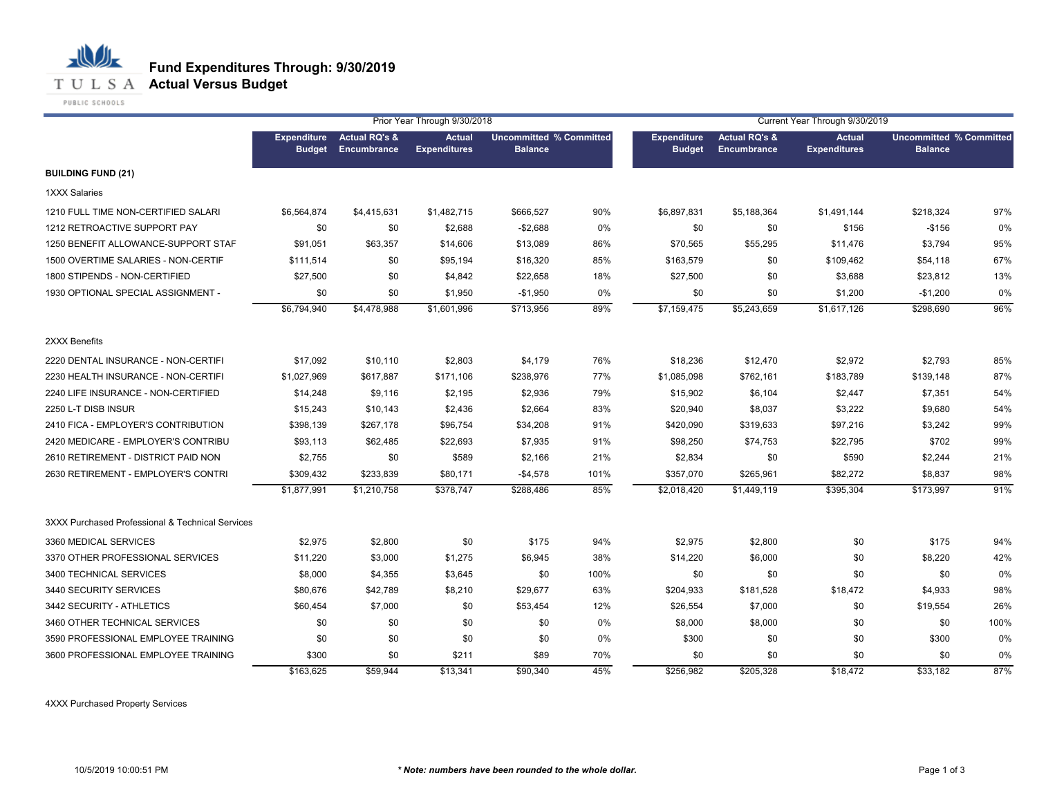

**T U L S A Actual Versus Budget** 

PUBLIC SCHOOLS

丛

小

|                                                  |                                     |                                         | Prior Year Through 9/30/2018  |                |                                | Current Year Through 9/30/2019      |                                                |                                      |                                                  |      |
|--------------------------------------------------|-------------------------------------|-----------------------------------------|-------------------------------|----------------|--------------------------------|-------------------------------------|------------------------------------------------|--------------------------------------|--------------------------------------------------|------|
|                                                  | <b>Expenditure</b><br><b>Budget</b> | <b>Actual RQ's &amp;</b><br>Encumbrance | Actual<br><b>Expenditures</b> | <b>Balance</b> | <b>Uncommitted % Committed</b> | <b>Expenditure</b><br><b>Budget</b> | <b>Actual RQ's &amp;</b><br><b>Encumbrance</b> | <b>Actual</b><br><b>Expenditures</b> | <b>Uncommitted % Committed</b><br><b>Balance</b> |      |
| <b>BUILDING FUND (21)</b>                        |                                     |                                         |                               |                |                                |                                     |                                                |                                      |                                                  |      |
| 1XXX Salaries                                    |                                     |                                         |                               |                |                                |                                     |                                                |                                      |                                                  |      |
| 1210 FULL TIME NON-CERTIFIED SALARI              | \$6,564,874                         | \$4,415,631                             | \$1,482,715                   | \$666,527      | 90%                            | \$6,897,831                         | \$5,188,364                                    | \$1,491,144                          | \$218,324                                        | 97%  |
| 1212 RETROACTIVE SUPPORT PAY                     | \$0                                 | \$0                                     | \$2,688                       | $-$2,688$      | 0%                             | \$0                                 | \$0                                            | \$156                                | $-$ \$156                                        | 0%   |
| 1250 BENEFIT ALLOWANCE-SUPPORT STAF              | \$91,051                            | \$63,357                                | \$14,606                      | \$13,089       | 86%                            | \$70,565                            | \$55,295                                       | \$11,476                             | \$3,794                                          | 95%  |
| 1500 OVERTIME SALARIES - NON-CERTIF              | \$111,514                           | \$0                                     | \$95,194                      | \$16,320       | 85%                            | \$163,579                           | \$0                                            | \$109,462                            | \$54,118                                         | 67%  |
| 1800 STIPENDS - NON-CERTIFIED                    | \$27,500                            | \$0                                     | \$4,842                       | \$22,658       | 18%                            | \$27,500                            | \$0                                            | \$3,688                              | \$23,812                                         | 13%  |
| 1930 OPTIONAL SPECIAL ASSIGNMENT -               | \$0                                 | \$0                                     | \$1,950                       | $-$1,950$      | 0%                             | \$0                                 | \$0                                            | \$1,200                              | $-$1,200$                                        | 0%   |
|                                                  | \$6,794,940                         | \$4,478,988                             | \$1,601,996                   | \$713,956      | 89%                            | \$7,159,475                         | \$5,243,659                                    | \$1,617,126                          | \$298,690                                        | 96%  |
| 2XXX Benefits                                    |                                     |                                         |                               |                |                                |                                     |                                                |                                      |                                                  |      |
| 2220 DENTAL INSURANCE - NON-CERTIFI              | \$17,092                            | \$10,110                                | \$2,803                       | \$4,179        | 76%                            | \$18,236                            | \$12,470                                       | \$2,972                              | \$2,793                                          | 85%  |
| 2230 HEALTH INSURANCE - NON-CERTIFI              | \$1,027,969                         | \$617,887                               | \$171,106                     | \$238,976      | 77%                            | \$1,085,098                         | \$762,161                                      | \$183,789                            | \$139,148                                        | 87%  |
| 2240 LIFE INSURANCE - NON-CERTIFIED              | \$14,248                            | \$9,116                                 | \$2,195                       | \$2,936        | 79%                            | \$15,902                            | \$6,104                                        | \$2,447                              | \$7,351                                          | 54%  |
| 2250 L-T DISB INSUR                              | \$15,243                            | \$10,143                                | \$2,436                       | \$2,664        | 83%                            | \$20,940                            | \$8,037                                        | \$3,222                              | \$9,680                                          | 54%  |
| 2410 FICA - EMPLOYER'S CONTRIBUTION              | \$398.139                           | \$267.178                               | \$96.754                      | \$34,208       | 91%                            | \$420,090                           | \$319,633                                      | \$97,216                             | \$3,242                                          | 99%  |
| 2420 MEDICARE - EMPLOYER'S CONTRIBU              | \$93,113                            | \$62,485                                | \$22,693                      | \$7,935        | 91%                            | \$98,250                            | \$74,753                                       | \$22,795                             | \$702                                            | 99%  |
| 2610 RETIREMENT - DISTRICT PAID NON              | \$2,755                             | \$0                                     | \$589                         | \$2,166        | 21%                            | \$2,834                             | \$0                                            | \$590                                | \$2,244                                          | 21%  |
| 2630 RETIREMENT - EMPLOYER'S CONTRI              | \$309,432                           | \$233,839                               | \$80,171                      | $-$4,578$      | 101%                           | \$357,070                           | \$265,961                                      | \$82,272                             | \$8,837                                          | 98%  |
|                                                  | \$1,877,991                         | \$1,210,758                             | \$378,747                     | \$288,486      | 85%                            | \$2,018,420                         | \$1,449,119                                    | \$395,304                            | \$173,997                                        | 91%  |
| 3XXX Purchased Professional & Technical Services |                                     |                                         |                               |                |                                |                                     |                                                |                                      |                                                  |      |
| 3360 MEDICAL SERVICES                            | \$2,975                             | \$2,800                                 | \$0                           | \$175          | 94%                            | \$2,975                             | \$2,800                                        | \$0                                  | \$175                                            | 94%  |
| 3370 OTHER PROFESSIONAL SERVICES                 | \$11,220                            | \$3,000                                 | \$1,275                       | \$6,945        | 38%                            | \$14,220                            | \$6,000                                        | \$0                                  | \$8,220                                          | 42%  |
| 3400 TECHNICAL SERVICES                          | \$8,000                             | \$4,355                                 | \$3,645                       | \$0            | 100%                           | \$0                                 | \$0                                            | \$0                                  | \$0                                              | 0%   |
| 3440 SECURITY SERVICES                           | \$80,676                            | \$42,789                                | \$8,210                       | \$29,677       | 63%                            | \$204,933                           | \$181,528                                      | \$18,472                             | \$4,933                                          | 98%  |
| 3442 SECURITY - ATHLETICS                        | \$60,454                            | \$7,000                                 | \$0                           | \$53,454       | 12%                            | \$26,554                            | \$7,000                                        | \$0                                  | \$19,554                                         | 26%  |
| 3460 OTHER TECHNICAL SERVICES                    | \$0                                 | \$0                                     | \$0                           | \$0            | 0%                             | \$8,000                             | \$8,000                                        | \$0                                  | \$0                                              | 100% |
| 3590 PROFESSIONAL EMPLOYEE TRAINING              | \$0                                 | \$0                                     | \$0                           | \$0            | 0%                             | \$300                               | \$0                                            | \$0                                  | \$300                                            | 0%   |
| 3600 PROFESSIONAL EMPLOYEE TRAINING              | \$300                               | \$0                                     | \$211                         | \$89           | 70%                            | \$0                                 | \$0                                            | \$0                                  | \$0                                              | 0%   |
|                                                  | \$163,625                           | \$59,944                                | \$13,341                      | \$90,340       | 45%                            | \$256,982                           | \$205,328                                      | \$18,472                             | \$33,182                                         | 87%  |

4XXX Purchased Property Services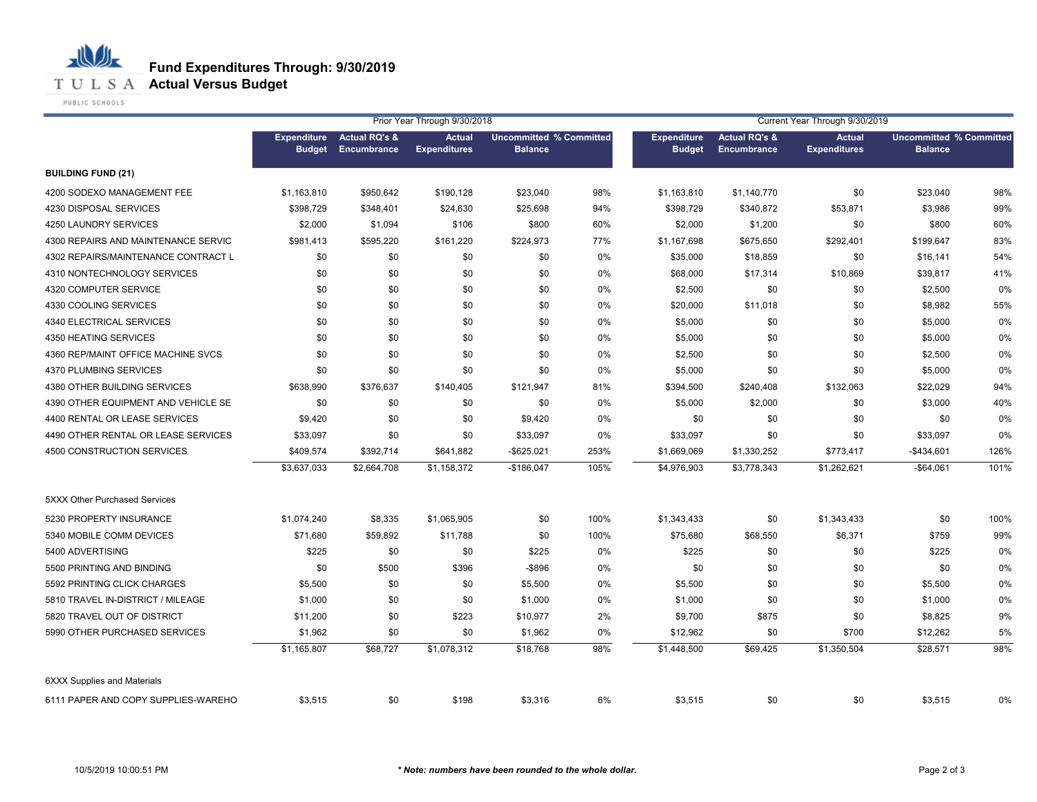**T U L S A Actual Versus Budget** 

PUBLIC SCHOOLS

|                                     |                                     | Prior Year Through 9/30/2018            |                                      |                                                  |       |                                     | Current Year Through 9/30/2019                 |                                      |                                                  |      |  |
|-------------------------------------|-------------------------------------|-----------------------------------------|--------------------------------------|--------------------------------------------------|-------|-------------------------------------|------------------------------------------------|--------------------------------------|--------------------------------------------------|------|--|
|                                     | <b>Expenditure</b><br><b>Budget</b> | <b>Actual RQ's &amp;</b><br>Encumbrance | <b>Actual</b><br><b>Expenditures</b> | <b>Uncommitted % Committed</b><br><b>Balance</b> |       | <b>Expenditure</b><br><b>Budget</b> | <b>Actual RQ's &amp;</b><br><b>Encumbrance</b> | <b>Actual</b><br><b>Expenditures</b> | <b>Uncommitted % Committed</b><br><b>Balance</b> |      |  |
| <b>BUILDING FUND (21)</b>           |                                     |                                         |                                      |                                                  |       |                                     |                                                |                                      |                                                  |      |  |
| 4200 SODEXO MANAGEMENT FEE          | \$1,163,810                         | \$950,642                               | \$190,128                            | \$23,040                                         | 98%   | \$1,163,810                         | \$1,140,770                                    | \$0                                  | \$23,040                                         | 98%  |  |
| 4230 DISPOSAL SERVICES              | \$398,729                           | \$348,401                               | \$24,630                             | \$25,698                                         | 94%   | \$398,729                           | \$340,872                                      | \$53,871                             | \$3,986                                          | 99%  |  |
| 4250 LAUNDRY SERVICES               | \$2,000                             | \$1,094                                 | \$106                                | \$800                                            | 60%   | \$2,000                             | \$1,200                                        | \$0                                  | \$800                                            | 60%  |  |
| 4300 REPAIRS AND MAINTENANCE SERVIC | \$981,413                           | \$595,220                               | \$161,220                            | \$224,973                                        | 77%   | \$1,167,698                         | \$675,650                                      | \$292,401                            | \$199,647                                        | 83%  |  |
| 4302 REPAIRS/MAINTENANCE CONTRACT L | \$0                                 | \$0                                     | \$0                                  | \$0                                              | 0%    | \$35,000                            | \$18,859                                       | \$0                                  | \$16,141                                         | 54%  |  |
| 4310 NONTECHNOLOGY SERVICES         | \$0                                 | \$0                                     | \$0                                  | \$0                                              | 0%    | \$68,000                            | \$17,314                                       | \$10,869                             | \$39,817                                         | 41%  |  |
| 4320 COMPUTER SERVICE               | \$0                                 | \$0                                     | \$0                                  | \$0                                              | 0%    | \$2,500                             | \$0                                            | \$0                                  | \$2,500                                          | 0%   |  |
| 4330 COOLING SERVICES               | \$0                                 | \$0                                     | \$0                                  | \$0                                              | 0%    | \$20,000                            | \$11,018                                       | \$0                                  | \$8,982                                          | 55%  |  |
| 4340 ELECTRICAL SERVICES            | \$0                                 | \$0                                     | \$0                                  | \$0                                              | 0%    | \$5,000                             | \$0                                            | \$0                                  | \$5,000                                          | 0%   |  |
| 4350 HEATING SERVICES               | \$0                                 | \$0                                     | \$0                                  | \$0                                              | $0\%$ | \$5,000                             | \$0                                            | \$0                                  | \$5,000                                          | 0%   |  |
| 4360 REP/MAINT OFFICE MACHINE SVCS  | \$0                                 | \$0                                     | \$0                                  | \$0                                              | 0%    | \$2,500                             | \$0                                            | \$0                                  | \$2,500                                          | 0%   |  |
| 4370 PLUMBING SERVICES              | \$0                                 | \$0                                     | \$0                                  | \$0                                              | 0%    | \$5,000                             | \$0                                            | \$0                                  | \$5,000                                          | 0%   |  |
| 4380 OTHER BUILDING SERVICES        | \$638,990                           | \$376,637                               | \$140,405                            | \$121,947                                        | 81%   | \$394,500                           | \$240,408                                      | \$132,063                            | \$22,029                                         | 94%  |  |
| 4390 OTHER EQUIPMENT AND VEHICLE SE | \$0                                 | \$0                                     | \$0                                  | \$0                                              | 0%    | \$5,000                             | \$2,000                                        | \$0                                  | \$3,000                                          | 40%  |  |
| 4400 RENTAL OR LEASE SERVICES       | \$9,420                             | \$0                                     | \$0                                  | \$9,420                                          | 0%    | \$0                                 | \$0                                            | \$0                                  | \$0                                              | 0%   |  |
| 4490 OTHER RENTAL OR LEASE SERVICES | \$33,097                            | \$0                                     | \$0                                  | \$33,097                                         | 0%    | \$33,097                            | \$0                                            | \$0                                  | \$33,097                                         | 0%   |  |
| 4500 CONSTRUCTION SERVICES          | \$409,574                           | \$392,714                               | \$641,882                            | $-$ \$625,021                                    | 253%  | \$1,669,069                         | \$1,330,252                                    | \$773,417                            | $-$434,601$                                      | 126% |  |
|                                     | \$3,637,033                         | \$2,664,708                             | \$1,158,372                          | $-$186,047$                                      | 105%  | \$4,976,903                         | \$3,778,343                                    | \$1,262,621                          | $-$64,061$                                       | 101% |  |
| 5XXX Other Purchased Services       |                                     |                                         |                                      |                                                  |       |                                     |                                                |                                      |                                                  |      |  |
| 5230 PROPERTY INSURANCE             | \$1,074,240                         | \$8,335                                 | \$1,065,905                          | \$0                                              | 100%  | \$1,343,433                         | \$0                                            | \$1,343,433                          | \$0                                              | 100% |  |
| 5340 MOBILE COMM DEVICES            | \$71,680                            | \$59,892                                | \$11,788                             | \$0                                              | 100%  | \$75,680                            | \$68,550                                       | \$6,371                              | \$759                                            | 99%  |  |
| 5400 ADVERTISING                    | \$225                               | \$0                                     | \$0                                  | \$225                                            | 0%    | \$225                               | \$0                                            | \$0                                  | \$225                                            | 0%   |  |
| 5500 PRINTING AND BINDING           | \$0                                 | \$500                                   | \$396                                | -\$896                                           | 0%    | \$0                                 | \$0                                            | \$0                                  | \$0                                              | 0%   |  |
| 5592 PRINTING CLICK CHARGES         | \$5,500                             | \$0                                     | \$0                                  | \$5,500                                          | 0%    | \$5,500                             | \$0                                            | \$0                                  | \$5,500                                          | 0%   |  |
| 5810 TRAVEL IN-DISTRICT / MILEAGE   | \$1,000                             | \$0                                     | \$0                                  | \$1,000                                          | 0%    | \$1,000                             | \$0                                            | \$0                                  | \$1,000                                          | 0%   |  |
| 5820 TRAVEL OUT OF DISTRICT         | \$11,200                            | \$0                                     | \$223                                | \$10,977                                         | 2%    | \$9,700                             | \$875                                          | \$0                                  | \$8,825                                          | 9%   |  |
| 5990 OTHER PURCHASED SERVICES       | \$1,962                             | \$0                                     | \$0                                  | \$1,962                                          | 0%    | \$12,962                            | \$0                                            | \$700                                | \$12,262                                         | 5%   |  |
|                                     | \$1,165,807                         | \$68,727                                | \$1,078,312                          | \$18,768                                         | 98%   | \$1,448,500                         | \$69,425                                       | \$1,350,504                          | \$28,571                                         | 98%  |  |
| <b>6XXX Supplies and Materials</b>  |                                     |                                         |                                      |                                                  |       |                                     |                                                |                                      |                                                  |      |  |
| 6111 PAPER AND COPY SUPPLIES-WAREHO | \$3,515                             | \$0                                     | \$198                                | \$3,316                                          | 6%    | \$3,515                             | \$0                                            | \$0                                  | \$3,515                                          | 0%   |  |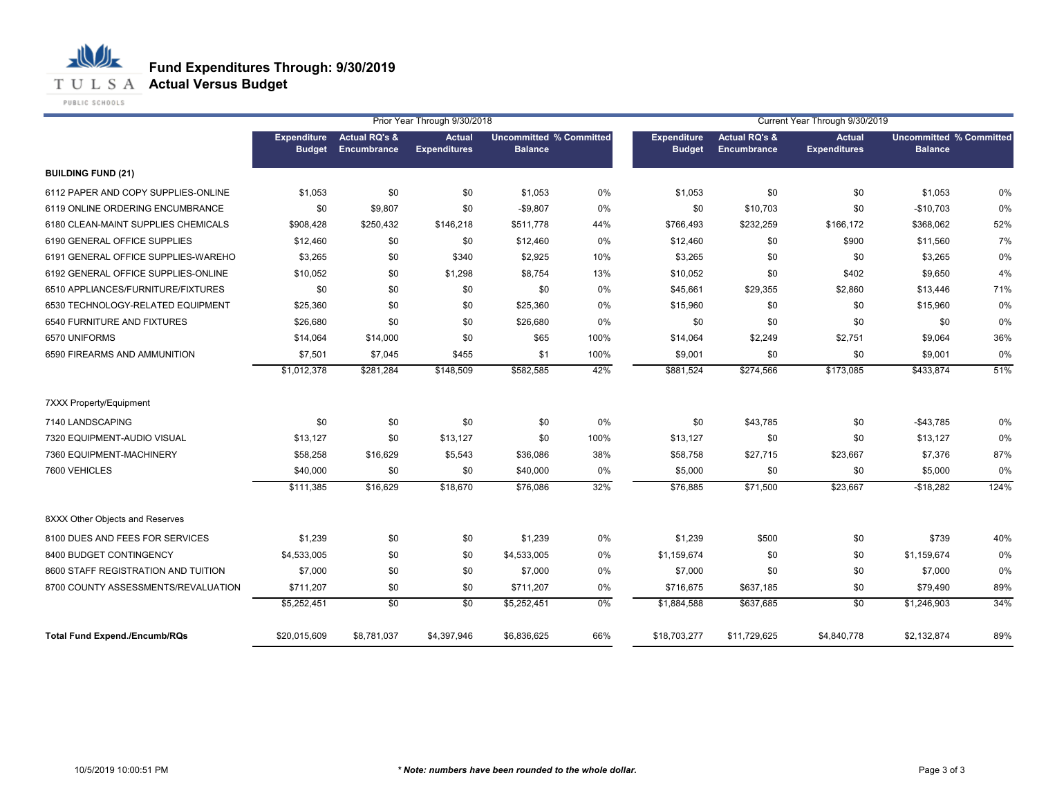**T U L S A Actual Versus Budget** 

PUBLIC SCHOOLS

|                                      |                                     | Prior Year Through 9/30/2018            |                                      |                                                  |       |                                     | Current Year Through 9/30/2019          |                                      |                                                  |      |  |
|--------------------------------------|-------------------------------------|-----------------------------------------|--------------------------------------|--------------------------------------------------|-------|-------------------------------------|-----------------------------------------|--------------------------------------|--------------------------------------------------|------|--|
|                                      | <b>Expenditure</b><br><b>Budget</b> | <b>Actual RQ's &amp;</b><br>Encumbrance | <b>Actual</b><br><b>Expenditures</b> | <b>Uncommitted % Committed</b><br><b>Balance</b> |       | <b>Expenditure</b><br><b>Budget</b> | <b>Actual RQ's &amp;</b><br>Encumbrance | <b>Actual</b><br><b>Expenditures</b> | <b>Uncommitted % Committed</b><br><b>Balance</b> |      |  |
| <b>BUILDING FUND (21)</b>            |                                     |                                         |                                      |                                                  |       |                                     |                                         |                                      |                                                  |      |  |
| 6112 PAPER AND COPY SUPPLIES-ONLINE  | \$1,053                             | \$0                                     | \$0                                  | \$1,053                                          | 0%    | \$1,053                             | \$0                                     | \$0                                  | \$1,053                                          | 0%   |  |
| 6119 ONLINE ORDERING ENCUMBRANCE     | \$0                                 | \$9,807                                 | \$0                                  | $-$9,807$                                        | 0%    | \$0                                 | \$10,703                                | \$0                                  | $-$10,703$                                       | 0%   |  |
| 6180 CLEAN-MAINT SUPPLIES CHEMICALS  | \$908,428                           | \$250,432                               | \$146,218                            | \$511,778                                        | 44%   | \$766,493                           | \$232,259                               | \$166,172                            | \$368,062                                        | 52%  |  |
| 6190 GENERAL OFFICE SUPPLIES         | \$12,460                            | \$0                                     | \$0                                  | \$12,460                                         | 0%    | \$12,460                            | \$0                                     | \$900                                | \$11,560                                         | 7%   |  |
| 6191 GENERAL OFFICE SUPPLIES-WAREHO  | \$3,265                             | \$0                                     | \$340                                | \$2,925                                          | 10%   | \$3,265                             | \$0                                     | \$0                                  | \$3,265                                          | 0%   |  |
| 6192 GENERAL OFFICE SUPPLIES-ONLINE  | \$10,052                            | \$0                                     | \$1,298                              | \$8,754                                          | 13%   | \$10,052                            | \$0                                     | \$402                                | \$9,650                                          | 4%   |  |
| 6510 APPLIANCES/FURNITURE/FIXTURES   | \$0                                 | \$0                                     | \$0                                  | \$0                                              | 0%    | \$45,661                            | \$29,355                                | \$2,860                              | \$13,446                                         | 71%  |  |
| 6530 TECHNOLOGY-RELATED EQUIPMENT    | \$25,360                            | \$0                                     | \$0                                  | \$25,360                                         | 0%    | \$15,960                            | \$0                                     | \$0                                  | \$15,960                                         | 0%   |  |
| 6540 FURNITURE AND FIXTURES          | \$26,680                            | \$0                                     | \$0                                  | \$26,680                                         | $0\%$ | \$0                                 | \$0                                     | \$0                                  | \$0                                              | 0%   |  |
| 6570 UNIFORMS                        | \$14.064                            | \$14,000                                | \$0                                  | \$65                                             | 100%  | \$14,064                            | \$2,249                                 | \$2,751                              | \$9,064                                          | 36%  |  |
| 6590 FIREARMS AND AMMUNITION         | \$7,501                             | \$7,045                                 | \$455                                | \$1                                              | 100%  | \$9,001                             | \$0                                     | \$0                                  | \$9,001                                          | 0%   |  |
|                                      | \$1,012,378                         | \$281,284                               | \$148,509                            | \$582,585                                        | 42%   | \$881,524                           | \$274,566                               | \$173,085                            | \$433,874                                        | 51%  |  |
| <b>7XXX Property/Equipment</b>       |                                     |                                         |                                      |                                                  |       |                                     |                                         |                                      |                                                  |      |  |
| 7140 LANDSCAPING                     | \$0                                 | \$0                                     | \$0                                  | \$0                                              | $0\%$ | \$0                                 | \$43,785                                | \$0                                  | -\$43,785                                        | 0%   |  |
| 7320 EQUIPMENT-AUDIO VISUAL          | \$13,127                            | \$0                                     | \$13,127                             | \$0                                              | 100%  | \$13,127                            | \$0                                     | \$0                                  | \$13,127                                         | 0%   |  |
| 7360 EQUIPMENT-MACHINERY             | \$58,258                            | \$16,629                                | \$5,543                              | \$36,086                                         | 38%   | \$58,758                            | \$27,715                                | \$23,667                             | \$7,376                                          | 87%  |  |
| 7600 VEHICLES                        | \$40,000                            | \$0                                     | \$0                                  | \$40,000                                         | 0%    | \$5,000                             | \$0                                     | \$0                                  | \$5,000                                          | 0%   |  |
|                                      | \$111,385                           | \$16,629                                | \$18,670                             | \$76,086                                         | 32%   | \$76,885                            | \$71,500                                | \$23,667                             | $-$18,282$                                       | 124% |  |
| 8XXX Other Objects and Reserves      |                                     |                                         |                                      |                                                  |       |                                     |                                         |                                      |                                                  |      |  |
| 8100 DUES AND FEES FOR SERVICES      | \$1,239                             | \$0                                     | \$0                                  | \$1,239                                          | 0%    | \$1,239                             | \$500                                   | \$0                                  | \$739                                            | 40%  |  |
| 8400 BUDGET CONTINGENCY              | \$4,533,005                         | \$0                                     | \$0                                  | \$4,533,005                                      | 0%    | \$1,159,674                         | \$0                                     | \$0                                  | \$1,159,674                                      | 0%   |  |
| 8600 STAFF REGISTRATION AND TUITION  | \$7,000                             | \$0                                     | \$0                                  | \$7,000                                          | 0%    | \$7,000                             | \$0                                     | \$0                                  | \$7,000                                          | 0%   |  |
| 8700 COUNTY ASSESSMENTS/REVALUATION  | \$711,207                           | \$0                                     | \$0                                  | \$711,207                                        | 0%    | \$716,675                           | \$637,185                               | \$0                                  | \$79,490                                         | 89%  |  |
|                                      | \$5,252,451                         | $\overline{50}$                         | \$0                                  | \$5,252,451                                      | 0%    | \$1,884,588                         | \$637,685                               | $\overline{50}$                      | \$1,246,903                                      | 34%  |  |
| <b>Total Fund Expend./Encumb/RQs</b> | \$20,015,609                        | \$8,781,037                             | \$4,397,946                          | \$6,836,625                                      | 66%   | \$18,703,277                        | \$11,729,625                            | \$4,840,778                          | \$2,132,874                                      | 89%  |  |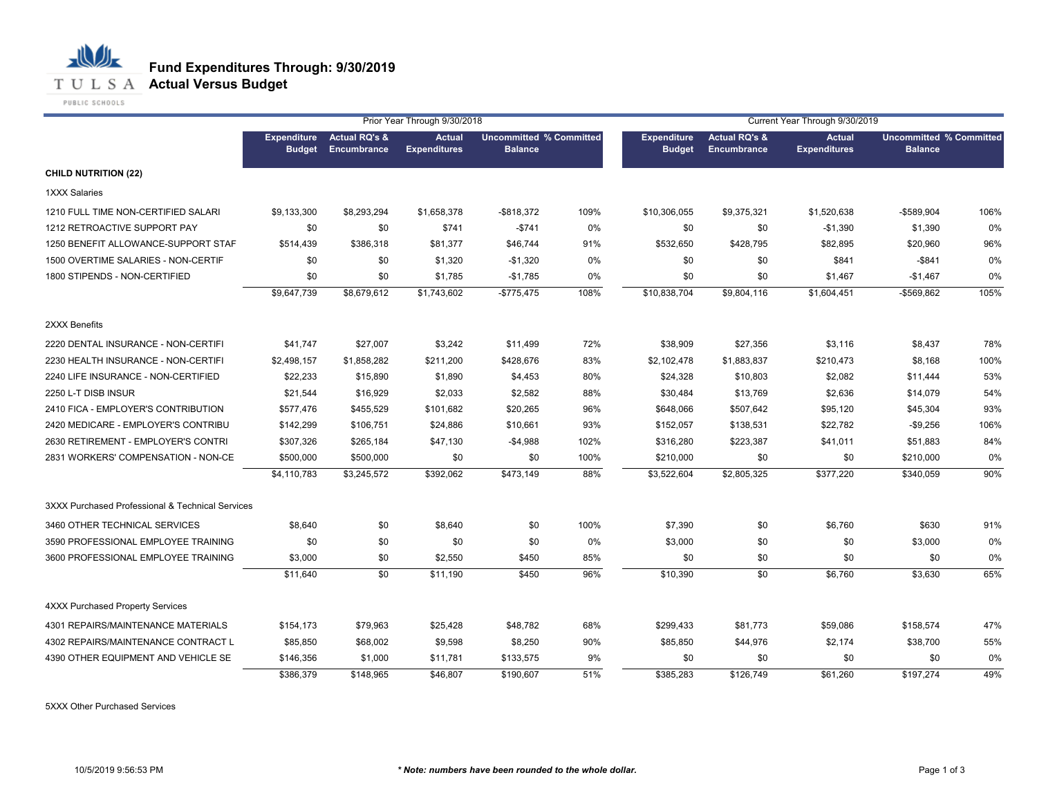

|                                                  |                                     |                                         | Prior Year Through 9/30/2018         |                                                  |      | Current Year Through 9/30/2019      |                                         |                                      |                |                                |  |
|--------------------------------------------------|-------------------------------------|-----------------------------------------|--------------------------------------|--------------------------------------------------|------|-------------------------------------|-----------------------------------------|--------------------------------------|----------------|--------------------------------|--|
|                                                  | <b>Expenditure</b><br><b>Budget</b> | <b>Actual RQ's &amp;</b><br>Encumbrance | <b>Actual</b><br><b>Expenditures</b> | <b>Uncommitted % Committed</b><br><b>Balance</b> |      | <b>Expenditure</b><br><b>Budget</b> | <b>Actual RQ's &amp;</b><br>Encumbrance | <b>Actual</b><br><b>Expenditures</b> | <b>Balance</b> | <b>Uncommitted % Committed</b> |  |
| <b>CHILD NUTRITION (22)</b>                      |                                     |                                         |                                      |                                                  |      |                                     |                                         |                                      |                |                                |  |
| <b>1XXX Salaries</b>                             |                                     |                                         |                                      |                                                  |      |                                     |                                         |                                      |                |                                |  |
| 1210 FULL TIME NON-CERTIFIED SALARI              | \$9,133,300                         | \$8,293,294                             | \$1,658,378                          | $-$ \$818,372                                    | 109% | \$10,306,055                        | \$9,375,321                             | \$1,520,638                          | $-$589,904$    | 106%                           |  |
| 1212 RETROACTIVE SUPPORT PAY                     | \$0                                 | \$0                                     | \$741                                | $-$741$                                          | 0%   | \$0                                 | \$0                                     | $-$1,390$                            | \$1,390        | 0%                             |  |
| 1250 BENEFIT ALLOWANCE-SUPPORT STAF              | \$514,439                           | \$386,318                               | \$81,377                             | \$46,744                                         | 91%  | \$532,650                           | \$428,795                               | \$82,895                             | \$20,960       | 96%                            |  |
| 1500 OVERTIME SALARIES - NON-CERTIF              | \$0                                 | \$0                                     | \$1,320                              | $-$1,320$                                        | 0%   | \$0                                 | \$0                                     | \$841                                | $-$ \$841      | 0%                             |  |
| 1800 STIPENDS - NON-CERTIFIED                    | \$0                                 | \$0                                     | \$1,785                              | $-$1,785$                                        | 0%   | \$0                                 | \$0                                     | \$1,467                              | $-$1,467$      | 0%                             |  |
|                                                  | \$9,647,739                         | \$8,679,612                             | \$1,743,602                          | $-$775,475$                                      | 108% | \$10,838,704                        | \$9,804,116                             | \$1,604,451                          | -\$569,862     | 105%                           |  |
| 2XXX Benefits                                    |                                     |                                         |                                      |                                                  |      |                                     |                                         |                                      |                |                                |  |
| 2220 DENTAL INSURANCE - NON-CERTIFI              | \$41,747                            | \$27,007                                | \$3,242                              | \$11,499                                         | 72%  | \$38,909                            | \$27,356                                | \$3,116                              | \$8,437        | 78%                            |  |
| 2230 HEALTH INSURANCE - NON-CERTIFI              | \$2,498,157                         | \$1,858,282                             | \$211,200                            | \$428,676                                        | 83%  | \$2,102,478                         | \$1,883,837                             | \$210,473                            | \$8,168        | 100%                           |  |
| 2240 LIFE INSURANCE - NON-CERTIFIED              | \$22,233                            | \$15,890                                | \$1,890                              | \$4,453                                          | 80%  | \$24,328                            | \$10,803                                | \$2,082                              | \$11,444       | 53%                            |  |
| 2250 L-T DISB INSUR                              | \$21,544                            | \$16,929                                | \$2,033                              | \$2,582                                          | 88%  | \$30,484                            | \$13,769                                | \$2,636                              | \$14,079       | 54%                            |  |
| 2410 FICA - EMPLOYER'S CONTRIBUTION              | \$577,476                           | \$455,529                               | \$101,682                            | \$20,265                                         | 96%  | \$648,066                           | \$507,642                               | \$95,120                             | \$45,304       | 93%                            |  |
| 2420 MEDICARE - EMPLOYER'S CONTRIBU              | \$142,299                           | \$106,751                               | \$24,886                             | \$10,661                                         | 93%  | \$152,057                           | \$138,531                               | \$22,782                             | $-$9,256$      | 106%                           |  |
| 2630 RETIREMENT - EMPLOYER'S CONTRI              | \$307,326                           | \$265,184                               | \$47,130                             | $-$4,988$                                        | 102% | \$316,280                           | \$223,387                               | \$41,011                             | \$51,883       | 84%                            |  |
| 2831 WORKERS' COMPENSATION - NON-CE              | \$500,000                           | \$500,000                               | \$0                                  | \$0                                              | 100% | \$210,000                           | \$0                                     | \$0                                  | \$210,000      | 0%                             |  |
|                                                  | \$4,110,783                         | \$3,245,572                             | \$392,062                            | \$473,149                                        | 88%  | \$3,522,604                         | \$2,805,325                             | \$377,220                            | \$340,059      | 90%                            |  |
| 3XXX Purchased Professional & Technical Services |                                     |                                         |                                      |                                                  |      |                                     |                                         |                                      |                |                                |  |
| 3460 OTHER TECHNICAL SERVICES                    | \$8,640                             | \$0                                     | \$8,640                              | \$0                                              | 100% | \$7,390                             | \$0                                     | \$6,760                              | \$630          | 91%                            |  |
| 3590 PROFESSIONAL EMPLOYEE TRAINING              | \$0                                 | \$0                                     | \$0                                  | \$0                                              | 0%   | \$3,000                             | \$0                                     | \$0                                  | \$3,000        | 0%                             |  |
| 3600 PROFESSIONAL EMPLOYEE TRAINING              | \$3,000                             | \$0                                     | \$2,550                              | \$450                                            | 85%  | \$0                                 | \$0                                     | \$0                                  | \$0            | 0%                             |  |
|                                                  | \$11,640                            | \$0                                     | \$11,190                             | \$450                                            | 96%  | \$10,390                            | $\overline{50}$                         | \$6,760                              | \$3,630        | 65%                            |  |
| <b>4XXX Purchased Property Services</b>          |                                     |                                         |                                      |                                                  |      |                                     |                                         |                                      |                |                                |  |
| 4301 REPAIRS/MAINTENANCE MATERIALS               | \$154,173                           | \$79,963                                | \$25,428                             | \$48,782                                         | 68%  | \$299,433                           | \$81,773                                | \$59,086                             | \$158,574      | 47%                            |  |
| 4302 REPAIRS/MAINTENANCE CONTRACT L              | \$85,850                            | \$68,002                                | \$9,598                              | \$8,250                                          | 90%  | \$85,850                            | \$44,976                                | \$2,174                              | \$38,700       | 55%                            |  |
| 4390 OTHER EQUIPMENT AND VEHICLE SE              | \$146,356                           | \$1,000                                 | \$11,781                             | \$133,575                                        | 9%   | \$0                                 | \$0                                     | \$0                                  | \$0            | 0%                             |  |
|                                                  | \$386,379                           | \$148,965                               | \$46,807                             | \$190,607                                        | 51%  | \$385,283                           | \$126,749                               | \$61,260                             | \$197,274      | 49%                            |  |

5XXX Other Purchased Services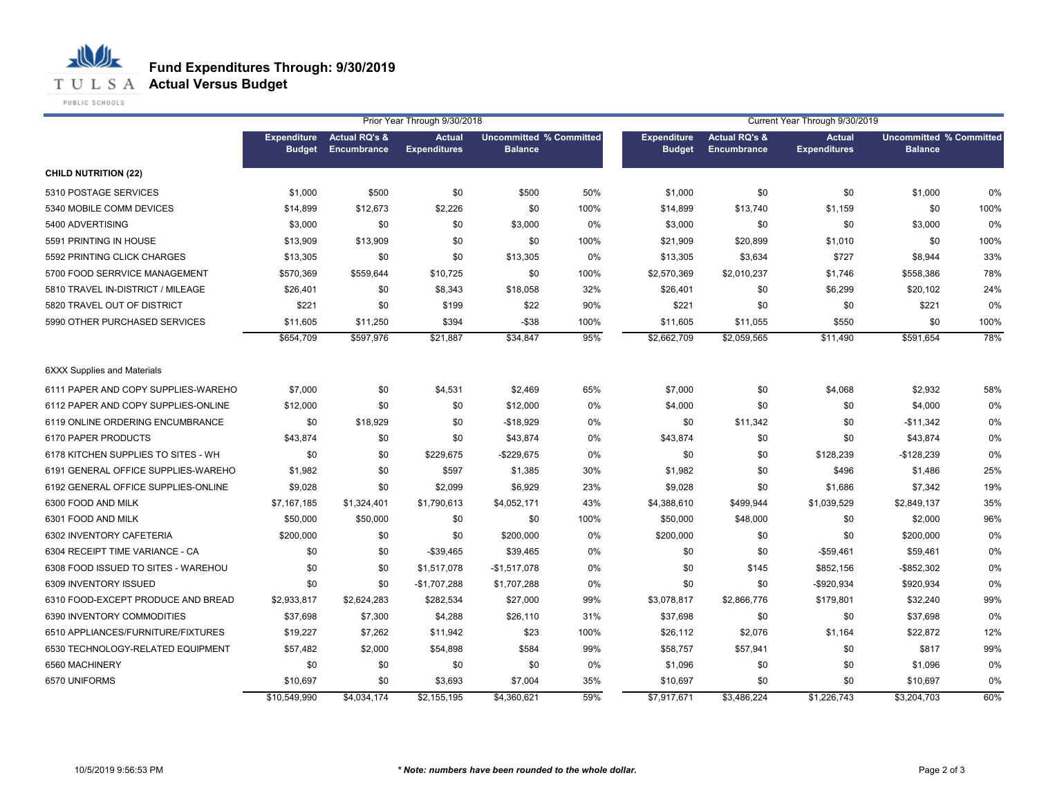

**T U L S A Actual Versus Budget** 

PUBLIC SCHOOLS

|                                     |                                     | Prior Year Through 9/30/2018            |                                      |                                                  |      |                                     | Current Year Through 9/30/2019          |                                      |                                                  |      |  |
|-------------------------------------|-------------------------------------|-----------------------------------------|--------------------------------------|--------------------------------------------------|------|-------------------------------------|-----------------------------------------|--------------------------------------|--------------------------------------------------|------|--|
|                                     | <b>Expenditure</b><br><b>Budget</b> | <b>Actual RQ's &amp;</b><br>Encumbrance | <b>Actual</b><br><b>Expenditures</b> | <b>Uncommitted % Committed</b><br><b>Balance</b> |      | <b>Expenditure</b><br><b>Budget</b> | <b>Actual RQ's &amp;</b><br>Encumbrance | <b>Actual</b><br><b>Expenditures</b> | <b>Uncommitted % Committed</b><br><b>Balance</b> |      |  |
| <b>CHILD NUTRITION (22)</b>         |                                     |                                         |                                      |                                                  |      |                                     |                                         |                                      |                                                  |      |  |
| 5310 POSTAGE SERVICES               | \$1,000                             | \$500                                   | \$0                                  | \$500                                            | 50%  | \$1,000                             | \$0                                     | \$0                                  | \$1,000                                          | 0%   |  |
| 5340 MOBILE COMM DEVICES            | \$14,899                            | \$12,673                                | \$2,226                              | \$0                                              | 100% | \$14,899                            | \$13,740                                | \$1,159                              | \$0                                              | 100% |  |
| 5400 ADVERTISING                    | \$3,000                             | \$0                                     | \$0                                  | \$3,000                                          | 0%   | \$3,000                             | \$0                                     | \$0                                  | \$3,000                                          | 0%   |  |
| 5591 PRINTING IN HOUSE              | \$13,909                            | \$13,909                                | \$0                                  | \$0                                              | 100% | \$21,909                            | \$20,899                                | \$1,010                              | \$0                                              | 100% |  |
| 5592 PRINTING CLICK CHARGES         | \$13,305                            | \$0                                     | \$0                                  | \$13,305                                         | 0%   | \$13,305                            | \$3,634                                 | \$727                                | \$8,944                                          | 33%  |  |
| 5700 FOOD SERRVICE MANAGEMENT       | \$570,369                           | \$559,644                               | \$10,725                             | \$0                                              | 100% | \$2,570,369                         | \$2,010,237                             | \$1,746                              | \$558,386                                        | 78%  |  |
| 5810 TRAVEL IN-DISTRICT / MILEAGE   | \$26,401                            | \$0                                     | \$8,343                              | \$18,058                                         | 32%  | \$26,401                            | \$0                                     | \$6,299                              | \$20,102                                         | 24%  |  |
| 5820 TRAVEL OUT OF DISTRICT         | \$221                               | \$0                                     | \$199                                | \$22                                             | 90%  | \$221                               | \$0                                     | \$0                                  | \$221                                            | 0%   |  |
| 5990 OTHER PURCHASED SERVICES       | \$11,605                            | \$11,250                                | \$394                                | $-$ \$38                                         | 100% | \$11,605                            | \$11,055                                | \$550                                | \$0                                              | 100% |  |
|                                     | \$654,709                           | \$597,976                               | \$21,887                             | \$34,847                                         | 95%  | \$2,662,709                         | \$2,059,565                             | \$11,490                             | \$591,654                                        | 78%  |  |
| <b>6XXX Supplies and Materials</b>  |                                     |                                         |                                      |                                                  |      |                                     |                                         |                                      |                                                  |      |  |
| 6111 PAPER AND COPY SUPPLIES-WAREHO | \$7,000                             | \$0                                     | \$4,531                              | \$2,469                                          | 65%  | \$7,000                             | \$0                                     | \$4,068                              | \$2,932                                          | 58%  |  |
| 6112 PAPER AND COPY SUPPLIES-ONLINE | \$12,000                            | \$0                                     | \$0                                  | \$12,000                                         | 0%   | \$4,000                             | \$0                                     | \$0                                  | \$4,000                                          | 0%   |  |
| 6119 ONLINE ORDERING ENCUMBRANCE    | \$0                                 | \$18,929                                | \$0                                  | $-$18,929$                                       | 0%   | \$0                                 | \$11,342                                | \$0                                  | $-$11,342$                                       | 0%   |  |
| 6170 PAPER PRODUCTS                 | \$43,874                            | \$0                                     | \$0                                  | \$43,874                                         | 0%   | \$43,874                            | \$0                                     | \$0                                  | \$43,874                                         | 0%   |  |
| 6178 KITCHEN SUPPLIES TO SITES - WH | \$0                                 | \$0                                     | \$229,675                            | $-$229,675$                                      | 0%   | \$0                                 | \$0                                     | \$128,239                            | $-$128,239$                                      | 0%   |  |
| 6191 GENERAL OFFICE SUPPLIES-WAREHO | \$1,982                             | \$0                                     | \$597                                | \$1,385                                          | 30%  | \$1,982                             | \$0                                     | \$496                                | \$1,486                                          | 25%  |  |
| 6192 GENERAL OFFICE SUPPLIES-ONLINE | \$9,028                             | \$0                                     | \$2,099                              | \$6,929                                          | 23%  | \$9,028                             | \$0                                     | \$1,686                              | \$7,342                                          | 19%  |  |
| 6300 FOOD AND MILK                  | \$7,167,185                         | \$1,324,401                             | \$1,790,613                          | \$4,052,171                                      | 43%  | \$4,388,610                         | \$499,944                               | \$1,039,529                          | \$2,849,137                                      | 35%  |  |
| 6301 FOOD AND MILK                  | \$50,000                            | \$50,000                                | \$0                                  | \$0                                              | 100% | \$50,000                            | \$48,000                                | \$0                                  | \$2,000                                          | 96%  |  |
| 6302 INVENTORY CAFETERIA            | \$200,000                           | \$0                                     | \$0                                  | \$200,000                                        | 0%   | \$200,000                           | \$0                                     | \$0                                  | \$200,000                                        | 0%   |  |
| 6304 RECEIPT TIME VARIANCE - CA     | \$0                                 | \$0                                     | $-$ \$39,465                         | \$39,465                                         | 0%   | \$0                                 | \$0                                     | -\$59,461                            | \$59,461                                         | 0%   |  |
| 6308 FOOD ISSUED TO SITES - WAREHOU | \$0                                 | \$0                                     | \$1,517,078                          | $-$1,517,078$                                    | 0%   | \$0                                 | \$145                                   | \$852,156                            | -\$852,302                                       | 0%   |  |
| 6309 INVENTORY ISSUED               | \$0                                 | \$0                                     | $-$1,707,288$                        | \$1,707,288                                      | 0%   | \$0                                 | \$0                                     | -\$920,934                           | \$920,934                                        | 0%   |  |
| 6310 FOOD-EXCEPT PRODUCE AND BREAD  | \$2,933,817                         | \$2,624,283                             | \$282,534                            | \$27,000                                         | 99%  | \$3,078,817                         | \$2,866,776                             | \$179,801                            | \$32,240                                         | 99%  |  |
| 6390 INVENTORY COMMODITIES          | \$37,698                            | \$7,300                                 | \$4,288                              | \$26,110                                         | 31%  | \$37,698                            | \$0                                     | \$0                                  | \$37,698                                         | 0%   |  |
| 6510 APPLIANCES/FURNITURE/FIXTURES  | \$19,227                            | \$7,262                                 | \$11,942                             | \$23                                             | 100% | \$26,112                            | \$2,076                                 | \$1,164                              | \$22,872                                         | 12%  |  |
| 6530 TECHNOLOGY-RELATED EQUIPMENT   | \$57,482                            | \$2,000                                 | \$54,898                             | \$584                                            | 99%  | \$58,757                            | \$57,941                                | \$0                                  | \$817                                            | 99%  |  |
| 6560 MACHINERY                      | \$0                                 | \$0                                     | \$0                                  | \$0                                              | 0%   | \$1,096                             | \$0                                     | \$0                                  | \$1,096                                          | 0%   |  |
| 6570 UNIFORMS                       | \$10,697                            | \$0                                     | \$3,693                              | \$7,004                                          | 35%  | \$10,697                            | \$0                                     | \$0                                  | \$10,697                                         | 0%   |  |
|                                     | \$10.549.990                        | \$4.034.174                             | \$2.155.195                          | \$4.360.621                                      | 59%  | \$7,917.671                         | \$3.486.224                             | \$1.226.743                          | \$3,204,703                                      | 60%  |  |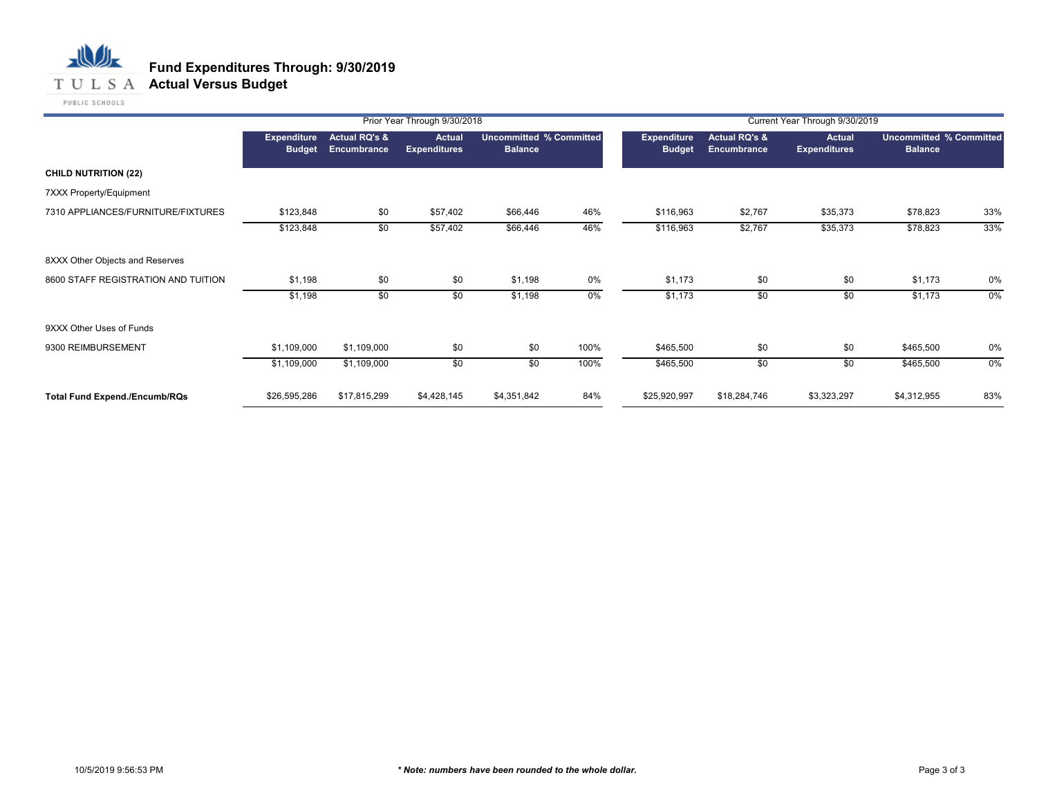

|                                      |                              | Prior Year Through 9/30/2018<br>Current Year Through 9/30/2019 |                               |                                           |       |                                     |                                         |                               |                |                                |
|--------------------------------------|------------------------------|----------------------------------------------------------------|-------------------------------|-------------------------------------------|-------|-------------------------------------|-----------------------------------------|-------------------------------|----------------|--------------------------------|
|                                      | Expenditure<br><b>Budget</b> | <b>Actual RQ's &amp;</b><br>Encumbrance                        | Actual<br><b>Expenditures</b> | Uncommitted % Committed<br><b>Balance</b> |       | <b>Expenditure</b><br><b>Budget</b> | <b>Actual RQ's &amp;</b><br>Encumbrance | Actual<br><b>Expenditures</b> | <b>Balance</b> | <b>Uncommitted % Committed</b> |
| <b>CHILD NUTRITION (22)</b>          |                              |                                                                |                               |                                           |       |                                     |                                         |                               |                |                                |
| 7XXX Property/Equipment              |                              |                                                                |                               |                                           |       |                                     |                                         |                               |                |                                |
| 7310 APPLIANCES/FURNITURE/FIXTURES   | \$123,848                    | \$0                                                            | \$57,402                      | \$66,446                                  | 46%   | \$116,963                           | \$2,767                                 | \$35,373                      | \$78,823       | 33%                            |
|                                      | \$123,848                    | \$0                                                            | \$57,402                      | \$66,446                                  | 46%   | \$116,963                           | \$2,767                                 | \$35,373                      | \$78,823       | 33%                            |
| 8XXX Other Objects and Reserves      |                              |                                                                |                               |                                           |       |                                     |                                         |                               |                |                                |
| 8600 STAFF REGISTRATION AND TUITION  | \$1,198                      | \$0                                                            | \$0                           | \$1,198                                   | 0%    | \$1,173                             | \$0                                     | \$0                           | \$1,173        | 0%                             |
|                                      | \$1,198                      | \$0                                                            | \$0                           | \$1,198                                   | $0\%$ | \$1,173                             | \$0                                     | \$0                           | \$1,173        | $0\%$                          |
| 9XXX Other Uses of Funds             |                              |                                                                |                               |                                           |       |                                     |                                         |                               |                |                                |
| 9300 REIMBURSEMENT                   | \$1,109,000                  | \$1,109,000                                                    | \$0                           | \$0                                       | 100%  | \$465,500                           | \$0                                     | \$0                           | \$465,500      | 0%                             |
|                                      | \$1,109,000                  | \$1,109,000                                                    | \$0                           | \$0                                       | 100%  | \$465,500                           | \$0                                     | \$0                           | \$465,500      | $0\%$                          |
| <b>Total Fund Expend./Encumb/RQs</b> | \$26,595,286                 | \$17,815,299                                                   | \$4,428,145                   | \$4,351,842                               | 84%   | \$25,920,997                        | \$18,284,746                            | \$3,323,297                   | \$4,312,955    | 83%                            |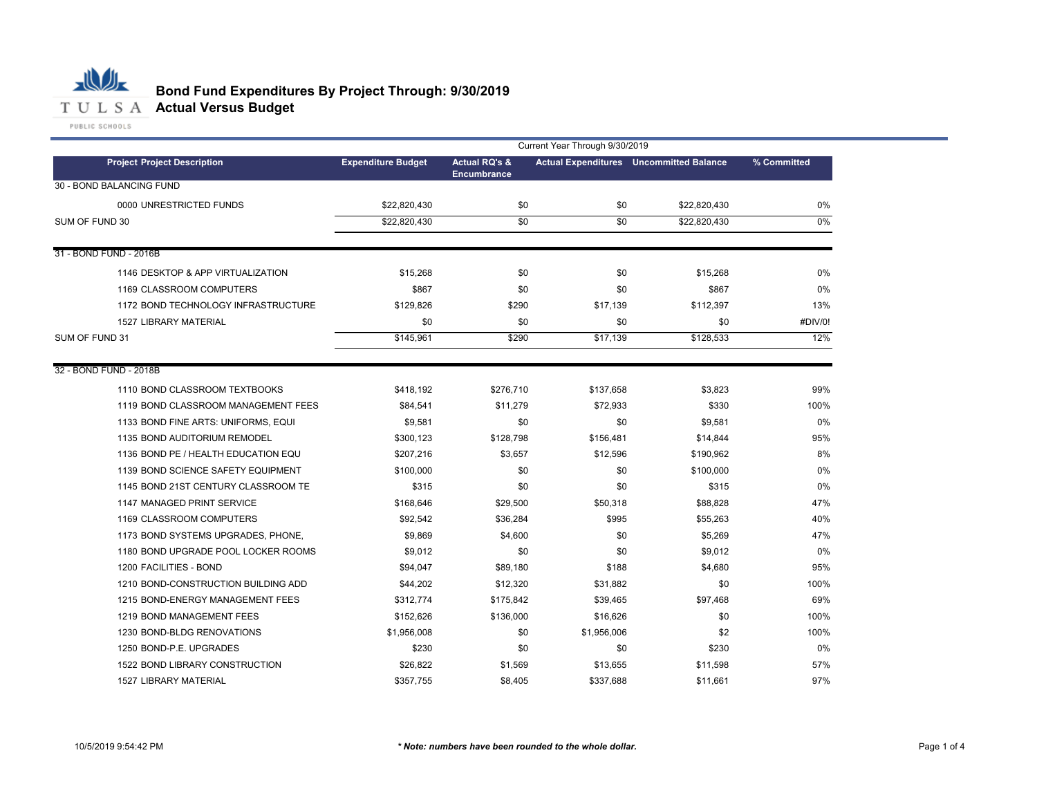

|                                     | Current Year Through 9/30/2019 |                          |             |                                                |             |  |  |  |
|-------------------------------------|--------------------------------|--------------------------|-------------|------------------------------------------------|-------------|--|--|--|
| <b>Project Project Description</b>  | <b>Expenditure Budget</b>      | <b>Actual RQ's &amp;</b> |             | <b>Actual Expenditures</b> Uncommitted Balance | % Committed |  |  |  |
| 30 - BOND BALANCING FUND            |                                | <b>Encumbrance</b>       |             |                                                |             |  |  |  |
| 0000 UNRESTRICTED FUNDS             | \$22,820,430                   | \$0                      | \$0         | \$22,820,430                                   | 0%          |  |  |  |
| SUM OF FUND 30                      | \$22,820,430                   | \$0                      | \$0         | \$22,820,430                                   | 0%          |  |  |  |
|                                     |                                |                          |             |                                                |             |  |  |  |
| 31 - BOND FUND - 2016B              |                                |                          |             |                                                |             |  |  |  |
| 1146 DESKTOP & APP VIRTUALIZATION   | \$15,268                       | \$0                      | \$0         | \$15,268                                       | 0%          |  |  |  |
| 1169 CLASSROOM COMPUTERS            | \$867                          | \$0                      | \$0         | \$867                                          | 0%          |  |  |  |
| 1172 BOND TECHNOLOGY INFRASTRUCTURE | \$129,826                      | \$290                    | \$17,139    | \$112,397                                      | 13%         |  |  |  |
| <b>1527 LIBRARY MATERIAL</b>        | \$0                            | \$0                      | \$0         | \$0                                            | #DIV/0!     |  |  |  |
| SUM OF FUND 31                      | \$145,961                      | \$290                    | \$17,139    | \$128,533                                      | 12%         |  |  |  |
|                                     |                                |                          |             |                                                |             |  |  |  |
| 32 - BOND FUND - 2018B              |                                |                          |             |                                                |             |  |  |  |
| 1110 BOND CLASSROOM TEXTBOOKS       | \$418,192                      | \$276,710                | \$137,658   | \$3,823                                        | 99%         |  |  |  |
| 1119 BOND CLASSROOM MANAGEMENT FEES | \$84,541                       | \$11,279                 | \$72,933    | \$330                                          | 100%        |  |  |  |
| 1133 BOND FINE ARTS: UNIFORMS, EQUI | \$9,581                        | \$0                      | \$0         | \$9,581                                        | 0%          |  |  |  |
| 1135 BOND AUDITORIUM REMODEL        | \$300,123                      | \$128,798                | \$156,481   | \$14,844                                       | 95%         |  |  |  |
| 1136 BOND PE / HEALTH EDUCATION EQU | \$207,216                      | \$3,657                  | \$12,596    | \$190,962                                      | 8%          |  |  |  |
| 1139 BOND SCIENCE SAFETY EQUIPMENT  | \$100,000                      | \$0                      | \$0         | \$100,000                                      | 0%          |  |  |  |
| 1145 BOND 21ST CENTURY CLASSROOM TE | \$315                          | \$0                      | \$0         | \$315                                          | 0%          |  |  |  |
| 1147 MANAGED PRINT SERVICE          | \$168,646                      | \$29,500                 | \$50,318    | \$88,828                                       | 47%         |  |  |  |
| 1169 CLASSROOM COMPUTERS            | \$92,542                       | \$36,284                 | \$995       | \$55,263                                       | 40%         |  |  |  |
| 1173 BOND SYSTEMS UPGRADES, PHONE,  | \$9,869                        | \$4,600                  | \$0         | \$5,269                                        | 47%         |  |  |  |
| 1180 BOND UPGRADE POOL LOCKER ROOMS | \$9,012                        | \$0                      | \$0         | \$9,012                                        | 0%          |  |  |  |
| 1200 FACILITIES - BOND              | \$94,047                       | \$89,180                 | \$188       | \$4,680                                        | 95%         |  |  |  |
| 1210 BOND-CONSTRUCTION BUILDING ADD | \$44,202                       | \$12,320                 | \$31,882    | \$0                                            | 100%        |  |  |  |
| 1215 BOND-ENERGY MANAGEMENT FEES    | \$312,774                      | \$175,842                | \$39,465    | \$97,468                                       | 69%         |  |  |  |
| 1219 BOND MANAGEMENT FEES           | \$152,626                      | \$136,000                | \$16,626    | \$0                                            | 100%        |  |  |  |
| 1230 BOND-BLDG RENOVATIONS          | \$1,956,008                    | \$0                      | \$1,956,006 | \$2                                            | 100%        |  |  |  |
| 1250 BOND-P.E. UPGRADES             | \$230                          | \$0                      | \$0         | \$230                                          | 0%          |  |  |  |
| 1522 BOND LIBRARY CONSTRUCTION      | \$26,822                       | \$1,569                  | \$13,655    | \$11,598                                       | 57%         |  |  |  |
| <b>1527 LIBRARY MATERIAL</b>        | \$357,755                      | \$8,405                  | \$337,688   | \$11,661                                       | 97%         |  |  |  |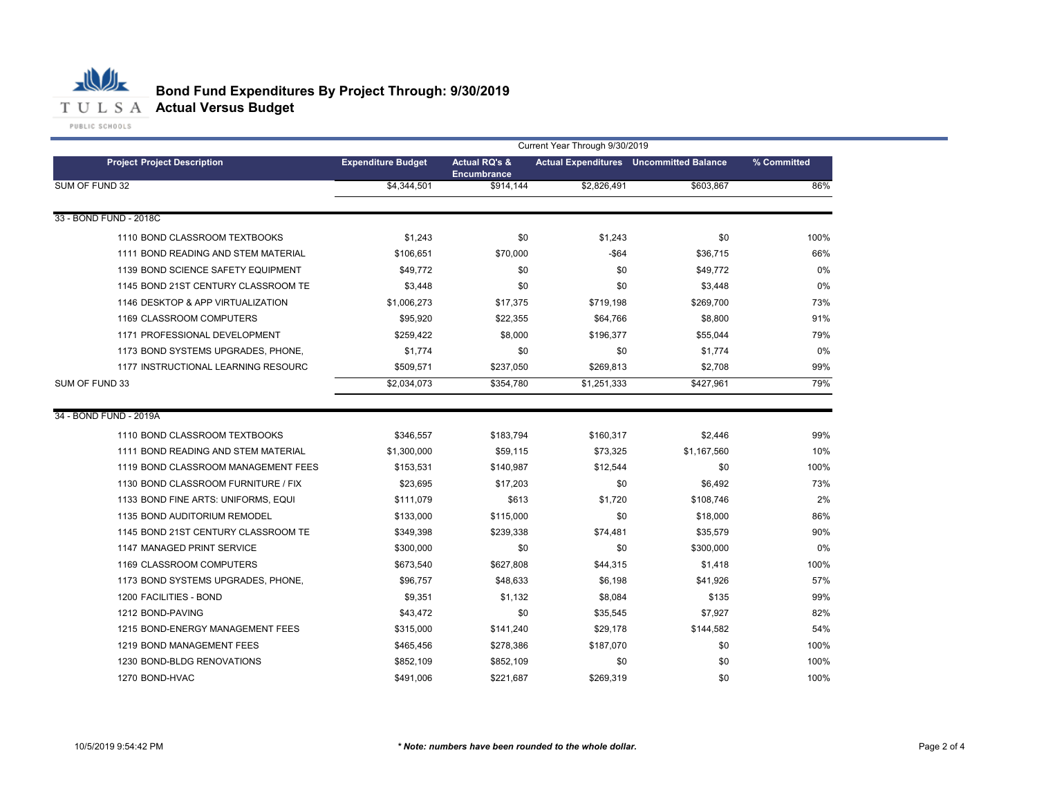

|                                     | Current Year Through 9/30/2019 |                                                |             |                                                |             |  |  |  |  |  |
|-------------------------------------|--------------------------------|------------------------------------------------|-------------|------------------------------------------------|-------------|--|--|--|--|--|
| <b>Project Project Description</b>  | <b>Expenditure Budget</b>      | <b>Actual RQ's &amp;</b><br><b>Encumbrance</b> |             | <b>Actual Expenditures</b> Uncommitted Balance | % Committed |  |  |  |  |  |
| SUM OF FUND 32                      | \$4,344,501                    | \$914,144                                      | \$2,826,491 | \$603.867                                      | 86%         |  |  |  |  |  |
| 33 - BOND FUND - 2018C              |                                |                                                |             |                                                |             |  |  |  |  |  |
|                                     |                                |                                                |             |                                                |             |  |  |  |  |  |
| 1110 BOND CLASSROOM TEXTBOOKS       | \$1,243                        | \$0                                            | \$1,243     | \$0                                            | 100%        |  |  |  |  |  |
| 1111 BOND READING AND STEM MATERIAL | \$106,651                      | \$70,000                                       | $-$ \$64    | \$36,715                                       | 66%         |  |  |  |  |  |
| 1139 BOND SCIENCE SAFETY EQUIPMENT  | \$49,772                       | \$0                                            | \$0         | \$49,772                                       | 0%          |  |  |  |  |  |
| 1145 BOND 21ST CENTURY CLASSROOM TE | \$3,448                        | \$0                                            | \$0         | \$3,448                                        | 0%          |  |  |  |  |  |
| 1146 DESKTOP & APP VIRTUALIZATION   | \$1,006,273                    | \$17,375                                       | \$719,198   | \$269,700                                      | 73%         |  |  |  |  |  |
| 1169 CLASSROOM COMPUTERS            | \$95,920                       | \$22,355                                       | \$64,766    | \$8,800                                        | 91%         |  |  |  |  |  |
| 1171 PROFESSIONAL DEVELOPMENT       | \$259,422                      | \$8,000                                        | \$196,377   | \$55,044                                       | 79%         |  |  |  |  |  |
| 1173 BOND SYSTEMS UPGRADES, PHONE,  | \$1,774                        | \$0                                            | \$0         | \$1,774                                        | 0%          |  |  |  |  |  |
| 1177 INSTRUCTIONAL LEARNING RESOURC | \$509,571                      | \$237,050                                      | \$269,813   | \$2,708                                        | 99%         |  |  |  |  |  |
| SUM OF FUND 33                      | \$2,034,073                    | \$354,780                                      | \$1,251,333 | \$427,961                                      | 79%         |  |  |  |  |  |
| 34 - BOND FUND - 2019A              |                                |                                                |             |                                                |             |  |  |  |  |  |
| 1110 BOND CLASSROOM TEXTBOOKS       | \$346,557                      | \$183,794                                      | \$160,317   | \$2,446                                        | 99%         |  |  |  |  |  |
| 1111 BOND READING AND STEM MATERIAL | \$1,300,000                    | \$59,115                                       | \$73,325    | \$1,167,560                                    | 10%         |  |  |  |  |  |
| 1119 BOND CLASSROOM MANAGEMENT FEES | \$153,531                      | \$140,987                                      | \$12,544    | \$0                                            | 100%        |  |  |  |  |  |
| 1130 BOND CLASSROOM FURNITURE / FIX | \$23,695                       | \$17,203                                       | \$0         | \$6,492                                        | 73%         |  |  |  |  |  |
| 1133 BOND FINE ARTS: UNIFORMS, EQUI | \$111,079                      | \$613                                          | \$1,720     | \$108,746                                      | 2%          |  |  |  |  |  |
| 1135 BOND AUDITORIUM REMODEL        | \$133,000                      | \$115,000                                      | \$0         | \$18,000                                       | 86%         |  |  |  |  |  |
| 1145 BOND 21ST CENTURY CLASSROOM TE | \$349,398                      | \$239,338                                      | \$74,481    | \$35,579                                       | 90%         |  |  |  |  |  |
| 1147 MANAGED PRINT SERVICE          | \$300,000                      | \$0                                            | \$0         | \$300,000                                      | 0%          |  |  |  |  |  |
| 1169 CLASSROOM COMPUTERS            | \$673,540                      | \$627,808                                      | \$44,315    | \$1,418                                        | 100%        |  |  |  |  |  |
| 1173 BOND SYSTEMS UPGRADES, PHONE,  | \$96,757                       | \$48,633                                       | \$6,198     | \$41,926                                       | 57%         |  |  |  |  |  |
| 1200 FACILITIES - BOND              | \$9,351                        | \$1,132                                        | \$8,084     | \$135                                          | 99%         |  |  |  |  |  |
| 1212 BOND-PAVING                    | \$43,472                       | \$0                                            | \$35,545    | \$7,927                                        | 82%         |  |  |  |  |  |
| 1215 BOND-ENERGY MANAGEMENT FEES    | \$315,000                      | \$141,240                                      | \$29,178    | \$144,582                                      | 54%         |  |  |  |  |  |
| 1219 BOND MANAGEMENT FEES           | \$465,456                      | \$278,386                                      | \$187,070   | \$0                                            | 100%        |  |  |  |  |  |
| 1230 BOND-BLDG RENOVATIONS          | \$852,109                      | \$852,109                                      | \$0         | \$0                                            | 100%        |  |  |  |  |  |
| 1270 BOND-HVAC                      | \$491.006                      | \$221,687                                      | \$269,319   | \$0                                            | 100%        |  |  |  |  |  |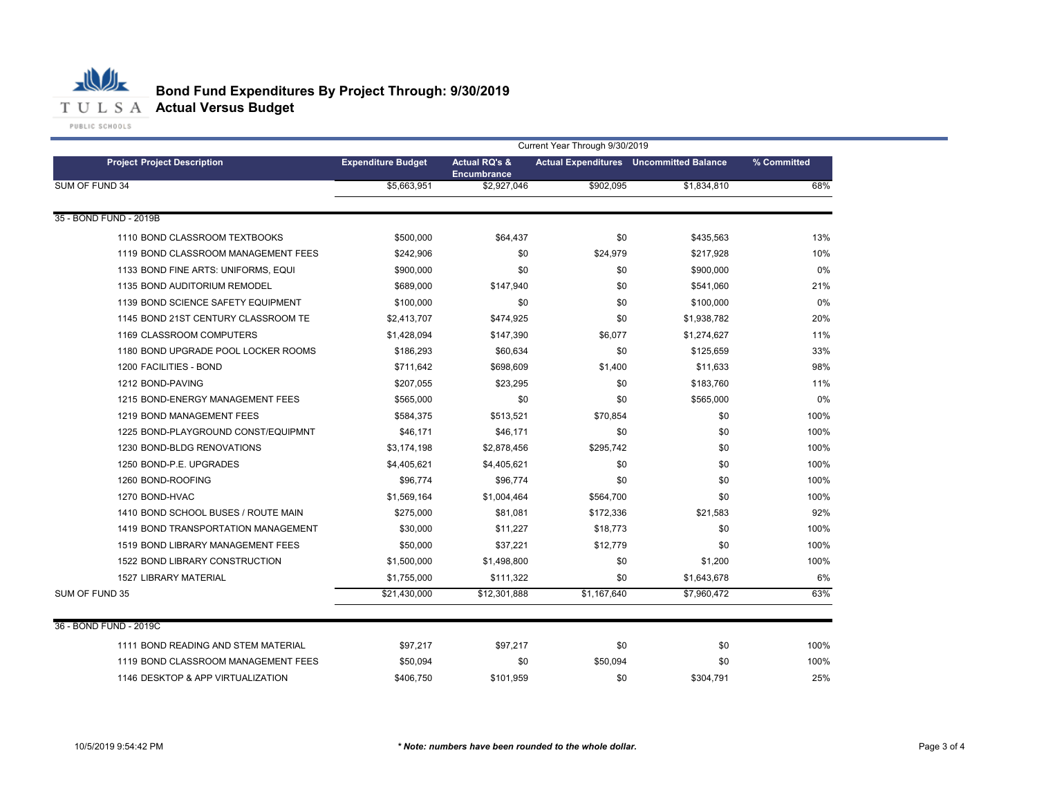

| <b>Project Project Description</b>  | Current Year Through 9/30/2019 |                                   |             |                                                |             |  |  |
|-------------------------------------|--------------------------------|-----------------------------------|-------------|------------------------------------------------|-------------|--|--|
|                                     | <b>Expenditure Budget</b>      | <b>Actual RQ's &amp;</b>          |             | <b>Actual Expenditures</b> Uncommitted Balance | % Committed |  |  |
| SUM OF FUND 34                      | \$5,663,951                    | <b>Encumbrance</b><br>\$2,927,046 | \$902,095   | \$1,834,810                                    | 68%         |  |  |
|                                     |                                |                                   |             |                                                |             |  |  |
| 35 - BOND FUND - 2019B              |                                |                                   |             |                                                |             |  |  |
| 1110 BOND CLASSROOM TEXTBOOKS       | \$500,000                      | \$64,437                          | \$0         | \$435,563                                      | 13%         |  |  |
| 1119 BOND CLASSROOM MANAGEMENT FEES | \$242,906                      | \$0                               | \$24,979    | \$217,928                                      | 10%         |  |  |
| 1133 BOND FINE ARTS: UNIFORMS, EQUI | \$900,000                      | \$0                               | \$0         | \$900,000                                      | 0%          |  |  |
| 1135 BOND AUDITORIUM REMODEL        | \$689,000                      | \$147,940                         | \$0         | \$541,060                                      | 21%         |  |  |
| 1139 BOND SCIENCE SAFETY EQUIPMENT  | \$100,000                      | \$0                               | \$0         | \$100,000                                      | 0%          |  |  |
| 1145 BOND 21ST CENTURY CLASSROOM TE | \$2,413,707                    | \$474,925                         | \$0         | \$1,938,782                                    | 20%         |  |  |
| 1169 CLASSROOM COMPUTERS            | \$1,428,094                    | \$147,390                         | \$6,077     | \$1,274,627                                    | 11%         |  |  |
| 1180 BOND UPGRADE POOL LOCKER ROOMS | \$186,293                      | \$60,634                          | \$0         | \$125,659                                      | 33%         |  |  |
| 1200 FACILITIES - BOND              | \$711,642                      | \$698,609                         | \$1,400     | \$11,633                                       | 98%         |  |  |
| 1212 BOND-PAVING                    | \$207,055                      | \$23,295                          | \$0         | \$183,760                                      | 11%         |  |  |
| 1215 BOND-ENERGY MANAGEMENT FEES    | \$565,000                      | \$0                               | \$0         | \$565,000                                      | 0%          |  |  |
| 1219 BOND MANAGEMENT FEES           | \$584,375                      | \$513,521                         | \$70,854    | \$0                                            | 100%        |  |  |
| 1225 BOND-PLAYGROUND CONST/EQUIPMNT | \$46,171                       | \$46,171                          | \$0         | \$0                                            | 100%        |  |  |
| 1230 BOND-BLDG RENOVATIONS          | \$3,174,198                    | \$2,878,456                       | \$295,742   | \$0                                            | 100%        |  |  |
| 1250 BOND-P.E. UPGRADES             | \$4,405,621                    | \$4,405,621                       | \$0         | \$0                                            | 100%        |  |  |
| 1260 BOND-ROOFING                   | \$96,774                       | \$96,774                          | \$0         | \$0                                            | 100%        |  |  |
| 1270 BOND-HVAC                      | \$1,569,164                    | \$1,004,464                       | \$564,700   | \$0                                            | 100%        |  |  |
| 1410 BOND SCHOOL BUSES / ROUTE MAIN | \$275,000                      | \$81,081                          | \$172,336   | \$21,583                                       | 92%         |  |  |
| 1419 BOND TRANSPORTATION MANAGEMENT | \$30,000                       | \$11,227                          | \$18,773    | \$0                                            | 100%        |  |  |
| 1519 BOND LIBRARY MANAGEMENT FEES   | \$50,000                       | \$37,221                          | \$12,779    | \$0                                            | 100%        |  |  |
| 1522 BOND LIBRARY CONSTRUCTION      | \$1,500,000                    | \$1,498,800                       | \$0         | \$1,200                                        | 100%        |  |  |
| <b>1527 LIBRARY MATERIAL</b>        | \$1,755,000                    | \$111,322                         | \$0         | \$1,643,678                                    | 6%          |  |  |
| SUM OF FUND 35                      | \$21,430,000                   | \$12,301,888                      | \$1,167,640 | \$7,960,472                                    | 63%         |  |  |
|                                     |                                |                                   |             |                                                |             |  |  |
| 36 - BOND FUND - 2019C              |                                |                                   |             |                                                |             |  |  |
| 1111 BOND READING AND STEM MATERIAL | \$97,217                       | \$97,217                          | \$0         | \$0                                            | 100%        |  |  |
| 1119 BOND CLASSROOM MANAGEMENT FEES | \$50,094                       | \$0                               | \$50,094    | \$0                                            | 100%        |  |  |
| 1146 DESKTOP & APP VIRTUALIZATION   | \$406,750                      | \$101,959                         | \$0         | \$304,791                                      | 25%         |  |  |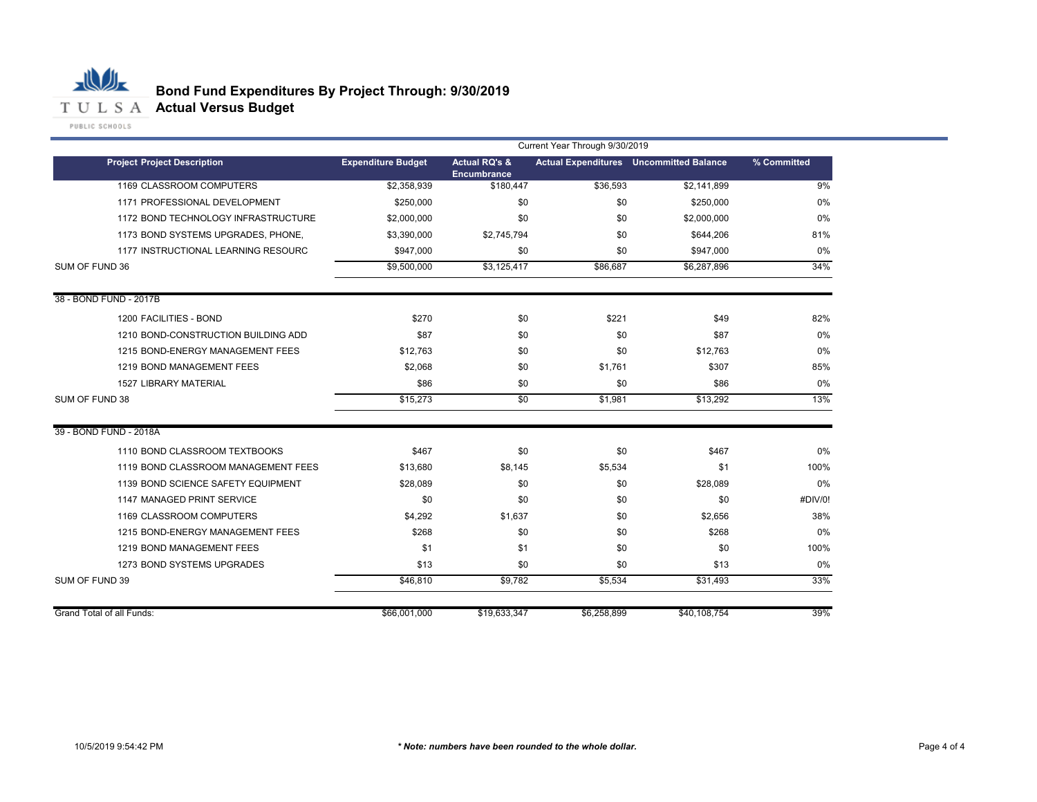

|                                     | Current Year Through 9/30/2019 |                                         |             |                                                |             |  |
|-------------------------------------|--------------------------------|-----------------------------------------|-------------|------------------------------------------------|-------------|--|
| <b>Project Project Description</b>  | <b>Expenditure Budget</b>      | <b>Actual RQ's &amp;</b><br>Encumbrance |             | <b>Actual Expenditures</b> Uncommitted Balance | % Committed |  |
| 1169 CLASSROOM COMPUTERS            | \$2,358,939                    | \$180,447                               | \$36,593    | \$2,141,899                                    | 9%          |  |
| 1171 PROFESSIONAL DEVELOPMENT       | \$250,000                      | \$0                                     | \$0         | \$250,000                                      | 0%          |  |
| 1172 BOND TECHNOLOGY INFRASTRUCTURE | \$2,000,000                    | \$0                                     | \$0         | \$2,000,000                                    | 0%          |  |
| 1173 BOND SYSTEMS UPGRADES, PHONE.  | \$3,390,000                    | \$2,745,794                             | \$0         | \$644,206                                      | 81%         |  |
| 1177 INSTRUCTIONAL LEARNING RESOURC | \$947,000                      | \$0                                     | \$0         | \$947,000                                      | 0%          |  |
| SUM OF FUND 36                      | \$9,500,000                    | \$3,125,417                             | \$86,687    | \$6,287,896                                    | 34%         |  |
| 38 - BOND FUND - 2017B              |                                |                                         |             |                                                |             |  |
| 1200 FACILITIES - BOND              | \$270                          | \$0                                     | \$221       | \$49                                           | 82%         |  |
| 1210 BOND-CONSTRUCTION BUILDING ADD | \$87                           | \$0                                     | \$0         | \$87                                           | 0%          |  |
| 1215 BOND-ENERGY MANAGEMENT FEES    | \$12,763                       | \$0                                     | \$0         | \$12,763                                       | 0%          |  |
| 1219 BOND MANAGEMENT FEES           | \$2,068                        | \$0                                     | \$1,761     | \$307                                          | 85%         |  |
| <b>1527 LIBRARY MATERIAL</b>        | \$86                           | \$0                                     | \$0         | \$86                                           | 0%          |  |
| SUM OF FUND 38                      | \$15,273                       | \$0                                     | \$1,981     | \$13,292                                       | 13%         |  |
| 39 - BOND FUND - 2018A              |                                |                                         |             |                                                |             |  |
| 1110 BOND CLASSROOM TEXTBOOKS       | \$467                          | \$0                                     | \$0         | \$467                                          | 0%          |  |
| 1119 BOND CLASSROOM MANAGEMENT FEES | \$13,680                       | \$8,145                                 | \$5,534     | \$1                                            | 100%        |  |
| 1139 BOND SCIENCE SAFETY EQUIPMENT  | \$28,089                       | \$0                                     | \$0         | \$28,089                                       | 0%          |  |
| 1147 MANAGED PRINT SERVICE          | \$0                            | \$0                                     | \$0         | \$0                                            | #DIV/0!     |  |
| 1169 CLASSROOM COMPUTERS            | \$4,292                        | \$1,637                                 | \$0         | \$2,656                                        | 38%         |  |
| 1215 BOND-ENERGY MANAGEMENT FEES    | \$268                          | \$0                                     | \$0         | \$268                                          | 0%          |  |
| 1219 BOND MANAGEMENT FEES           | \$1                            | \$1                                     | \$0         | \$0                                            | 100%        |  |
| 1273 BOND SYSTEMS UPGRADES          | \$13                           | \$0                                     | \$0         | \$13                                           | 0%          |  |
| SUM OF FUND 39                      | \$46,810                       | \$9,782                                 | \$5,534     | \$31,493                                       | 33%         |  |
| Grand Total of all Funds:           | \$66,001,000                   | \$19,633,347                            | \$6,258,899 | \$40,108,754                                   | 39%         |  |